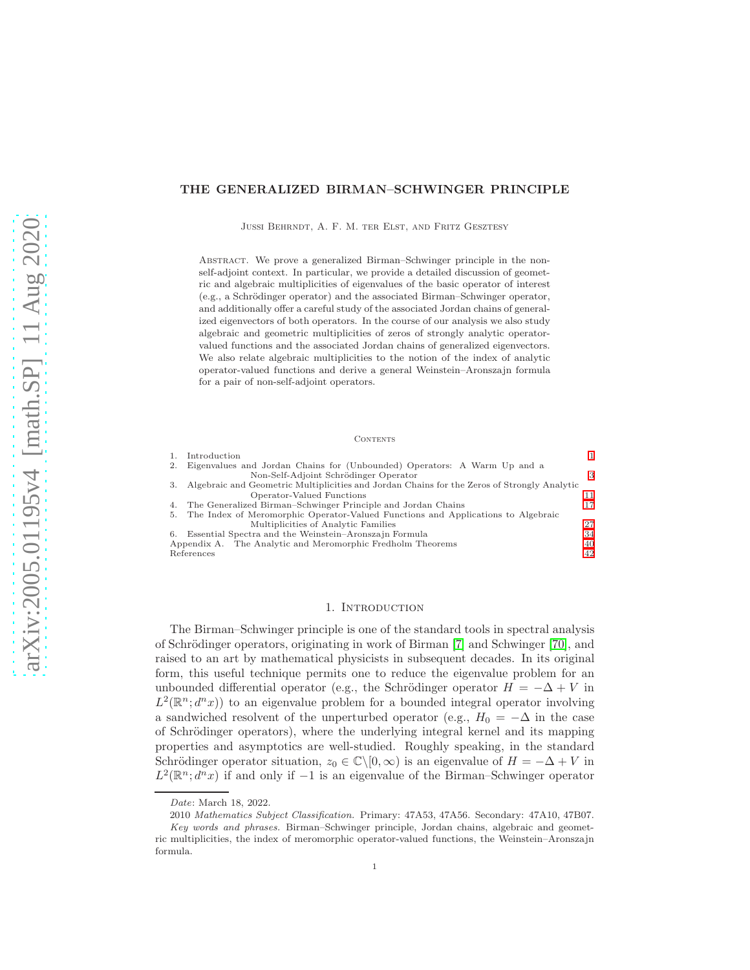## THE GENERALIZED BIRMAN–SCHWINGER PRINCIPLE

Jussi Behrndt, A. F. M. ter Elst, and Fritz Gesztesy

Abstract. We prove a generalized Birman–Schwinger principle in the nonself-adjoint context. In particular, we provide a detailed discussion of geometric and algebraic multiplicities of eigenvalues of the basic operator of interest (e.g., a Schrödinger operator) and the associated Birman–Schwinger operator, and additionally offer a careful study of the associated Jordan chains of generalized eigenvectors of both operators. In the course of our analysis we also study algebraic and geometric multiplicities of zeros of strongly analytic operatorvalued functions and the associated Jordan chains of generalized eigenvectors. We also relate algebraic multiplicities to the notion of the index of analytic operator-valued functions and derive a general Weinstein–Aronszajn formula for a pair of non-self-adjoint operators.

#### CONTENTS

|    | Introduction                                                                                |    |
|----|---------------------------------------------------------------------------------------------|----|
| 2. | Eigenvalues and Jordan Chains for (Unbounded) Operators: A Warm Up and a                    |    |
|    | Non-Self-Adjoint Schrödinger Operator                                                       | 3  |
| 3. | Algebraic and Geometric Multiplicities and Jordan Chains for the Zeros of Strongly Analytic |    |
|    | Operator-Valued Functions                                                                   | 11 |
|    | 4. The Generalized Birman–Schwinger Principle and Jordan Chains                             | 17 |
|    | 5. The Index of Meromorphic Operator-Valued Functions and Applications to Algebraic         |    |
|    | Multiplicities of Analytic Families                                                         | 27 |
| 6. | Essential Spectra and the Weinstein-Aronszajn Formula                                       | 34 |
|    | Appendix A. The Analytic and Meromorphic Fredholm Theorems                                  | 40 |
|    | References                                                                                  | 42 |

### 1. INTRODUCTION

<span id="page-0-0"></span>The Birman–Schwinger principle is one of the standard tools in spectral analysis of Schrödinger operators, originating in work of Birman [\[7\]](#page-41-1) and Schwinger [\[70\]](#page-44-0), and raised to an art by mathematical physicists in subsequent decades. In its original form, this useful technique permits one to reduce the eigenvalue problem for an unbounded differential operator (e.g., the Schrödinger operator  $H = -\Delta + V$  in  $L^2(\mathbb{R}^n; d^n x)$  to an eigenvalue problem for a bounded integral operator involving a sandwiched resolvent of the unperturbed operator (e.g.,  $H_0 = -\Delta$  in the case of Schrödinger operators), where the underlying integral kernel and its mapping properties and asymptotics are well-studied. Roughly speaking, in the standard Schrödinger operator situation,  $z_0 \in \mathbb{C} \backslash [0, \infty)$  is an eigenvalue of  $H = -\Delta + V$  in  $L^2(\mathbb{R}^n; d^n x)$  if and only if  $-1$  is an eigenvalue of the Birman–Schwinger operator

Date: March 18, 2022.

<sup>2010</sup> Mathematics Subject Classification. Primary: 47A53, 47A56. Secondary: 47A10, 47B07.

Key words and phrases. Birman–Schwinger principle, Jordan chains, algebraic and geometric multiplicities, the index of meromorphic operator-valued functions, the Weinstein–Aronszajn formula.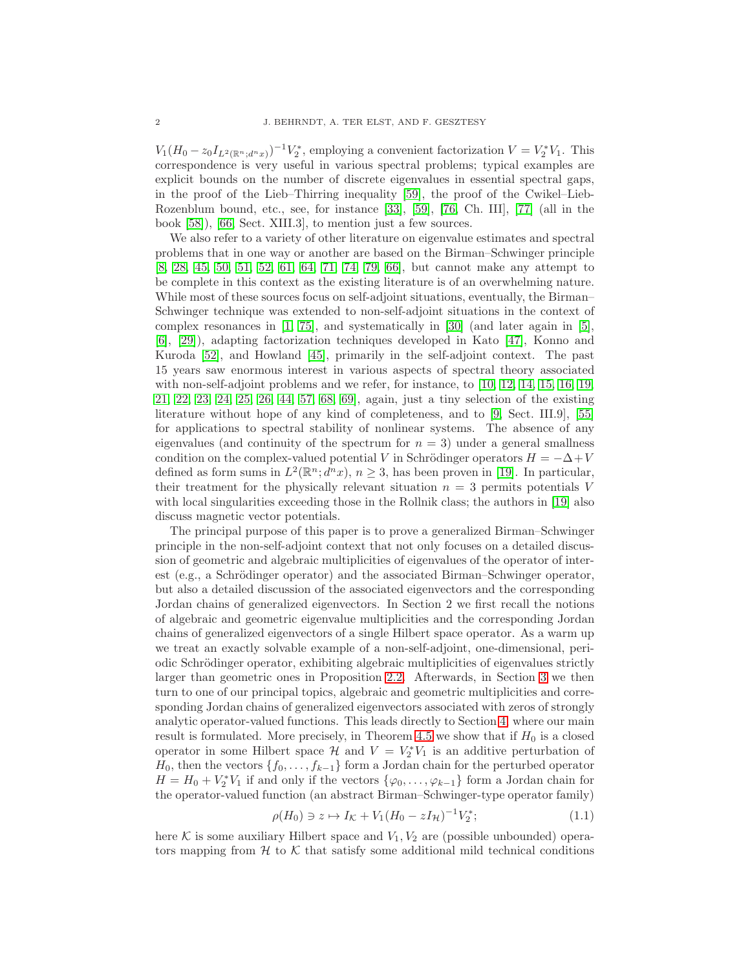$V_1(H_0 - z_0 I_{L^2(\mathbb{R}^n; d^n x)})^{-1} V_2^*$ , employing a convenient factorization  $V = V_2^* V_1$ . This correspondence is very useful in various spectral problems; typical examples are explicit bounds on the number of discrete eigenvalues in essential spectral gaps, in the proof of the Lieb–Thirring inequality [\[59\]](#page-43-0), the proof of the Cwikel–Lieb-Rozenblum bound, etc., see, for instance [\[33\]](#page-42-0), [\[59\]](#page-43-0), [\[76,](#page-44-1) Ch. III], [\[77\]](#page-44-2) (all in the book [\[58\]](#page-43-1)), [\[66,](#page-43-2) Sect. XIII.3], to mention just a few sources.

We also refer to a variety of other literature on eigenvalue estimates and spectral problems that in one way or another are based on the Birman–Schwinger principle [\[8,](#page-41-2) [28,](#page-42-1) [45,](#page-43-3) [50,](#page-43-4) [51,](#page-43-5) [52,](#page-43-6) [61,](#page-43-7) [64,](#page-43-8) [71,](#page-44-3) [74,](#page-44-4) [79,](#page-44-5) [66\]](#page-43-2), but cannot make any attempt to be complete in this context as the existing literature is of an overwhelming nature. While most of these sources focus on self-adjoint situations, eventually, the Birman– Schwinger technique was extended to non-self-adjoint situations in the context of complex resonances in  $[1, 75]$  $[1, 75]$ , and systematically in  $[30]$  (and later again in  $[5]$ , [\[6\]](#page-41-5), [\[29\]](#page-42-3)), adapting factorization techniques developed in Kato [\[47\]](#page-43-9), Konno and Kuroda [\[52\]](#page-43-6), and Howland [\[45\]](#page-43-3), primarily in the self-adjoint context. The past 15 years saw enormous interest in various aspects of spectral theory associated with non-self-adjoint problems and we refer, for instance, to [\[10,](#page-41-6) [12,](#page-41-7) [14,](#page-41-8) [15,](#page-41-9) [16,](#page-41-10) [19,](#page-42-4) [21,](#page-42-5) [22,](#page-42-6) [23,](#page-42-7) [24,](#page-42-8) [25,](#page-42-9) [26,](#page-42-10) [44,](#page-43-10) [57,](#page-43-11) [68,](#page-44-7) [69\]](#page-44-8), again, just a tiny selection of the existing literature without hope of any kind of completeness, and to [\[9,](#page-41-11) Sect. III.9], [\[55\]](#page-43-12) for applications to spectral stability of nonlinear systems. The absence of any eigenvalues (and continuity of the spectrum for  $n = 3$ ) under a general smallness condition on the complex-valued potential V in Schrödinger operators  $H = -\Delta + V$ defined as form sums in  $L^2(\mathbb{R}^n; d^n x)$ ,  $n \geq 3$ , has been proven in [\[19\]](#page-42-4). In particular, their treatment for the physically relevant situation  $n = 3$  permits potentials V with local singularities exceeding those in the Rollnik class; the authors in [\[19\]](#page-42-4) also discuss magnetic vector potentials.

The principal purpose of this paper is to prove a generalized Birman–Schwinger principle in the non-self-adjoint context that not only focuses on a detailed discussion of geometric and algebraic multiplicities of eigenvalues of the operator of interest (e.g., a Schrödinger operator) and the associated Birman–Schwinger operator, but also a detailed discussion of the associated eigenvectors and the corresponding Jordan chains of generalized eigenvectors. In Section 2 we first recall the notions of algebraic and geometric eigenvalue multiplicities and the corresponding Jordan chains of generalized eigenvectors of a single Hilbert space operator. As a warm up we treat an exactly solvable example of a non-self-adjoint, one-dimensional, periodic Schrödinger operator, exhibiting algebraic multiplicities of eigenvalues strictly larger than geometric ones in Proposition [2.2.](#page-3-0) Afterwards, in Section [3](#page-10-0) we then turn to one of our principal topics, algebraic and geometric multiplicities and corresponding Jordan chains of generalized eigenvectors associated with zeros of strongly analytic operator-valued functions. This leads directly to Section [4,](#page-16-0) where our main result is formulated. More precisely, in Theorem [4.5](#page-20-0) we show that if  $H_0$  is a closed operator in some Hilbert space  $\mathcal{H}$  and  $V = V_2^*V_1$  is an additive perturbation of  $H_0$ , then the vectors  $\{f_0, \ldots, f_{k-1}\}\$ form a Jordan chain for the perturbed operator  $H = H_0 + V_2^* V_1$  if and only if the vectors  $\{\varphi_0, \ldots, \varphi_{k-1}\}$  form a Jordan chain for the operator-valued function (an abstract Birman–Schwinger-type operator family)

$$
\rho(H_0) \ni z \mapsto I_{\mathcal{K}} + V_1(H_0 - zI_{\mathcal{H}})^{-1}V_2^*;
$$
\n(1.1)

here K is some auxiliary Hilbert space and  $V_1, V_2$  are (possible unbounded) operators mapping from  $H$  to K that satisfy some additional mild technical conditions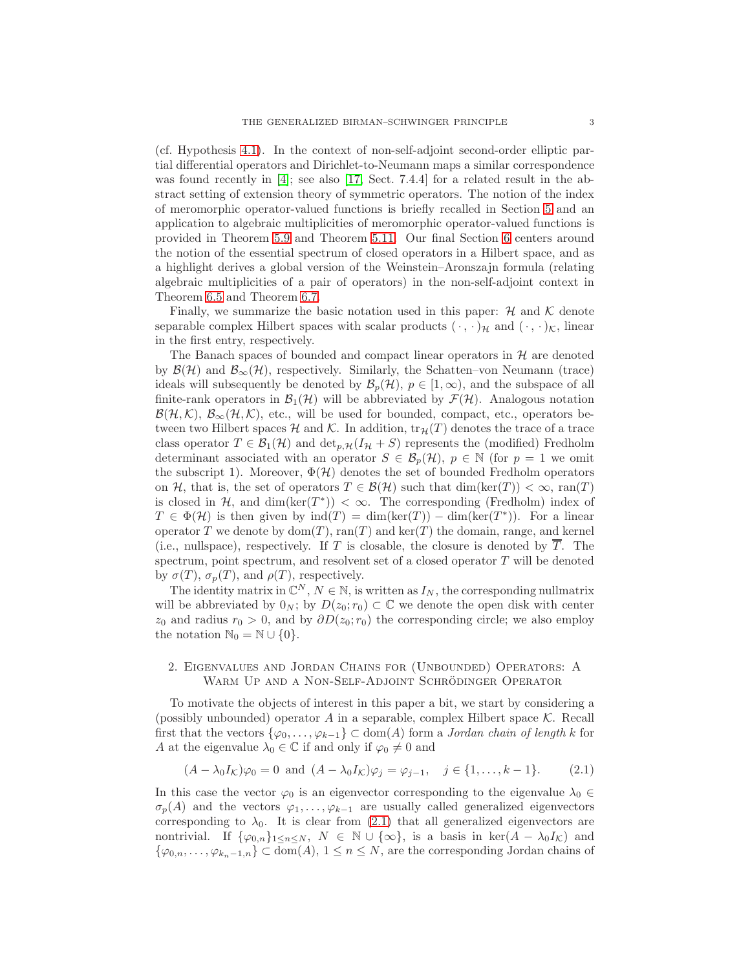(cf. Hypothesis [4.1\)](#page-16-1). In the context of non-self-adjoint second-order elliptic partial differential operators and Dirichlet-to-Neumann maps a similar correspondence was found recently in [\[4\]](#page-41-12); see also [\[17,](#page-42-11) Sect. 7.4.4] for a related result in the abstract setting of extension theory of symmetric operators. The notion of the index of meromorphic operator-valued functions is briefly recalled in Section [5](#page-26-0) and an application to algebraic multiplicities of meromorphic operator-valued functions is provided in Theorem [5.9](#page-31-0) and Theorem [5.11.](#page-33-1) Our final Section [6](#page-33-0) centers around the notion of the essential spectrum of closed operators in a Hilbert space, and as a highlight derives a global version of the Weinstein–Aronszajn formula (relating algebraic multiplicities of a pair of operators) in the non-self-adjoint context in Theorem [6.5](#page-37-0) and Theorem [6.7.](#page-39-1)

Finally, we summarize the basic notation used in this paper:  $H$  and  $K$  denote separable complex Hilbert spaces with scalar products  $(\cdot, \cdot)_{\mathcal{H}}$  and  $(\cdot, \cdot)_{\mathcal{K}}$ , linear in the first entry, respectively.

The Banach spaces of bounded and compact linear operators in  $H$  are denoted by  $\mathcal{B}(\mathcal{H})$  and  $\mathcal{B}_{\infty}(\mathcal{H})$ , respectively. Similarly, the Schatten–von Neumann (trace) ideals will subsequently be denoted by  $\mathcal{B}_p(\mathcal{H}), p \in [1,\infty)$ , and the subspace of all finite-rank operators in  $\mathcal{B}_1(\mathcal{H})$  will be abbreviated by  $\mathcal{F}(\mathcal{H})$ . Analogous notation  $\mathcal{B}(\mathcal{H},\mathcal{K})$ ,  $\mathcal{B}_{\infty}(\mathcal{H},\mathcal{K})$ , etc., will be used for bounded, compact, etc., operators between two Hilbert spaces H and K. In addition,  $tr_{\mathcal{H}}(T)$  denotes the trace of a trace class operator  $T \in \mathcal{B}_1(\mathcal{H})$  and  $\det_{p,\mathcal{H}}(I_{\mathcal{H}} + S)$  represents the (modified) Fredholm determinant associated with an operator  $S \in \mathcal{B}_p(\mathcal{H})$ ,  $p \in \mathbb{N}$  (for  $p = 1$  we omit the subscript 1). Moreover,  $\Phi(\mathcal{H})$  denotes the set of bounded Fredholm operators on H, that is, the set of operators  $T \in \mathcal{B}(\mathcal{H})$  such that  $\dim(\ker(T)) < \infty$ ,  $\text{ran}(T)$ is closed in  $H$ , and  $\dim(\ker(T^*)) < \infty$ . The corresponding (Fredholm) index of  $T \in \Phi(\mathcal{H})$  is then given by  $\text{ind}(T) = \dim(\text{ker}(T)) - \dim(\text{ker}(T^*))$ . For a linear operator T we denote by  $dom(T)$ ,  $ran(T)$  and  $ker(T)$  the domain, range, and kernel (i.e., nullspace), respectively. If T is closable, the closure is denoted by  $\overline{T}$ . The spectrum, point spectrum, and resolvent set of a closed operator  $T$  will be denoted by  $\sigma(T)$ ,  $\sigma_p(T)$ , and  $\rho(T)$ , respectively.

The identity matrix in  $\mathbb{C}^N$ ,  $N \in \mathbb{N}$ , is written as  $I_N$ , the corresponding nullmatrix will be abbreviated by  $0_N$ ; by  $D(z_0; r_0) \subset \mathbb{C}$  we denote the open disk with center  $z_0$  and radius  $r_0 > 0$ , and by  $\partial D(z_0; r_0)$  the corresponding circle; we also employ the notation  $\mathbb{N}_0 = \mathbb{N} \cup \{0\}.$ 

# <span id="page-2-0"></span>2. Eigenvalues and Jordan Chains for (Unbounded) Operators: A WARM UP AND A NON-SELF-ADJOINT SCHRÖDINGER OPERATOR

To motivate the objects of interest in this paper a bit, we start by considering a (possibly unbounded) operator A in a separable, complex Hilbert space  $K$ . Recall first that the vectors  $\{\varphi_0, \ldots, \varphi_{k-1}\} \subset \text{dom}(A)$  form a *Jordan chain of length k* for A at the eigenvalue  $\lambda_0 \in \mathbb{C}$  if and only if  $\varphi_0 \neq 0$  and

<span id="page-2-1"></span>
$$
(A - \lambda_0 I_K)\varphi_0 = 0 \text{ and } (A - \lambda_0 I_K)\varphi_j = \varphi_{j-1}, \quad j \in \{1, \dots, k-1\}.
$$
 (2.1)

In this case the vector  $\varphi_0$  is an eigenvector corresponding to the eigenvalue  $\lambda_0 \in$  $\sigma_p(A)$  and the vectors  $\varphi_1, \ldots, \varphi_{k-1}$  are usually called generalized eigenvectors corresponding to  $\lambda_0$ . It is clear from [\(2.1\)](#page-2-1) that all generalized eigenvectors are nontrivial. If  $\{\varphi_{0,n}\}_{1\leq n\leq N}$ ,  $N \in \mathbb{N} \cup \{\infty\}$ , is a basis in  $\ker(A - \lambda_0 I_K)$  and  $\{\varphi_{0,n},\ldots,\varphi_{k_n-1,n}\}\subset \text{dom}(A), 1\leq n\leq N$ , are the corresponding Jordan chains of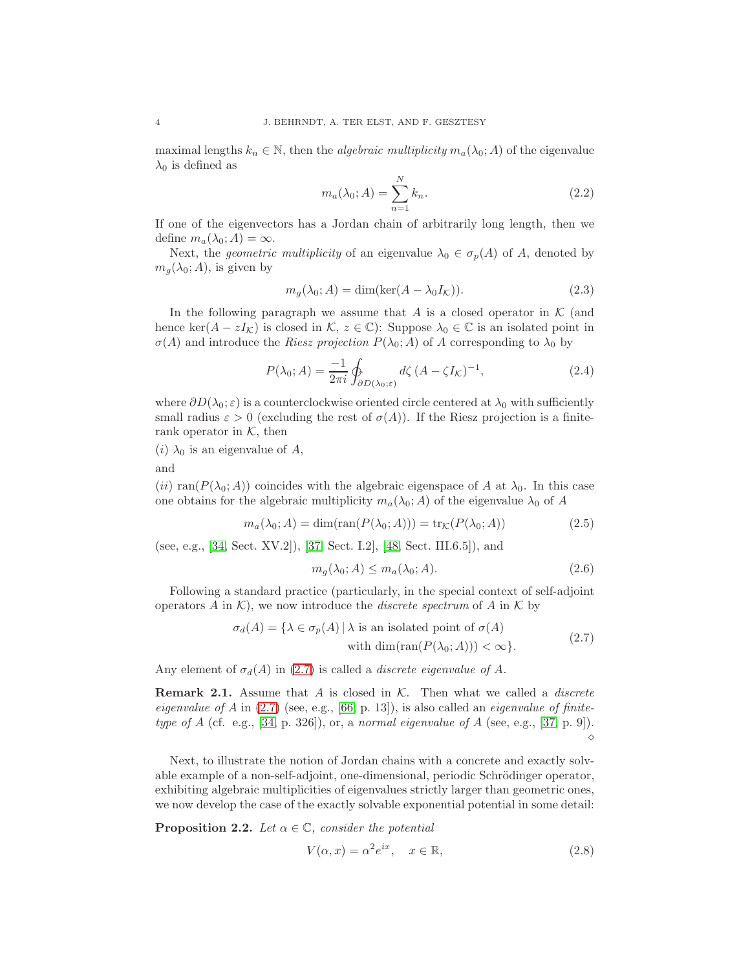maximal lengths  $k_n \in \mathbb{N}$ , then the *algebraic multiplicity*  $m_a(\lambda_0; A)$  of the eigenvalue  $\lambda_0$  is defined as

$$
m_a(\lambda_0; A) = \sum_{n=1}^{N} k_n.
$$
\n
$$
(2.2)
$$

If one of the eigenvectors has a Jordan chain of arbitrarily long length, then we define  $m_a(\lambda_0; A) = \infty$ .

Next, the *geometric multiplicity* of an eigenvalue  $\lambda_0 \in \sigma_p(A)$  of A, denoted by  $m_q(\lambda_0; A)$ , is given by

$$
m_g(\lambda_0; A) = \dim(\ker(A - \lambda_0 I_K)).
$$
\n(2.3)

In the following paragraph we assume that A is a closed operator in  $\mathcal K$  (and hence ker( $A - zI_{\mathcal{K}}$ ) is closed in  $\mathcal{K}, z \in \mathbb{C}$ ): Suppose  $\lambda_0 \in \mathbb{C}$  is an isolated point in  $\sigma(A)$  and introduce the *Riesz projection*  $P(\lambda_0; A)$  of A corresponding to  $\lambda_0$  by

$$
P(\lambda_0; A) = \frac{-1}{2\pi i} \oint_{\partial D(\lambda_0; \varepsilon)} d\zeta \left( A - \zeta I_{\mathcal{K}} \right)^{-1}, \tag{2.4}
$$

where  $\partial D(\lambda_0; \varepsilon)$  is a counterclockwise oriented circle centered at  $\lambda_0$  with sufficiently small radius  $\varepsilon > 0$  (excluding the rest of  $\sigma(A)$ ). If the Riesz projection is a finiterank operator in  $K$ , then

(*i*)  $\lambda_0$  is an eigenvalue of A,

and

(ii) ran( $P(\lambda_0; A)$ ) coincides with the algebraic eigenspace of A at  $\lambda_0$ . In this case one obtains for the algebraic multiplicity  $m_a(\lambda_0; A)$  of the eigenvalue  $\lambda_0$  of A

$$
m_a(\lambda_0; A) = \dim(\text{ran}(P(\lambda_0; A))) = \text{tr}_{\mathcal{K}}(P(\lambda_0; A))
$$
\n(2.5)

(see, e.g., [\[34,](#page-42-12) Sect. XV.2]), [\[37,](#page-42-13) Sect. I.2], [\[48,](#page-43-13) Sect. III.6.5]), and

<span id="page-3-1"></span>
$$
m_g(\lambda_0; A) \le m_a(\lambda_0; A). \tag{2.6}
$$

Following a standard practice (particularly, in the special context of self-adjoint operators A in K), we now introduce the *discrete spectrum* of A in K by

$$
\sigma_d(A) = \{ \lambda \in \sigma_p(A) \mid \lambda \text{ is an isolated point of } \sigma(A) \text{ with } \dim(\text{ran}(P(\lambda_0; A))) < \infty \}. \tag{2.7}
$$

Any element of  $\sigma_d(A)$  in [\(2.7\)](#page-3-1) is called a *discrete eigenvalue of A*.

**Remark 2.1.** Assume that  $A$  is closed in  $K$ . Then what we called a *discrete* eigenvalue of A in  $(2.7)$  (see, e.g., [\[66,](#page-43-2) p. 13]), is also called an *eigenvalue of finite*type of  $A$  (cf. e.g., [\[34,](#page-42-12) p. 326]), or, a normal eigenvalue of  $A$  (see, e.g., [\[37,](#page-42-13) p. 9]). ⋄

Next, to illustrate the notion of Jordan chains with a concrete and exactly solvable example of a non-self-adjoint, one-dimensional, periodic Schrödinger operator, exhibiting algebraic multiplicities of eigenvalues strictly larger than geometric ones, we now develop the case of the exactly solvable exponential potential in some detail:

<span id="page-3-0"></span>**Proposition 2.2.** Let  $\alpha \in \mathbb{C}$ , consider the potential

<span id="page-3-2"></span>
$$
V(\alpha, x) = \alpha^2 e^{ix}, \quad x \in \mathbb{R}, \tag{2.8}
$$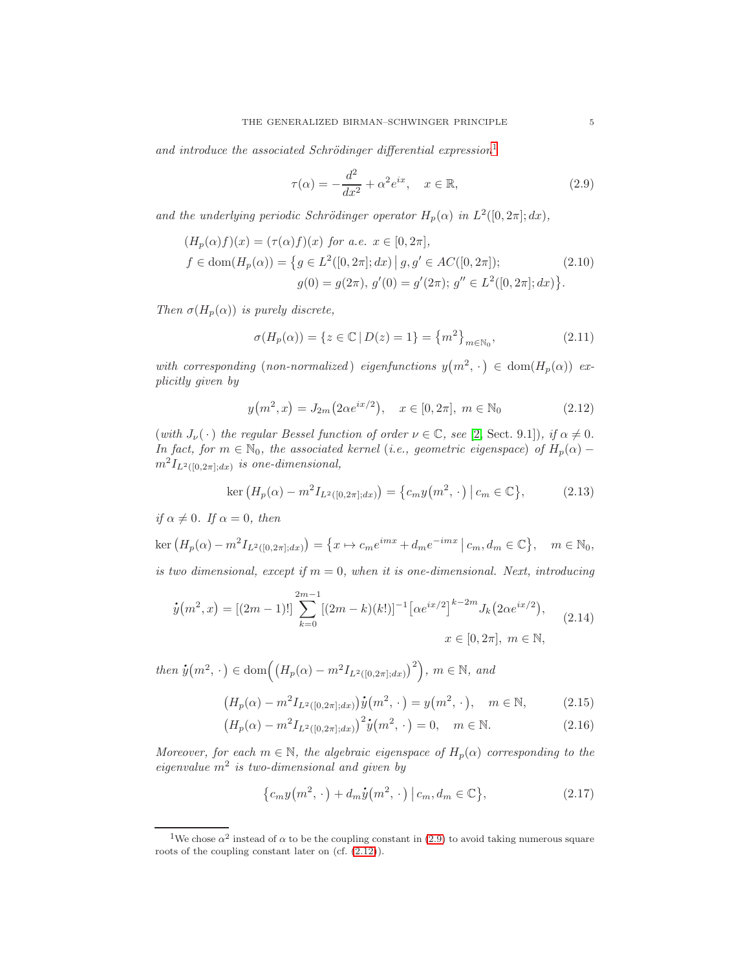and introduce the associated Schrödinger differential expression<sup>[1](#page-4-0)</sup>

<span id="page-4-1"></span>
$$
\tau(\alpha) = -\frac{d^2}{dx^2} + \alpha^2 e^{ix}, \quad x \in \mathbb{R},
$$
\n(2.9)

and the underlying periodic Schrödinger operator  $H_p(\alpha)$  in  $L^2([0, 2\pi]; dx)$ ,

$$
(H_p(\alpha)f)(x) = (\tau(\alpha)f)(x) \text{ for a.e. } x \in [0, 2\pi],
$$
  

$$
f \in \text{dom}(H_p(\alpha)) = \{ g \in L^2([0, 2\pi]; dx) \mid g, g' \in AC([0, 2\pi]);
$$
  

$$
g(0) = g(2\pi), g'(0) = g'(2\pi); g'' \in L^2([0, 2\pi]; dx) \}.
$$
 (2.10)

Then  $\sigma(H_p(\alpha))$  is purely discrete,

<span id="page-4-3"></span>
$$
\sigma(H_p(\alpha)) = \{ z \in \mathbb{C} \mid D(z) = 1 \} = \{ m^2 \}_{m \in \mathbb{N}_0},
$$
\n(2.11)

with corresponding (non-normalized) eigenfunctions  $y(m^2, \cdot) \in \text{dom}(H_p(\alpha))$  explicitly given by

<span id="page-4-2"></span>
$$
y(m^2, x) = J_{2m}(2\alpha e^{ix/2}), \quad x \in [0, 2\pi], \ m \in \mathbb{N}_0
$$
 (2.12)

(with  $J_{\nu}(\cdot)$  the regular Bessel function of order  $\nu \in \mathbb{C}$ , see [\[2,](#page-41-13) Sect. 9.1]), if  $\alpha \neq 0$ . In fact, for  $m \in \mathbb{N}_0$ , the associated kernel (i.e., geometric eigenspace) of  $H_p(\alpha)$  –  $m^2 I_{L^2([0,2\pi];dx)}$  is one-dimensional,

$$
\ker \left( H_p(\alpha) - m^2 I_{L^2([0, 2\pi]; dx)} \right) = \{ c_m y(m^2, \cdot) \mid c_m \in \mathbb{C} \}, \tag{2.13}
$$

if  $\alpha \neq 0$ . If  $\alpha = 0$ , then

 $\ker (H_p(\alpha) - m^2 I_{L^2([0,2\pi];dx)}) = \{x \mapsto c_m e^{imx} + d_m e^{-imx} | c_m, d_m \in \mathbb{C} \}, \quad m \in \mathbb{N}_0,$ is two dimensional, except if  $m = 0$ , when it is one-dimensional. Next, introducing

$$
\dot{y}(m^2, x) = [(2m - 1)!] \sum_{k=0}^{2m-1} [(2m - k)(k!)]^{-1} [\alpha e^{ix/2}]^{k-2m} J_k(2\alpha e^{ix/2}),
$$
  
\n
$$
x \in [0, 2\pi], \ m \in \mathbb{N},
$$
\n(2.14)

then  $\dot{y}(m^2, \cdot) \in \text{dom}((H_p(\alpha) - m^2 I_{L^2([0,2\pi];dx)})^2), m \in \mathbb{N}, \text{ and}$ 

$$
(H_p(\alpha) - m^2 I_{L^2([0,2\pi];dx)}) \dot{y}(m^2, \cdot) = y(m^2, \cdot), \quad m \in \mathbb{N},
$$
 (2.15)

$$
(H_p(\alpha) - m^2 I_{L^2([0,2\pi];dx)})^2 \dot{y}(m^2, \cdot) = 0, \quad m \in \mathbb{N}.
$$
 (2.16)

Moreover, for each  $m \in \mathbb{N}$ , the algebraic eigenspace of  $H_p(\alpha)$  corresponding to the eigenvalue  $m^2$  is two-dimensional and given by

<span id="page-4-5"></span><span id="page-4-4"></span>
$$
\{c_m y(m^2, \cdot) + d_m \dot{y}(m^2, \cdot) | c_m, d_m \in \mathbb{C}\},\tag{2.17}
$$

<span id="page-4-0"></span><sup>&</sup>lt;sup>1</sup>We chose  $\alpha^2$  instead of  $\alpha$  to be the coupling constant in [\(2.9\)](#page-4-1) to avoid taking numerous square roots of the coupling constant later on (cf. [\(2.12\)](#page-4-2)).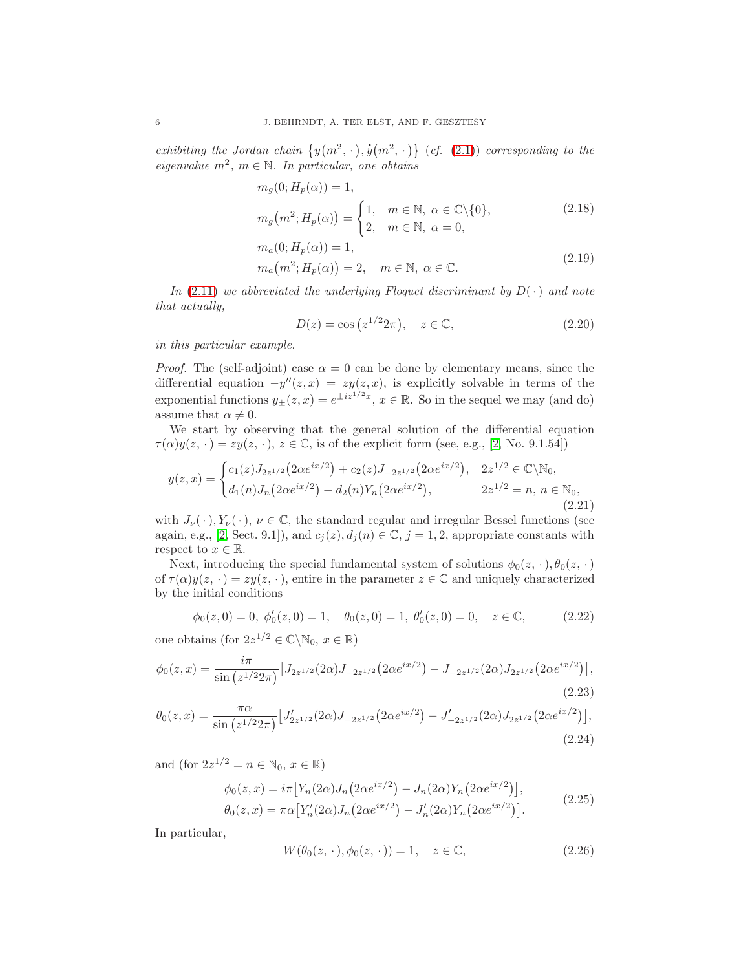exhibiting the Jordan chain  $\{y(m^2, \cdot),\}$ .  $\mathbf{\dot{y}}(m^2, \cdot)$  (cf. [\(2.1\)](#page-2-1)) corresponding to the eigenvalue  $m^2$ ,  $m \in \mathbb{N}$ . In particular, one obtains

$$
m_g(0; H_p(\alpha)) = 1,
$$
  
\n
$$
m_g(m^2; H_p(\alpha)) = \begin{cases} 1, & m \in \mathbb{N}, \ \alpha \in \mathbb{C} \setminus \{0\}, \\ 2, & m \in \mathbb{N}, \ \alpha = 0, \end{cases}
$$
\n
$$
(2.18)
$$
  
\n
$$
m_a(0; H_p(\alpha)) = 1,
$$

$$
m_a(m^2; H_p(\alpha)) = 2, \quad m \in \mathbb{N}, \ \alpha \in \mathbb{C}.
$$
 (2.19)

In [\(2.11\)](#page-4-3) we abbreviated the underlying Floquet discriminant by  $D(\cdot)$  and note that actually,

<span id="page-5-5"></span><span id="page-5-4"></span><span id="page-5-2"></span>
$$
D(z) = \cos\left(z^{1/2}2\pi\right), \quad z \in \mathbb{C},\tag{2.20}
$$

in this particular example.

*Proof.* The (self-adjoint) case  $\alpha = 0$  can be done by elementary means, since the differential equation  $-y''(z, x) = zy(z, x)$ , is explicitly solvable in terms of the exponential functions  $y_{\pm}(z, x) = e^{\pm iz^{1/2}x}$ ,  $x \in \mathbb{R}$ . So in the sequel we may (and do) assume that  $\alpha \neq 0$ .

We start by observing that the general solution of the differential equation  $\tau(\alpha)y(z, \cdot) = zy(z, \cdot), z \in \mathbb{C}$ , is of the explicit form (see, e.g., [\[2,](#page-41-13) No. 9.1.54])

<span id="page-5-3"></span>
$$
y(z,x) = \begin{cases} c_1(z)J_{2z^{1/2}}(2\alpha e^{ix/2}) + c_2(z)J_{-2z^{1/2}}(2\alpha e^{ix/2}), & 2z^{1/2} \in \mathbb{C} \backslash \mathbb{N}_0, \\ d_1(n)J_n(2\alpha e^{ix/2}) + d_2(n)Y_n(2\alpha e^{ix/2}), & 2z^{1/2} = n, n \in \mathbb{N}_0, \\ (2.21) \end{cases}
$$

with  $J_{\nu}(\cdot), Y_{\nu}(\cdot), \nu \in \mathbb{C}$ , the standard regular and irregular Bessel functions (see again, e.g., [\[2,](#page-41-13) Sect. 9.1]), and  $c_j(z)$ ,  $d_j(n) \in \mathbb{C}$ ,  $j = 1, 2$ , appropriate constants with respect to  $x \in \mathbb{R}$ .

Next, introducing the special fundamental system of solutions  $\phi_0(z, \cdot), \theta_0(z, \cdot)$ of  $\tau(\alpha)y(z, \cdot) = zy(z, \cdot)$ , entire in the parameter  $z \in \mathbb{C}$  and uniquely characterized by the initial conditions

$$
\phi_0(z,0) = 0, \ \phi'_0(z,0) = 1, \quad \theta_0(z,0) = 1, \ \theta'_0(z,0) = 0, \quad z \in \mathbb{C},
$$
\n(2.22)

one obtains (for  $2z^{1/2} \in \mathbb{C} \backslash \mathbb{N}_0$ ,  $x \in \mathbb{R}$ )

$$
\phi_0(z,x) = \frac{i\pi}{\sin\left(z^{1/2}2\pi\right)} \left[ J_{2z^{1/2}}(2\alpha) J_{-2z^{1/2}}(2\alpha e^{ix/2}) - J_{-2z^{1/2}}(2\alpha) J_{2z^{1/2}}(2\alpha e^{ix/2}) \right],\tag{2.23}
$$

$$
\theta_0(z,x) = \frac{\pi \alpha}{\sin\left(z^{1/2} 2\pi\right)} \left[ J'_{2z^{1/2}}(2\alpha) J_{-2z^{1/2}}(2\alpha e^{ix/2}) - J'_{-2z^{1/2}}(2\alpha) J_{2z^{1/2}}(2\alpha e^{ix/2}) \right],\tag{2.24}
$$

and (for  $2z^{1/2} = n \in \mathbb{N}_0, x \in \mathbb{R}$ )

$$
\phi_0(z, x) = i\pi \left[ Y_n(2\alpha) J_n(2\alpha e^{ix/2}) - J_n(2\alpha) Y_n(2\alpha e^{ix/2}) \right],
$$
  
\n
$$
\theta_0(z, x) = \pi \alpha \left[ Y'_n(2\alpha) J_n(2\alpha e^{ix/2}) - J'_n(2\alpha) Y_n(2\alpha e^{ix/2}) \right].
$$
\n(2.25)

In particular,

<span id="page-5-1"></span><span id="page-5-0"></span>
$$
W(\theta_0(z, \cdot), \phi_0(z, \cdot)) = 1, \quad z \in \mathbb{C}, \tag{2.26}
$$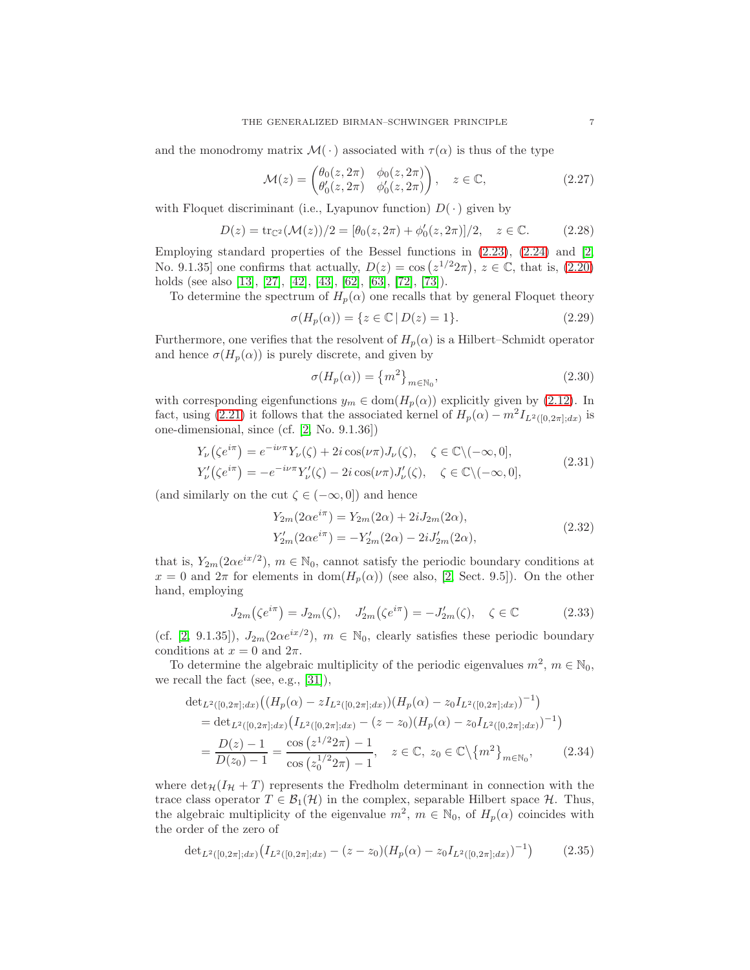and the monodromy matrix  $\mathcal{M}(\cdot)$  associated with  $\tau(\alpha)$  is thus of the type

$$
\mathcal{M}(z) = \begin{pmatrix} \theta_0(z, 2\pi) & \phi_0(z, 2\pi) \\ \theta'_0(z, 2\pi) & \phi'_0(z, 2\pi) \end{pmatrix}, \quad z \in \mathbb{C}, \tag{2.27}
$$

with Floquet discriminant (i.e., Lyapunov function)  $D(\cdot)$  given by

$$
D(z) = \text{tr}_{\mathbb{C}^2}(\mathcal{M}(z))/2 = [\theta_0(z, 2\pi) + \phi'_0(z, 2\pi)]/2, \quad z \in \mathbb{C}.
$$
 (2.28)

Employing standard properties of the Bessel functions in  $(2.23)$ ,  $(2.24)$  and  $[2,$ No. 9.1.35] one confirms that actually,  $D(z) = \cos(z^{1/2}2\pi)$ ,  $z \in \mathbb{C}$ , that is, [\(2.20\)](#page-5-2) holds (see also [\[13\]](#page-41-14), [\[27\]](#page-42-14), [\[42\]](#page-43-14), [\[43\]](#page-43-15), [\[62\]](#page-43-16), [\[63\]](#page-43-17), [\[72\]](#page-44-9), [\[73\]](#page-44-10)).

To determine the spectrum of  $H_p(\alpha)$  one recalls that by general Floquet theory

$$
\sigma(H_p(\alpha)) = \{ z \in \mathbb{C} \mid D(z) = 1 \}. \tag{2.29}
$$

Furthermore, one verifies that the resolvent of  $H_p(\alpha)$  is a Hilbert–Schmidt operator and hence  $\sigma(H_p(\alpha))$  is purely discrete, and given by

$$
\sigma(H_p(\alpha)) = \{m^2\}_{m \in \mathbb{N}_0},\tag{2.30}
$$

with corresponding eigenfunctions  $y_m \in \text{dom}(H_p(\alpha))$  explicitly given by [\(2.12\)](#page-4-2). In fact, using [\(2.21\)](#page-5-3) it follows that the associated kernel of  $H_p(\alpha) - m^2 I_{L^2([0,2\pi];dx)}$  is one-dimensional, since (cf. [\[2,](#page-41-13) No. 9.1.36])

$$
Y_{\nu}(\zeta e^{i\pi}) = e^{-i\nu\pi} Y_{\nu}(\zeta) + 2i \cos(\nu\pi) J_{\nu}(\zeta), \quad \zeta \in \mathbb{C} \setminus (-\infty, 0],
$$
  
\n
$$
Y_{\nu}'(\zeta e^{i\pi}) = -e^{-i\nu\pi} Y_{\nu}'(\zeta) - 2i \cos(\nu\pi) J_{\nu}'(\zeta), \quad \zeta \in \mathbb{C} \setminus (-\infty, 0],
$$
\n(2.31)

(and similarly on the cut  $\zeta \in (-\infty, 0]$ ) and hence

$$
Y_{2m}(2\alpha e^{i\pi}) = Y_{2m}(2\alpha) + 2iJ_{2m}(2\alpha),
$$
  
\n
$$
Y'_{2m}(2\alpha e^{i\pi}) = -Y'_{2m}(2\alpha) - 2iJ'_{2m}(2\alpha),
$$
\n(2.32)

that is,  $Y_{2m}(2\alpha e^{ix/2})$ ,  $m \in \mathbb{N}_0$ , cannot satisfy the periodic boundary conditions at  $x = 0$  and  $2\pi$  for elements in  $dom(H_p(\alpha))$  (see also, [\[2,](#page-41-13) Sect. 9.5]). On the other hand, employing

<span id="page-6-1"></span><span id="page-6-0"></span>
$$
J_{2m}(\zeta e^{i\pi}) = J_{2m}(\zeta), \quad J'_{2m}(\zeta e^{i\pi}) = -J'_{2m}(\zeta), \quad \zeta \in \mathbb{C}
$$
 (2.33)

(cf. [\[2,](#page-41-13) 9.1.35]),  $J_{2m}(2\alpha e^{ix/2})$ ,  $m \in \mathbb{N}_0$ , clearly satisfies these periodic boundary conditions at  $x = 0$  and  $2\pi$ .

To determine the algebraic multiplicity of the periodic eigenvalues  $m^2$ ,  $m \in \mathbb{N}_0$ , we recall the fact (see, e.g., [\[31\]](#page-42-15)),

$$
\begin{split} \det_{L^2([0,2\pi];dx)} \left( (H_p(\alpha) - zI_{L^2([0,2\pi];dx)}) (H_p(\alpha) - z_0I_{L^2([0,2\pi];dx)})^{-1} \right) \\ &= \det_{L^2([0,2\pi];dx)} \left( I_{L^2([0,2\pi];dx)} - (z - z_0) (H_p(\alpha) - z_0I_{L^2([0,2\pi];dx)})^{-1} \right) \\ &= \frac{D(z) - 1}{D(z_0) - 1} = \frac{\cos\left(z^{1/2}2\pi\right) - 1}{\cos\left(z_0^{1/2}2\pi\right) - 1}, \quad z \in \mathbb{C}, \ z_0 \in \mathbb{C} \setminus \{m^2\}_{m \in \mathbb{N}_0}, \end{split} \tag{2.34}
$$

where  $\det_{\mathcal{H}}(I_H + T)$  represents the Fredholm determinant in connection with the trace class operator  $T \in \mathcal{B}_1(\mathcal{H})$  in the complex, separable Hilbert space  $\mathcal{H}$ . Thus, the algebraic multiplicity of the eigenvalue  $m^2$ ,  $m \in \mathbb{N}_0$ , of  $H_p(\alpha)$  coincides with the order of the zero of

$$
\det_{L^2([0,2\pi];dx)}(I_{L^2([0,2\pi];dx)}-(z-z_0)(H_p(\alpha)-z_0I_{L^2([0,2\pi];dx)})^{-1})
$$
\n(2.35)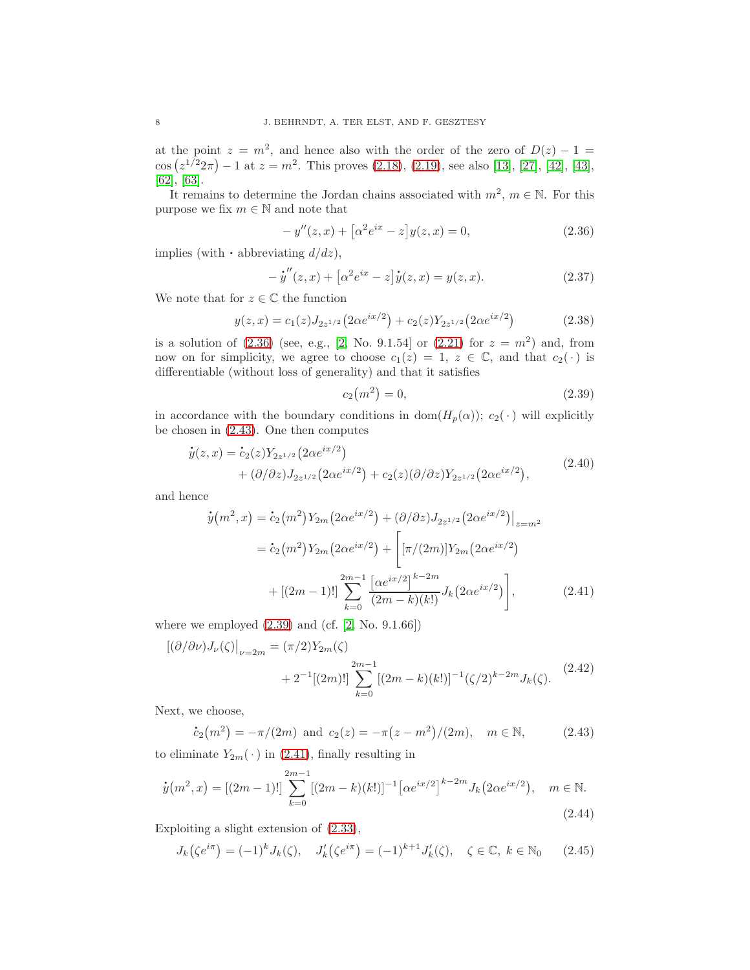at the point  $z = m^2$ , and hence also with the order of the zero of  $D(z) - 1 =$  $\cos{(z^{1/2}2\pi)} - 1$  at  $z = m^2$ . This proves [\(2.18\)](#page-5-4), [\(2.19\)](#page-5-5), see also [\[13\]](#page-41-14), [\[27\]](#page-42-14), [\[42\]](#page-43-14), [\[43\]](#page-43-15), [\[62\]](#page-43-16), [\[63\]](#page-43-17).

It remains to determine the Jordan chains associated with  $m^2$ ,  $m \in \mathbb{N}$ . For this purpose we fix  $m \in \mathbb{N}$  and note that

<span id="page-7-0"></span>
$$
-y''(z,x) + [\alpha^2 e^{ix} - z]y(z,x) = 0,
$$
\n(2.36)

implies (with  $\cdot$  abbreviating  $d/dz$ ),

$$
- \dot{y}''(z, x) + [\alpha^2 e^{ix} - z] \dot{y}(z, x) = y(z, x).
$$
 (2.37)

We note that for  $z \in \mathbb{C}$  the function

$$
y(z,x) = c_1(z)J_{2z^{1/2}}(2\alpha e^{ix/2}) + c_2(z)Y_{2z^{1/2}}(2\alpha e^{ix/2})
$$
 (2.38)

is a solution of  $(2.36)$  (see, e.g., [\[2,](#page-41-13) No. 9.1.54] or  $(2.21)$  for  $z = m^2$ ) and, from now on for simplicity, we agree to choose  $c_1(z) = 1, z \in \mathbb{C}$ , and that  $c_2(\cdot)$  is differentiable (without loss of generality) and that it satisfies

<span id="page-7-3"></span><span id="page-7-2"></span>
$$
c_2(m^2) = 0,\t\t(2.39)
$$

in accordance with the boundary conditions in  $dom(H_p(\alpha))$ ;  $c_2(\cdot)$  will explicitly be chosen in [\(2.43\)](#page-7-1). One then computes<br>  $\dot{y}(z, x) = \dot{c}_2(z) Y_{2z^{1/2}}(2\alpha e^{ix/2})$ 

$$
\dot{y}(z,x) = \dot{c}_2(z) Y_{2z^{1/2}} (2\alpha e^{ix/2}) + (\partial/\partial z) J_{2z^{1/2}} (2\alpha e^{ix/2}) + c_2(z) (\partial/\partial z) Y_{2z^{1/2}} (2\alpha e^{ix/2}),
$$
\n(2.40)

and hence

$$
\dot{y}(m^2, x) = \dot{c}_2(m^2) Y_{2m} (2\alpha e^{ix/2}) + (\partial/\partial z) J_{2z^{1/2}} (2\alpha e^{ix/2}) \Big|_{z=m^2}
$$

$$
= \dot{c}_2(m^2) Y_{2m} (2\alpha e^{ix/2}) + \left[ [\pi/(2m)] Y_{2m} (2\alpha e^{ix/2}) + [2m-1)!] \sum_{k=0}^{2m-1} \frac{\left[\alpha e^{ix/2}\right]^{k-2m}}{(2m-k)(k!)} J_k (2\alpha e^{ix/2}) \right],
$$
(2.41)

where we employed  $(2.39)$  and  $(cf. [2, No. 9.1.66])$  $(cf. [2, No. 9.1.66])$  $(cf. [2, No. 9.1.66])$ 

$$
[(\partial/\partial \nu)J_{\nu}(\zeta)\big|_{\nu=2m} = (\pi/2)Y_{2m}(\zeta)
$$
  
+2<sup>-1</sup>[(2m)!]  $\sum_{k=0}^{2m-1} [(2m-k)(k!)]^{-1} (\zeta/2)^{k-2m} J_{k}(\zeta).$  (2.42)

Next, we choose,

<span id="page-7-1"></span>
$$
\dot{c}_2(m^2) = -\pi/(2m) \text{ and } c_2(z) = -\pi(z - m^2)/(2m), \quad m \in \mathbb{N}, \tag{2.43}
$$

to eliminate  $Y_{2m}(\cdot)$  in [\(2.41\)](#page-7-3), finally resulting in

<span id="page-7-4"></span>
$$
\dot{y}(m^2, x) = [(2m - 1)!] \sum_{k=0}^{2m-1} [(2m - k)(k!)]^{-1} [\alpha e^{ix/2}]^{k-2m} J_k(2\alpha e^{ix/2}), \quad m \in \mathbb{N}.
$$
\n(2.44)

Exploiting a slight extension of [\(2.33\)](#page-6-0),

$$
J_k(\zeta e^{i\pi}) = (-1)^k J_k(\zeta), \quad J'_k(\zeta e^{i\pi}) = (-1)^{k+1} J'_k(\zeta), \quad \zeta \in \mathbb{C}, \ k \in \mathbb{N}_0 \tag{2.45}
$$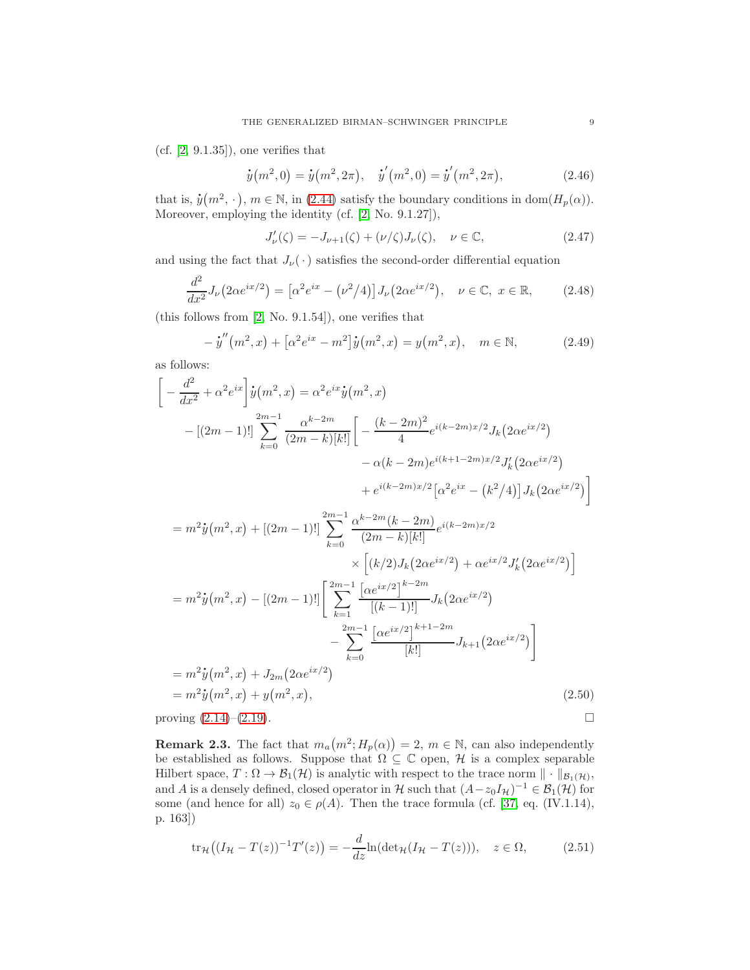(cf. [\[2,](#page-41-13) 9.1.35]), one verifies that

$$
\dot{y}(m^2,0) = \dot{y}(m^2,2\pi), \quad \dot{y}'(m^2,0) = \dot{y}'(m^2,2\pi), \tag{2.46}
$$

that is,  $\dot{y}(m^2, \cdot), m \in \mathbb{N}$ , in [\(2.44\)](#page-7-4) satisfy the boundary conditions in dom $(H_p(\alpha))$ . Moreover, employing the identity (cf. [\[2,](#page-41-13) No. 9.1.27]),

$$
J'_{\nu}(\zeta) = -J_{\nu+1}(\zeta) + (\nu/\zeta)J_{\nu}(\zeta), \quad \nu \in \mathbb{C}, \tag{2.47}
$$

and using the fact that  $J_{\nu}(\cdot)$  satisfies the second-order differential equation

$$
\frac{d^2}{dx^2}J_{\nu}\left(2\alpha e^{ix/2}\right) = \left[\alpha^2 e^{ix} - \left(\nu^2/4\right)\right]J_{\nu}\left(2\alpha e^{ix/2}\right), \quad \nu \in \mathbb{C}, \ x \in \mathbb{R},\tag{2.48}
$$

(this follows from [\[2,](#page-41-13) No. 9.1.54]), one verifies that

$$
- \dot{y}''(m^2, x) + [\alpha^2 e^{ix} - m^2] \dot{y}(m^2, x) = y(m^2, x), \quad m \in \mathbb{N},
$$
 (2.49)

as follows:

$$
\begin{aligned}\n&\left[-\frac{d^2}{dx^2} + \alpha^2 e^{ix}\right]\dot{y}(m^2, x) = \alpha^2 e^{ix}\dot{y}(m^2, x) \\
&-[(2m-1)!] \sum_{k=0}^{2m-1} \frac{\alpha^{k-2m}}{(2m-k)[k!]} \left[-\frac{(k-2m)^2}{4} e^{i(k-2m)x/2} J_k(2\alpha e^{ix/2})\right. \\
&\left. - \alpha(k-2m)e^{i(k+1-2m)x/2} J'_k(2\alpha e^{ix/2})\right. \\
&\left. + e^{i(k-2m)x/2} [\alpha^2 e^{ix} - (k^2/4)] J_k(2\alpha e^{ix/2})\right] \\
&= m^2 \dot{y}(m^2, x) + [(2m-1)!] \sum_{k=0}^{2m-1} \frac{\alpha^{k-2m}(k-2m)}{(2m-k)[k!]} e^{i(k-2m)x/2} \\
&\times [(k/2)J_k(2\alpha e^{ix/2}) + \alpha e^{ix/2} J'_k(2\alpha e^{ix/2})] \\
&= m^2 \dot{y}(m^2, x) - [(2m-1)!] \left[\sum_{k=1}^{2m-1} \frac{[\alpha e^{ix/2}]^{k-2m}}{[(k-1)!]} J_k(2\alpha e^{ix/2})\right. \\
&\left. - \sum_{k=0}^{2m-1} \frac{[\alpha e^{ix/2}]^{k+1-2m}}{[k!]} J_{k+1}(2\alpha e^{ix/2})\right] \\
&= m^2 \dot{y}(m^2, x) + J_{2m}(2\alpha e^{ix/2}) \\
&= m^2 \dot{y}(m^2, x) + y(m^2, x), \end{aligned} \tag{2.50}
$$

proving  $(2.14)$ – $(2.19)$ .

**Remark 2.3.** The fact that  $m_a(m^2; H_p(\alpha)) = 2$ ,  $m \in \mathbb{N}$ , can also independently be established as follows. Suppose that  $\Omega \subseteq \mathbb{C}$  open,  $\mathcal{H}$  is a complex separable Hilbert space,  $T: \Omega \to \mathcal{B}_1(\mathcal{H})$  is analytic with respect to the trace norm  $\|\cdot\|_{\mathcal{B}_1(\mathcal{H})}$ , and A is a densely defined, closed operator in H such that  $(A - z_0 I_H)^{-1} \in \mathcal{B}_1(\mathcal{H})$  for some (and hence for all)  $z_0 \in \rho(A)$ . Then the trace formula (cf. [\[37,](#page-42-13) eq. (IV.1.14), p. 163])

$$
\operatorname{tr}_{\mathcal{H}}\big((I_{\mathcal{H}}-T(z))^{-1}T'(z)\big)=-\frac{d}{dz}\ln(\det_{\mathcal{H}}(I_{\mathcal{H}}-T(z))), \quad z\in\Omega,\tag{2.51}
$$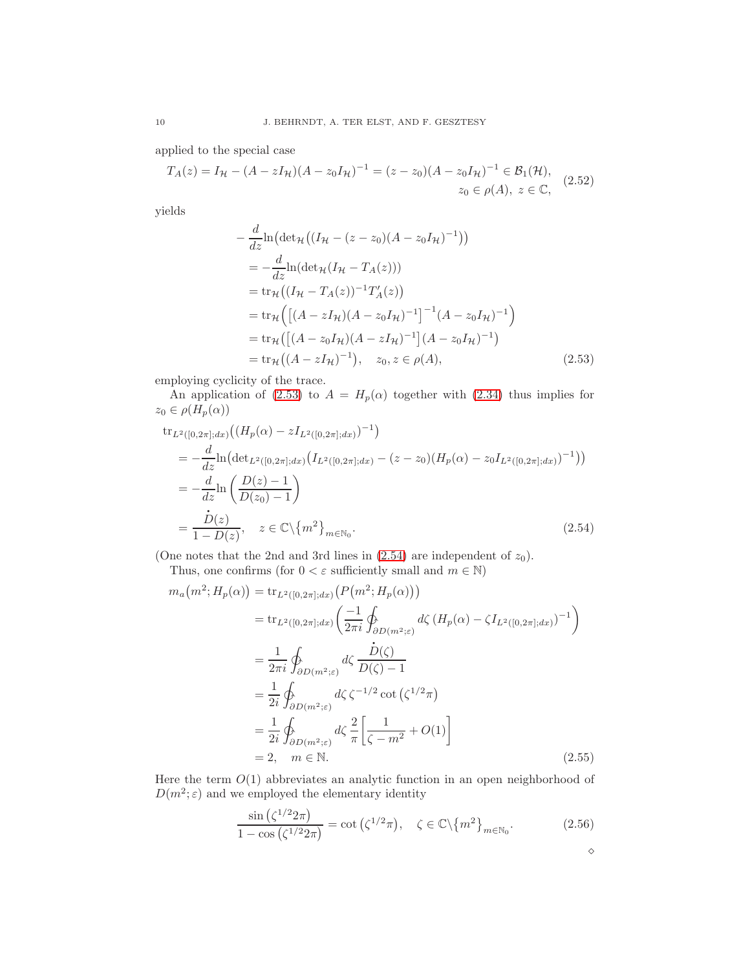applied to the special case

$$
T_A(z) = I_{\mathcal{H}} - (A - zI_{\mathcal{H}})(A - z_0I_{\mathcal{H}})^{-1} = (z - z_0)(A - z_0I_{\mathcal{H}})^{-1} \in \mathcal{B}_1(\mathcal{H}),
$$
  

$$
z_0 \in \rho(A), \ z \in \mathbb{C},
$$
 (2.52)

yields

<span id="page-9-0"></span>
$$
-\frac{d}{dz}\ln\left(\det_{\mathcal{H}}\left((I_{\mathcal{H}}-(z-z_{0})(A-z_{0}I_{\mathcal{H}})^{-1})\right)\right)
$$
  
=\frac{d}{dz}\ln\left(\det\_{\mathcal{H}}(I\_{\mathcal{H}}-T\_{A}(z))\right)  
=\text{tr}\_{\mathcal{H}}\left((I\_{\mathcal{H}}-T\_{A}(z))^{-1}T'\_{A}(z)\right)  
=\text{tr}\_{\mathcal{H}}\left(\left[(A-zI\_{\mathcal{H}})(A-z\_{0}I\_{\mathcal{H}})^{-1}\right]^{-1}(A-z\_{0}I\_{\mathcal{H}})^{-1}\right)  
=\text{tr}\_{\mathcal{H}}\left(\left[(A-z\_{0}I\_{\mathcal{H}})(A-z\_{0}I\_{\mathcal{H}})^{-1}\right](A-z\_{0}I\_{\mathcal{H}})^{-1}\right)  
=\text{tr}\_{\mathcal{H}}\left((A-zI\_{\mathcal{H}})^{-1}), z\_{0}, z \in \rho(A), \qquad (2.53)

employing cyclicity of the trace.

An application of [\(2.53\)](#page-9-0) to  $A = H_p(\alpha)$  together with [\(2.34\)](#page-6-1) thus implies for  $z_0\in\rho(H_p(\alpha))$ 

$$
\begin{split} &\text{tr}_{L^{2}([0,2\pi];dx)}\big((H_{p}(\alpha)-zI_{L^{2}([0,2\pi];dx)})^{-1}\big) \\ &= -\frac{d}{dz}\text{ln}\big(\text{det}_{L^{2}([0,2\pi];dx)}\big(I_{L^{2}([0,2\pi];dx)}-(z-z_{0})(H_{p}(\alpha)-z_{0}I_{L^{2}([0,2\pi];dx)})^{-1}\big)\big) \\ &= -\frac{d}{dz}\text{ln}\left(\frac{D(z)-1}{D(z_{0})-1}\right) \\ &= \frac{\dot{D}(z)}{1-D(z)}, \quad z \in \mathbb{C}\backslash\{m^{2}\}_{m\in\mathbb{N}_{0}}.\end{split} \tag{2.54}
$$

(One notes that the 2nd and 3rd lines in  $(2.54)$  are independent of  $z_0$ ).

<span id="page-9-1"></span>Thus, one confirms (for  $0 < \varepsilon$  sufficiently small and  $m \in \mathbb{N}$ )

$$
m_a(m^2; H_p(\alpha)) = \text{tr}_{L^2([0,2\pi];dx)}(P(m^2; H_p(\alpha)))
$$
  
\n
$$
= \text{tr}_{L^2([0,2\pi];dx)}\left(\frac{-1}{2\pi i}\oint_{\partial D(m^2;\varepsilon)} d\zeta (H_p(\alpha) - \zeta I_{L^2([0,2\pi];dx)})^{-1}\right)
$$
  
\n
$$
= \frac{1}{2\pi i}\oint_{\partial D(m^2;\varepsilon)} d\zeta \frac{\dot{D}(\zeta)}{D(\zeta) - 1}
$$
  
\n
$$
= \frac{1}{2i}\oint_{\partial D(m^2;\varepsilon)} d\zeta \zeta^{-1/2} \cot(\zeta^{1/2}\pi)
$$
  
\n
$$
= \frac{1}{2i}\oint_{\partial D(m^2;\varepsilon)} d\zeta \frac{2}{\pi} \left[\frac{1}{\zeta - m^2} + O(1)\right]
$$
  
\n
$$
= 2, \quad m \in \mathbb{N}.
$$
 (2.55)

Here the term  $O(1)$  abbreviates an analytic function in an open neighborhood of  $D(m^2; \varepsilon)$  and we employed the elementary identity

$$
\frac{\sin\left(\zeta^{1/2}2\pi\right)}{1-\cos\left(\zeta^{1/2}2\pi\right)} = \cot\left(\zeta^{1/2}\pi\right), \quad \zeta \in \mathbb{C}\backslash\{m^2\}_{m \in \mathbb{N}_0}.\tag{2.56}
$$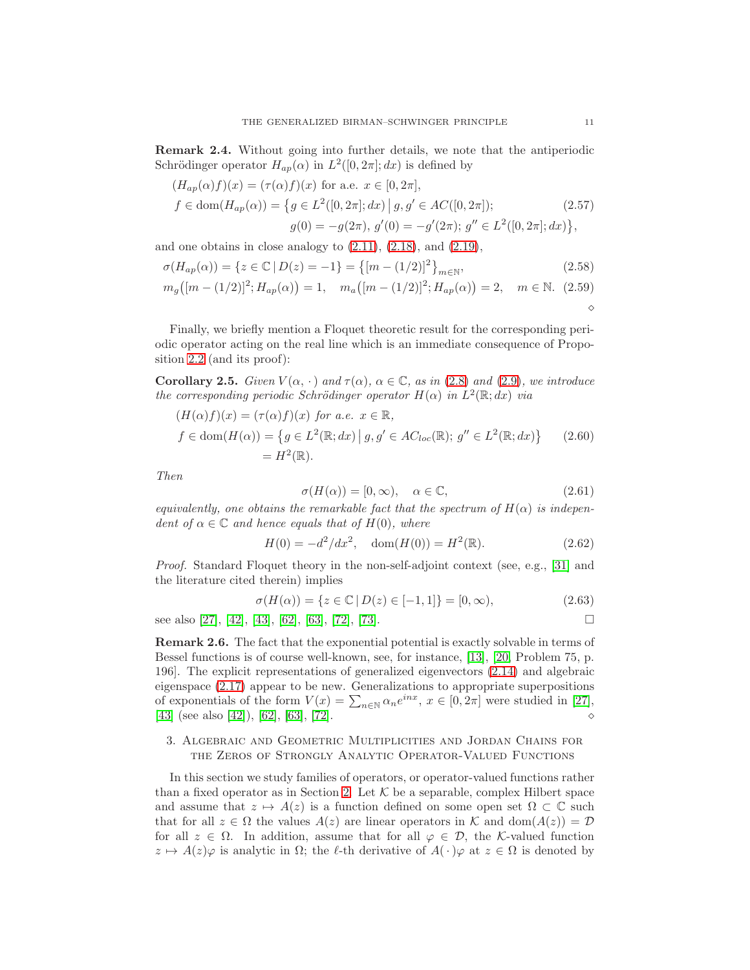Remark 2.4. Without going into further details, we note that the antiperiodic Schrödinger operator  $H_{ap}(\alpha)$  in  $L^2([0, 2\pi]; dx)$  is defined by

$$
(H_{ap}(\alpha)f)(x) = (\tau(\alpha)f)(x) \text{ for a.e. } x \in [0, 2\pi],
$$
  
\n
$$
f \in \text{dom}(H_{ap}(\alpha)) = \{g \in L^2([0, 2\pi]; dx) \mid g, g' \in AC([0, 2\pi]);
$$
  
\n
$$
g(0) = -g(2\pi), g'(0) = -g'(2\pi); g'' \in L^2([0, 2\pi]; dx)\},
$$
\n(2.57)

and one obtains in close analogy to  $(2.11)$ ,  $(2.18)$ , and  $(2.19)$ ,

$$
\sigma(H_{ap}(\alpha)) = \{ z \in \mathbb{C} \mid D(z) = -1 \} = \{ [m - (1/2)]^2 \}_{m \in \mathbb{N}},
$$
\n(2.58)

$$
m_g([m - (1/2)]^2; H_{ap}(\alpha)) = 1, \quad m_a([m - (1/2)]^2; H_{ap}(\alpha)) = 2, \quad m \in \mathbb{N}. \tag{2.59}
$$

Finally, we briefly mention a Floquet theoretic result for the corresponding periodic operator acting on the real line which is an immediate consequence of Proposition [2.2](#page-3-0) (and its proof):

Corollary 2.5. Given  $V(\alpha, \cdot)$  and  $\tau(\alpha)$ ,  $\alpha \in \mathbb{C}$ , as in [\(2.8\)](#page-3-2) and [\(2.9\)](#page-4-1), we introduce the corresponding periodic Schrödinger operator  $H(\alpha)$  in  $L^2(\mathbb{R};dx)$  via

$$
(H(\alpha)f)(x) = (\tau(\alpha)f)(x) \text{ for a.e. } x \in \mathbb{R},
$$
  

$$
f \in \text{dom}(H(\alpha)) = \{ g \in L^2(\mathbb{R}; dx) \mid g, g' \in AC_{loc}(\mathbb{R}); g'' \in L^2(\mathbb{R}; dx) \}
$$
 (2.60)  

$$
= H^2(\mathbb{R}).
$$

Then

$$
\sigma(H(\alpha)) = [0, \infty), \quad \alpha \in \mathbb{C}, \tag{2.61}
$$

equivalently, one obtains the remarkable fact that the spectrum of  $H(\alpha)$  is independent of  $\alpha \in \mathbb{C}$  and hence equals that of  $H(0)$ , where

$$
H(0) = -d^2/dx^2, \quad \text{dom}(H(0)) = H^2(\mathbb{R}).
$$
\n(2.62)

Proof. Standard Floquet theory in the non-self-adjoint context (see, e.g., [\[31\]](#page-42-15) and the literature cited therein) implies

$$
\sigma(H(\alpha)) = \{ z \in \mathbb{C} \mid D(z) \in [-1, 1] \} = [0, \infty), \tag{2.63}
$$

see also [\[27\]](#page-42-14), [\[42\]](#page-43-14), [\[43\]](#page-43-15), [\[62\]](#page-43-16), [\[63\]](#page-43-17), [\[72\]](#page-44-9), [\[73\]](#page-44-10).

Remark 2.6. The fact that the exponential potential is exactly solvable in terms of Bessel functions is of course well-known, see, for instance, [\[13\]](#page-41-14), [\[20,](#page-42-16) Problem 75, p. 196]. The explicit representations of generalized eigenvectors [\(2.14\)](#page-4-4) and algebraic eigenspace [\(2.17\)](#page-4-5) appear to be new. Generalizations to appropriate superpositions of exponentials of the form  $V(x) = \sum_{n \in \mathbb{N}} \alpha_n e^{inx}, x \in [0, 2\pi]$  were studied in [\[27\]](#page-42-14),  $[43]$  (see also  $[42]$ ),  $[62]$ ,  $[63]$ ,  $[72]$ .

# <span id="page-10-0"></span>3. Algebraic and Geometric Multiplicities and Jordan Chains for the Zeros of Strongly Analytic Operator-Valued Functions

In this section we study families of operators, or operator-valued functions rather than a fixed operator as in Section [2.](#page-2-0) Let  $K$  be a separable, complex Hilbert space and assume that  $z \mapsto A(z)$  is a function defined on some open set  $\Omega \subset \mathbb{C}$  such that for all  $z \in \Omega$  the values  $A(z)$  are linear operators in K and dom $(A(z)) = \mathcal{D}$ for all  $z \in \Omega$ . In addition, assume that for all  $\varphi \in \mathcal{D}$ , the K-valued function  $z \mapsto A(z)\varphi$  is analytic in  $\Omega$ ; the  $\ell$ -th derivative of  $A(\cdot)\varphi$  at  $z \in \Omega$  is denoted by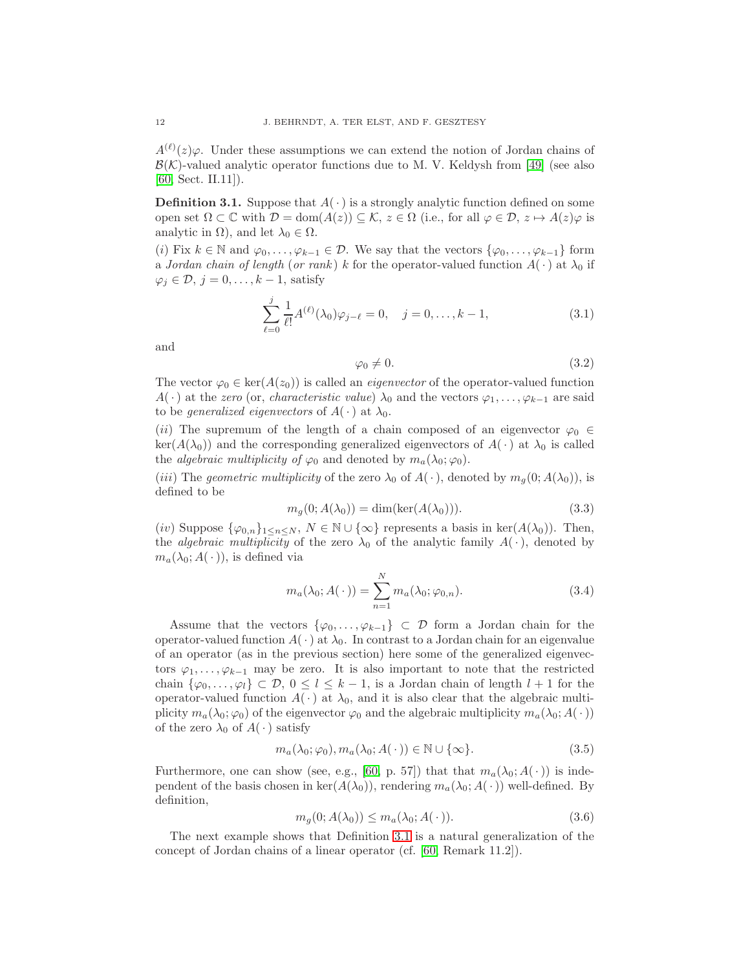$A^{(\ell)}(z)\varphi$ . Under these assumptions we can extend the notion of Jordan chains of  $\mathcal{B}(\mathcal{K})$ -valued analytic operator functions due to M. V. Keldysh from [\[49\]](#page-43-18) (see also [\[60,](#page-43-19) Sect. II.11]).

<span id="page-11-0"></span>**Definition 3.1.** Suppose that  $A(\cdot)$  is a strongly analytic function defined on some open set  $\Omega \subset \mathbb{C}$  with  $\mathcal{D} = \text{dom}(A(z)) \subseteq \mathcal{K}$ ,  $z \in \Omega$  (i.e., for all  $\varphi \in \mathcal{D}$ ,  $z \mapsto A(z)\varphi$  is analytic in  $\Omega$ ), and let  $\lambda_0 \in \Omega$ .

(i) Fix  $k \in \mathbb{N}$  and  $\varphi_0, \ldots, \varphi_{k-1} \in \mathcal{D}$ . We say that the vectors  $\{\varphi_0, \ldots, \varphi_{k-1}\}\$  form a Jordan chain of length (or rank) k for the operator-valued function  $A(\cdot)$  at  $\lambda_0$  if  $\varphi_i \in \mathcal{D}, j = 0, \ldots, k-1$ , satisfy

$$
\sum_{\ell=0}^{j} \frac{1}{\ell!} A^{(\ell)}(\lambda_0) \varphi_{j-\ell} = 0, \quad j = 0, \dots, k-1,
$$
\n(3.1)

and

$$
\varphi_0 \neq 0. \tag{3.2}
$$

The vector  $\varphi_0 \in \text{ker}(A(z_0))$  is called an *eigenvector* of the operator-valued function  $A(\cdot)$  at the zero (or, *characteristic value*)  $\lambda_0$  and the vectors  $\varphi_1, \ldots, \varphi_{k-1}$  are said to be *generalized eigenvectors* of  $A(\cdot)$  at  $\lambda_0$ .

(ii) The supremum of the length of a chain composed of an eigenvector  $\varphi_0 \in$  $ker(A(\lambda_0))$  and the corresponding generalized eigenvectors of  $A(\cdot)$  at  $\lambda_0$  is called the *algebraic multiplicity of*  $\varphi_0$  and denoted by  $m_a(\lambda_0; \varphi_0)$ .

(iii) The geometric multiplicity of the zero  $\lambda_0$  of  $A(\cdot)$ , denoted by  $m_q(0; A(\lambda_0))$ , is defined to be

$$
m_g(0; A(\lambda_0)) = \dim(\ker(A(\lambda_0))).
$$
\n(3.3)

(iv) Suppose  $\{\varphi_{0,n}\}_{1\leq n\leq N}, N \in \mathbb{N} \cup \{\infty\}$  represents a basis in ker $(A(\lambda_0))$ . Then, the *algebraic multiplicity* of the zero  $\lambda_0$  of the analytic family  $A(\cdot)$ , denoted by  $m_a(\lambda_0; A(\cdot))$ , is defined via

$$
m_a(\lambda_0; A(\cdot)) = \sum_{n=1}^{N} m_a(\lambda_0; \varphi_{0,n}).
$$
\n(3.4)

Assume that the vectors  $\{\varphi_0,\ldots,\varphi_{k-1}\}\subset\mathcal{D}$  form a Jordan chain for the operator-valued function  $A(\cdot)$  at  $\lambda_0$ . In contrast to a Jordan chain for an eigenvalue of an operator (as in the previous section) here some of the generalized eigenvectors  $\varphi_1, \ldots, \varphi_{k-1}$  may be zero. It is also important to note that the restricted chain  $\{\varphi_0,\ldots,\varphi_l\} \subset \mathcal{D}, 0 \leq l \leq k-1$ , is a Jordan chain of length  $l+1$  for the operator-valued function  $A(\cdot)$  at  $\lambda_0$ , and it is also clear that the algebraic multiplicity  $m_a(\lambda_0; \varphi_0)$  of the eigenvector  $\varphi_0$  and the algebraic multiplicity  $m_a(\lambda_0; A(\cdot))$ of the zero  $\lambda_0$  of  $A(\cdot)$  satisfy

$$
m_a(\lambda_0; \varphi_0), m_a(\lambda_0; A(\cdot)) \in \mathbb{N} \cup \{\infty\}.
$$
 (3.5)

Furthermore, one can show (see, e.g., [\[60,](#page-43-19) p. 57]) that that  $m_a(\lambda_0; A(\cdot))$  is independent of the basis chosen in ker( $A(\lambda_0)$ ), rendering  $m_a(\lambda_0; A(\cdot))$  well-defined. By definition,

<span id="page-11-1"></span>
$$
m_g(0; A(\lambda_0)) \le m_a(\lambda_0; A(\cdot)). \tag{3.6}
$$

The next example shows that Definition [3.1](#page-11-0) is a natural generalization of the concept of Jordan chains of a linear operator (cf. [\[60,](#page-43-19) Remark 11.2]).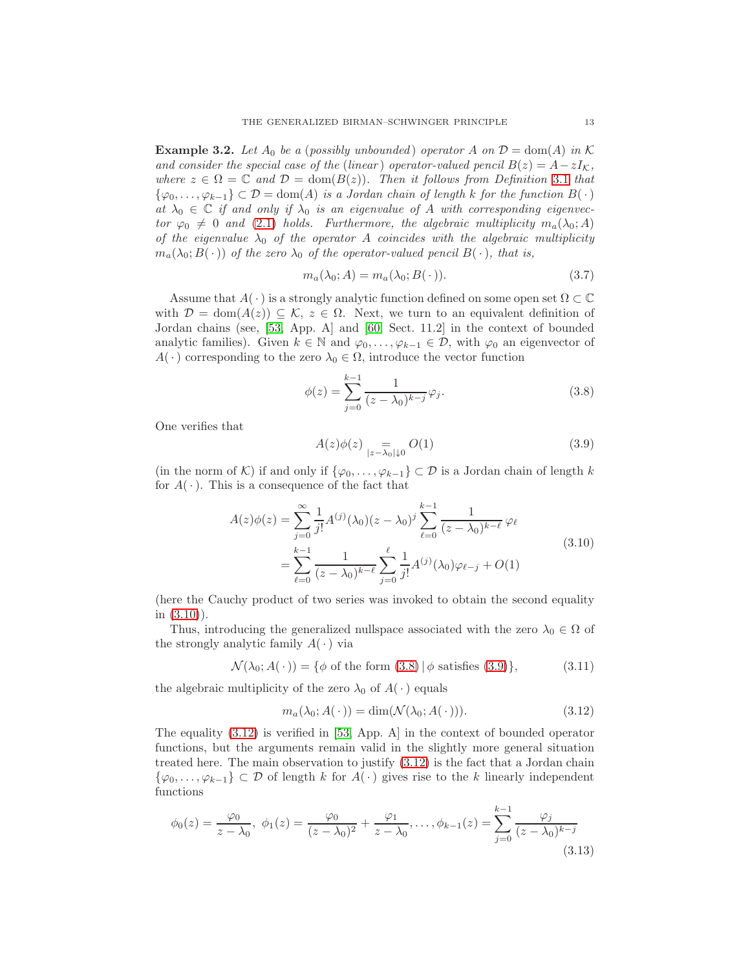**Example 3.2.** Let  $A_0$  be a (possibly unbounded) operator A on  $\mathcal{D} = \text{dom}(A)$  in K and consider the special case of the (linear) operator-valued pencil  $B(z) = A - zI_{\mathcal{K}}$ , where  $z \in \Omega = \mathbb{C}$  and  $\mathcal{D} = \text{dom}(B(z))$ . Then it follows from Definition [3.1](#page-11-0) that  $\{\varphi_0,\ldots,\varphi_{k-1}\}\subset\mathcal{D}=\text{dom}(A)$  is a Jordan chain of length k for the function  $B(\cdot)$ at  $\lambda_0 \in \mathbb{C}$  if and only if  $\lambda_0$  is an eigenvalue of A with corresponding eigenvector  $\varphi_0 \neq 0$  and [\(2.1\)](#page-2-1) holds. Furthermore, the algebraic multiplicity  $m_a(\lambda_0; A)$ of the eigenvalue  $\lambda_0$  of the operator A coincides with the algebraic multiplicity  $m_a(\lambda_0; B(\cdot))$  of the zero  $\lambda_0$  of the operator-valued pencil  $B(\cdot)$ , that is,

$$
m_a(\lambda_0; A) = m_a(\lambda_0; B(\cdot)).
$$
\n(3.7)

Assume that  $A(\cdot)$  is a strongly analytic function defined on some open set  $\Omega \subset \mathbb{C}$ with  $\mathcal{D} = \text{dom}(A(z)) \subseteq \mathcal{K}, z \in \Omega$ . Next, we turn to an equivalent definition of Jordan chains (see, [\[53,](#page-43-20) App. A] and [\[60,](#page-43-19) Sect. 11.2] in the context of bounded analytic families). Given  $k \in \mathbb{N}$  and  $\varphi_0, \ldots, \varphi_{k-1} \in \mathcal{D}$ , with  $\varphi_0$  an eigenvector of  $A(\cdot)$  corresponding to the zero  $\lambda_0 \in \Omega$ , introduce the vector function

<span id="page-12-1"></span>
$$
\phi(z) = \sum_{j=0}^{k-1} \frac{1}{(z - \lambda_0)^{k-j}} \varphi_j.
$$
\n(3.8)

One verifies that

<span id="page-12-2"></span><span id="page-12-0"></span>
$$
A(z)\phi(z) =_{|z-\lambda_0|\downarrow 0} O(1) \tag{3.9}
$$

(in the norm of K) if and only if  $\{\varphi_0, \ldots, \varphi_{k-1}\} \subset \mathcal{D}$  is a Jordan chain of length k for  $A(\cdot)$ . This is a consequence of the fact that

$$
A(z)\phi(z) = \sum_{j=0}^{\infty} \frac{1}{j!} A^{(j)}(\lambda_0)(z - \lambda_0)^j \sum_{\ell=0}^{k-1} \frac{1}{(z - \lambda_0)^{k-\ell}} \varphi_{\ell}
$$
  
= 
$$
\sum_{\ell=0}^{k-1} \frac{1}{(z - \lambda_0)^{k-\ell}} \sum_{j=0}^{\ell} \frac{1}{j!} A^{(j)}(\lambda_0) \varphi_{\ell-j} + O(1)
$$
 (3.10)

(here the Cauchy product of two series was invoked to obtain the second equality in  $(3.10)$ ).

Thus, introducing the generalized nullspace associated with the zero  $\lambda_0 \in \Omega$  of the strongly analytic family  $A(\cdot)$  via

$$
\mathcal{N}(\lambda_0; A(\cdot)) = \{ \phi \text{ of the form } (3.8) \, | \, \phi \text{ satisfies } (3.9) \},\tag{3.11}
$$

the algebraic multiplicity of the zero  $\lambda_0$  of  $A(\cdot)$  equals

<span id="page-12-3"></span>
$$
m_a(\lambda_0; A(\cdot)) = \dim(\mathcal{N}(\lambda_0; A(\cdot))). \tag{3.12}
$$

The equality [\(3.12\)](#page-12-3) is verified in [\[53,](#page-43-20) App. A] in the context of bounded operator functions, but the arguments remain valid in the slightly more general situation treated here. The main observation to justify [\(3.12\)](#page-12-3) is the fact that a Jordan chain  $\{\varphi_0,\ldots,\varphi_{k-1}\}\subset\mathcal{D}$  of length k for  $A(\cdot)$  gives rise to the k linearly independent functions

$$
\phi_0(z) = \frac{\varphi_0}{z - \lambda_0}, \ \phi_1(z) = \frac{\varphi_0}{(z - \lambda_0)^2} + \frac{\varphi_1}{z - \lambda_0}, \dots, \phi_{k-1}(z) = \sum_{j=0}^{k-1} \frac{\varphi_j}{(z - \lambda_0)^{k-j}}
$$
\n(3.13)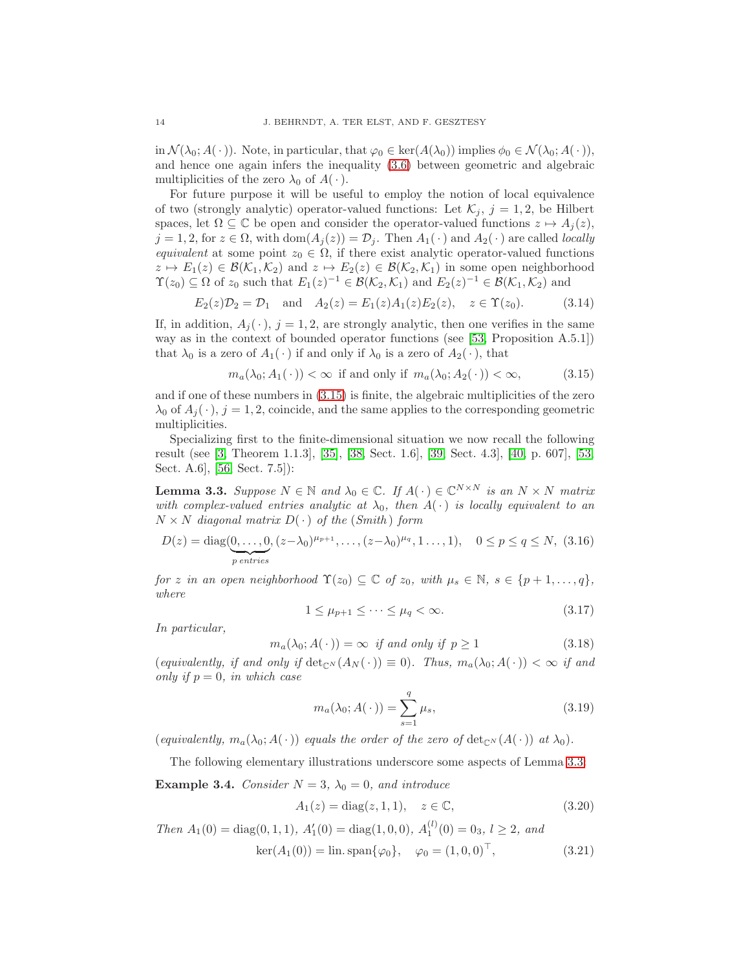in  $\mathcal{N}(\lambda_0; A(\cdot))$ . Note, in particular, that  $\varphi_0 \in \text{ker}(A(\lambda_0))$  implies  $\phi_0 \in \mathcal{N}(\lambda_0; A(\cdot))$ , and hence one again infers the inequality [\(3.6\)](#page-11-1) between geometric and algebraic multiplicities of the zero  $\lambda_0$  of  $A(\cdot)$ .

For future purpose it will be useful to employ the notion of local equivalence of two (strongly analytic) operator-valued functions: Let  $\mathcal{K}_i$ ,  $j = 1, 2$ , be Hilbert spaces, let  $\Omega \subseteq \mathbb{C}$  be open and consider the operator-valued functions  $z \mapsto A_i(z)$ ,  $j = 1, 2$ , for  $z \in \Omega$ , with  $\text{dom}(A_j(z)) = \mathcal{D}_j$ . Then  $A_1(\cdot)$  and  $A_2(\cdot)$  are called *locally* equivalent at some point  $z_0 \in \Omega$ , if there exist analytic operator-valued functions  $z \mapsto E_1(z) \in \mathcal{B}(\mathcal{K}_1, \mathcal{K}_2)$  and  $z \mapsto E_2(z) \in \mathcal{B}(\mathcal{K}_2, \mathcal{K}_1)$  in some open neighborhood  $\Upsilon(z_0) \subseteq \Omega$  of  $z_0$  such that  $E_1(z)^{-1} \in \mathcal{B}(\mathcal{K}_2, \mathcal{K}_1)$  and  $E_2(z)^{-1} \in \mathcal{B}(\mathcal{K}_1, \mathcal{K}_2)$  and

$$
E_2(z)\mathcal{D}_2 = \mathcal{D}_1
$$
 and  $A_2(z) = E_1(z)A_1(z)E_2(z)$ ,  $z \in \Upsilon(z_0)$ . (3.14)

If, in addition,  $A_i(\cdot)$ ,  $j = 1, 2$ , are strongly analytic, then one verifies in the same way as in the context of bounded operator functions (see [\[53,](#page-43-20) Proposition A.5.1]) that  $\lambda_0$  is a zero of  $A_1(\cdot)$  if and only if  $\lambda_0$  is a zero of  $A_2(\cdot)$ , that

<span id="page-13-0"></span>
$$
m_a(\lambda_0; A_1(\cdot)) < \infty \text{ if and only if } m_a(\lambda_0; A_2(\cdot)) < \infty,\tag{3.15}
$$

and if one of these numbers in [\(3.15\)](#page-13-0) is finite, the algebraic multiplicities of the zero  $\lambda_0$  of  $A_i(\cdot)$ ,  $j = 1, 2$ , coincide, and the same applies to the corresponding geometric multiplicities.

Specializing first to the finite-dimensional situation we now recall the following result (see [\[3,](#page-41-15) Theorem 1.1.3], [\[35\]](#page-42-17), [\[38,](#page-42-18) Sect. 1.6], [\[39,](#page-42-19) Sect. 4.3], [\[40,](#page-42-20) p. 607], [\[53,](#page-43-20) Sect. A.6], [\[56,](#page-43-21) Sect. 7.5]):

<span id="page-13-1"></span>**Lemma 3.3.** Suppose  $N \in \mathbb{N}$  and  $\lambda_0 \in \mathbb{C}$ . If  $A(\cdot) \in \mathbb{C}^{N \times N}$  is an  $N \times N$  matrix with complex-valued entries analytic at  $\lambda_0$ , then  $A(\cdot)$  is locally equivalent to an  $N \times N$  diagonal matrix  $D(\cdot)$  of the (Smith) form

$$
D(z) = \text{diag}(\underbrace{0, \dots, 0}_{p \text{ entries}}, (z - \lambda_0)^{\mu_{p+1}}, \dots, (z - \lambda_0)^{\mu_q}, 1 \dots, 1), \quad 0 \le p \le q \le N, (3.16)
$$

for z in an open neighborhood  $\Upsilon(z_0) \subseteq \mathbb{C}$  of  $z_0$ , with  $\mu_s \in \mathbb{N}, s \in \{p+1,\ldots,q\},$ where

$$
1 \le \mu_{p+1} \le \dots \le \mu_q < \infty. \tag{3.17}
$$

In particular,

$$
m_a(\lambda_0; A(\cdot)) = \infty \text{ if and only if } p \ge 1 \tag{3.18}
$$

(equivalently, if and only if  $\det_{\mathbb{C}^N}(A_N(\cdot)) \equiv 0$ ). Thus,  $m_a(\lambda_0; A(\cdot)) < \infty$  if and only if  $p = 0$ , in which case

$$
m_a(\lambda_0; A(\cdot)) = \sum_{s=1}^q \mu_s,
$$
\n(3.19)

(equivalently,  $m_a(\lambda_0; A(\cdot))$  equals the order of the zero of  $\det_{\mathbb{C}^N}(A(\cdot))$  at  $\lambda_0$ ).

The following elementary illustrations underscore some aspects of Lemma [3.3:](#page-13-1)

<span id="page-13-2"></span>**Example 3.4.** Consider  $N = 3$ ,  $\lambda_0 = 0$ , and introduce

$$
A_1(z) = \text{diag}(z, 1, 1), \quad z \in \mathbb{C}, \tag{3.20}
$$

Then  $A_1(0) = \text{diag}(0, 1, 1), A'_1(0) = \text{diag}(1, 0, 0), A_1^{(l)}(0) = 0_3, l \ge 2, and$  $\ker(A_1(0)) = \lim \text{span}\{\varphi_0\}, \quad \varphi_0 = (1, 0, 0)^\top,$  (3.21)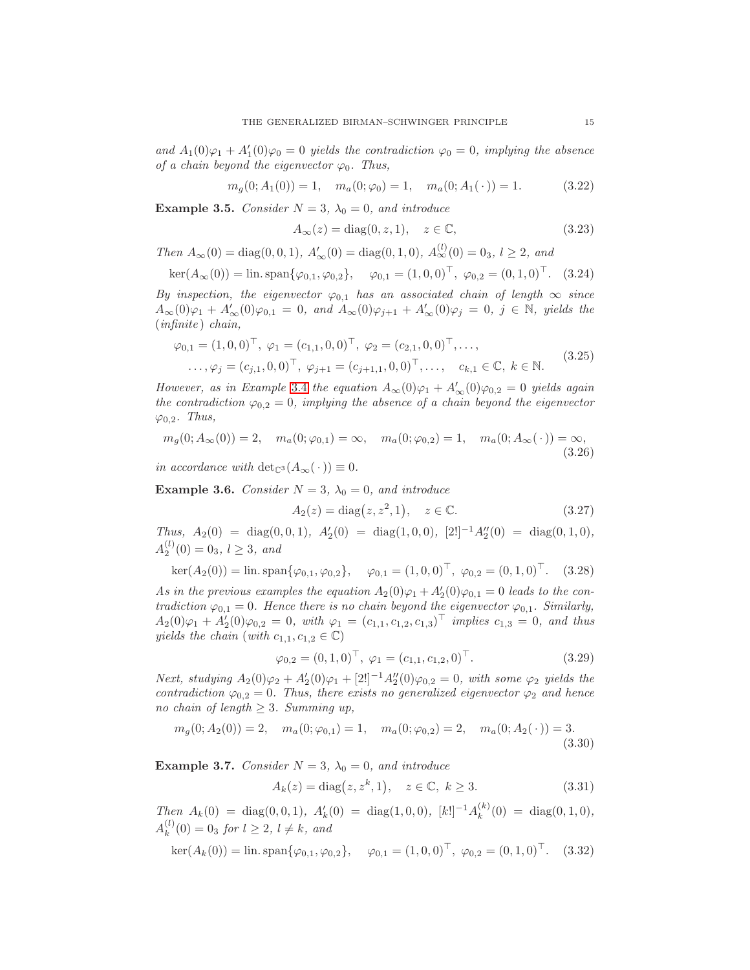and  $A_1(0)\varphi_1 + A'_1(0)\varphi_0 = 0$  yields the contradiction  $\varphi_0 = 0$ , implying the absence of a chain beyond the eigenvector  $\varphi_0$ . Thus,

<span id="page-14-1"></span>
$$
m_g(0; A_1(0)) = 1, \quad m_a(0; \varphi_0) = 1, \quad m_a(0; A_1(\cdot)) = 1.
$$
 (3.22)

<span id="page-14-3"></span>Example 3.5. Consider  $N = 3$ ,  $\lambda_0 = 0$ , and introduce

$$
A_{\infty}(z) = \text{diag}(0, z, 1), \quad z \in \mathbb{C}, \tag{3.23}
$$

Then  $A_{\infty}(0) = \text{diag}(0, 0, 1), A'_{\infty}(0) = \text{diag}(0, 1, 0), A^{(l)}_{\infty}(0) = 0_3, l \ge 2, and$ 

$$
\ker(A_{\infty}(0)) = \text{lin. span}\{\varphi_{0,1}, \varphi_{0,2}\}, \quad \varphi_{0,1} = (1,0,0)^{\top}, \ \varphi_{0,2} = (0,1,0)^{\top}. \quad (3.24)
$$

By inspection, the eigenvector  $\varphi_{0,1}$  has an associated chain of length  $\infty$  since  $A_{\infty}(0)\varphi_1 + A'_{\infty}(0)\varphi_{0,1} = 0$ , and  $A_{\infty}(0)\varphi_{j+1} + A'_{\infty}(0)\varphi_j = 0$ ,  $j \in \mathbb{N}$ , yields the (infinite ) chain,

$$
\varphi_{0,1} = (1,0,0)^\top, \ \varphi_1 = (c_{1,1},0,0)^\top, \ \varphi_2 = (c_{2,1},0,0)^\top, \dots, \n\dots, \varphi_j = (c_{j,1},0,0)^\top, \ \varphi_{j+1} = (c_{j+1,1},0,0)^\top, \dots, \quad c_{k,1} \in \mathbb{C}, \ k \in \mathbb{N}.
$$
\n(3.25)

However, as in Example [3.4](#page-13-2) the equation  $A_{\infty}(0)\varphi_1 + A'_{\infty}(0)\varphi_{0,2} = 0$  yields again the contradiction  $\varphi_{0,2} = 0$ , implying the absence of a chain beyond the eigenvector  $\varphi_{0,2}$ . Thus,

$$
m_g(0; A_{\infty}(0)) = 2, \quad m_a(0; \varphi_{0,1}) = \infty, \quad m_a(0; \varphi_{0,2}) = 1, \quad m_a(0; A_{\infty}(\cdot)) = \infty,
$$
\n(3.26)

in accordance with  $\det_{\mathbb{C}^3}(A_{\infty}(\cdot))\equiv 0.$ 

<span id="page-14-0"></span>Example 3.6. Consider  $N = 3$ ,  $\lambda_0 = 0$ , and introduce

$$
A_2(z) = \text{diag}(z, z^2, 1), \quad z \in \mathbb{C}.\tag{3.27}
$$

Thus,  $A_2(0) = \text{diag}(0,0,1), A'_2(0) = \text{diag}(1,0,0), [2!]^{-1}A''_2(0) = \text{diag}(0,1,0),$  $A_2^{(l)}(0) = 0_3, l \ge 3, \text{ and}$ 

$$
\ker(A_2(0)) = \text{lin. span}\{\varphi_{0,1}, \varphi_{0,2}\}, \quad \varphi_{0,1} = (1,0,0)^\top, \ \varphi_{0,2} = (0,1,0)^\top. \tag{3.28}
$$

As in the previous examples the equation  $A_2(0)\varphi_1 + A'_2(0)\varphi_{0,1} = 0$  leads to the contradiction  $\varphi_{0,1} = 0$ . Hence there is no chain beyond the eigenvector  $\varphi_{0,1}$ . Similarly,  $A_2(0)\varphi_1 + A'_2(0)\varphi_{0,2} = 0$ , with  $\varphi_1 = (c_{1,1}, c_{1,2}, c_{1,3})^\top$  implies  $c_{1,3} = 0$ , and thus yields the chain (with  $c_{1,1}, c_{1,2} \in \mathbb{C}$ )

$$
\varphi_{0,2} = (0,1,0)^\top, \ \varphi_1 = (c_{1,1},c_{1,2},0)^\top. \tag{3.29}
$$

*Next, studying*  $A_2(0)φ_2 + A'_2(0)φ_1 + [2!]^{-1}A''_2(0)φ_{0,2} = 0$ , with some  $φ_2$  yields the contradiction  $\varphi_{0,2} = 0$ . Thus, there exists no generalized eigenvector  $\varphi_2$  and hence no chain of length  $\geq 3$ . Summing up,

<span id="page-14-2"></span>
$$
m_g(0; A_2(0)) = 2, \quad m_a(0; \varphi_{0,1}) = 1, \quad m_a(0; \varphi_{0,2}) = 2, \quad m_a(0; A_2(\cdot)) = 3.
$$
\n(3.30)

**Example 3.7.** Consider  $N = 3$ ,  $\lambda_0 = 0$ , and introduce

$$
A_k(z) = \text{diag}(z, z^k, 1), \quad z \in \mathbb{C}, \ k \ge 3. \tag{3.31}
$$

Then  $A_k(0) = \text{diag}(0,0,1)$ ,  $A'_k(0) = \text{diag}(1,0,0)$ ,  $[k!]^{-1}A_k^{(k)}$  $\binom{k}{k}(0) = \text{diag}(0, 1, 0),$  $A_k^{(l)}$  $k^{(l)}(0) = 0_3$  for  $l \geq 2$ ,  $l \neq k$ , and

$$
\ker(A_k(0)) = \text{lin. span}\{\varphi_{0,1}, \varphi_{0,2}\}, \quad \varphi_{0,1} = (1,0,0)^\top, \ \varphi_{0,2} = (0,1,0)^\top. \quad (3.32)
$$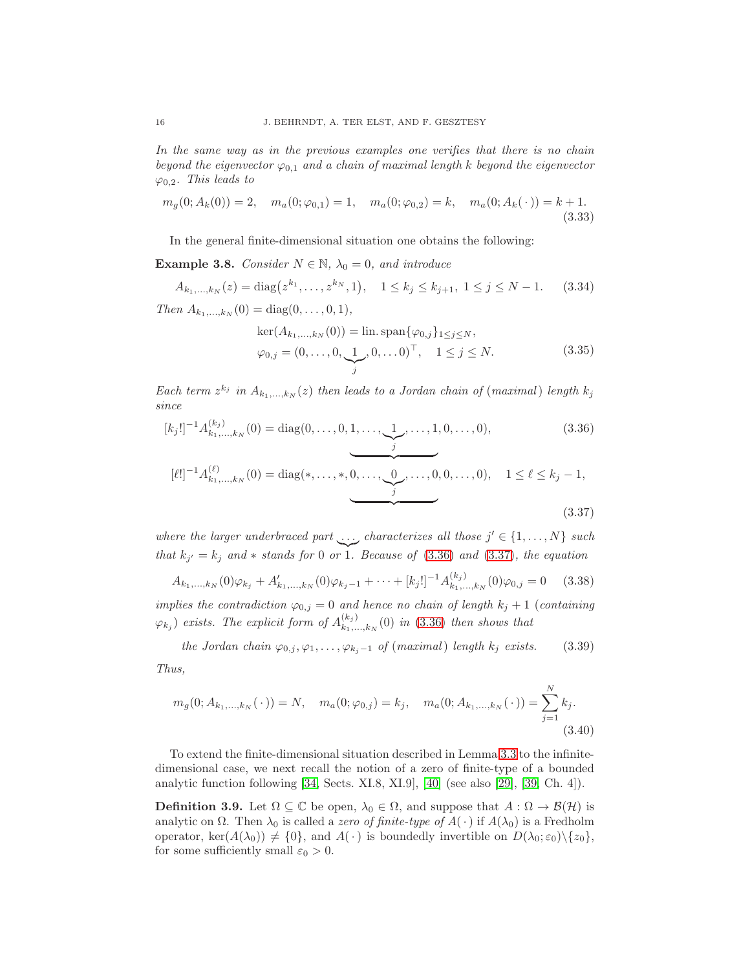In the same way as in the previous examples one verifies that there is no chain beyond the eigenvector  $\varphi_{0,1}$  and a chain of maximal length k beyond the eigenvector  $\varphi_{0,2}$ . This leads to

<span id="page-15-4"></span>
$$
m_g(0; A_k(0)) = 2, \quad m_a(0; \varphi_{0,1}) = 1, \quad m_a(0; \varphi_{0,2}) = k, \quad m_a(0; A_k(\cdot)) = k + 1.
$$
\n(3.33)

In the general finite-dimensional situation one obtains the following:

<span id="page-15-3"></span>**Example 3.8.** Consider  $N \in \mathbb{N}$ ,  $\lambda_0 = 0$ , and introduce

$$
A_{k_1,\dots,k_N}(z) = \text{diag}\big(z^{k_1},\dots,z^{k_N},1\big), \quad 1 \le k_j \le k_{j+1}, \ 1 \le j \le N-1. \tag{3.34}
$$

Then  $A_{k_1,...,k_N} (0) = \text{diag}(0, ..., 0, 1),$ 

<span id="page-15-1"></span><span id="page-15-0"></span>
$$
\ker(A_{k_1,\dots,k_N}(0)) = \lim_{j} \operatorname{span}\{\varphi_{0,j}\}_{1 \le j \le N},
$$
  

$$
\varphi_{0,j} = (0,\dots,0,\underbrace{1}_{j},0,\dots 0)^{\top}, \quad 1 \le j \le N.
$$
 (3.35)

Each term  $z^{k_j}$  in  $A_{k_1,\dots,k_N}(z)$  then leads to a Jordan chain of (maximal) length  $k_j$ since

$$
[k_j!]^{-1} A_{k_1,\ldots,k_N}^{(k_j)}(0) = \text{diag}(0,\ldots,0,1,\ldots,\underbrace{1}_{j},\ldots,1,0,\ldots,0),
$$
\n
$$
[\ell!]^{-1} A_{k_1,\ldots,k_N}^{(\ell)}(0) = \text{diag}(*,\ldots,*,\underbrace{0,\ldots,\underbrace{0}_{j},\ldots,0,0,\ldots,0}_{j}), \quad 1 \le \ell \le k_j - 1,
$$
\n
$$
(3.37)
$$

where the larger underbraced part ..., characterizes all those  $j' \in \{1, ..., N\}$  such that  $k_{j'} = k_j$  and  $*$  stands for 0 or 1. Because of [\(3.36\)](#page-15-0) and [\(3.37\)](#page-15-1), the equation

$$
A_{k_1,\dots,k_N}(0)\varphi_{k_j} + A'_{k_1,\dots,k_N}(0)\varphi_{k_j-1} + \dots + [k_j!]^{-1}A^{(k_j)}_{k_1,\dots,k_N}(0)\varphi_{0,j} = 0 \quad (3.38)
$$

implies the contradiction  $\varphi_{0,j} = 0$  and hence no chain of length  $k_j + 1$  (containing  $(\varphi_{k_j})$  exists. The explicit form of  $A_{k_1...}^{(k_j)}$  $\binom{K_{j}}{k_{1},...,k_{N}}(0)$  in [\(3.36\)](#page-15-0) then shows that

the Jordan chain  $\varphi_{0,j}, \varphi_1, \ldots, \varphi_{k_j-1}$  of (maximal) length  $k_j$  exists. (3.39) Thus,

<span id="page-15-5"></span>
$$
m_g(0; A_{k_1,\dots,k_N}(\cdot)) = N, \quad m_a(0;\varphi_{0,j}) = k_j, \quad m_a(0; A_{k_1,\dots,k_N}(\cdot)) = \sum_{j=1}^N k_j.
$$
\n(3.40)

To extend the finite-dimensional situation described in Lemma [3.3](#page-13-1) to the infinitedimensional case, we next recall the notion of a zero of finite-type of a bounded analytic function following [\[34,](#page-42-12) Sects. XI.8, XI.9], [\[40\]](#page-42-20) (see also [\[29\]](#page-42-3), [\[39,](#page-42-19) Ch. 4]).

<span id="page-15-2"></span>**Definition 3.9.** Let  $\Omega \subseteq \mathbb{C}$  be open,  $\lambda_0 \in \Omega$ , and suppose that  $A : \Omega \to \mathcal{B}(\mathcal{H})$  is analytic on  $\Omega$ . Then  $\lambda_0$  is called a zero of finite-type of  $A(\cdot)$  if  $A(\lambda_0)$  is a Fredholm operator, ker $(A(\lambda_0)) \neq \{0\}$ , and  $A(\cdot)$  is boundedly invertible on  $D(\lambda_0; \varepsilon_0)\setminus\{z_0\}$ , for some sufficiently small  $\varepsilon_0 > 0$ .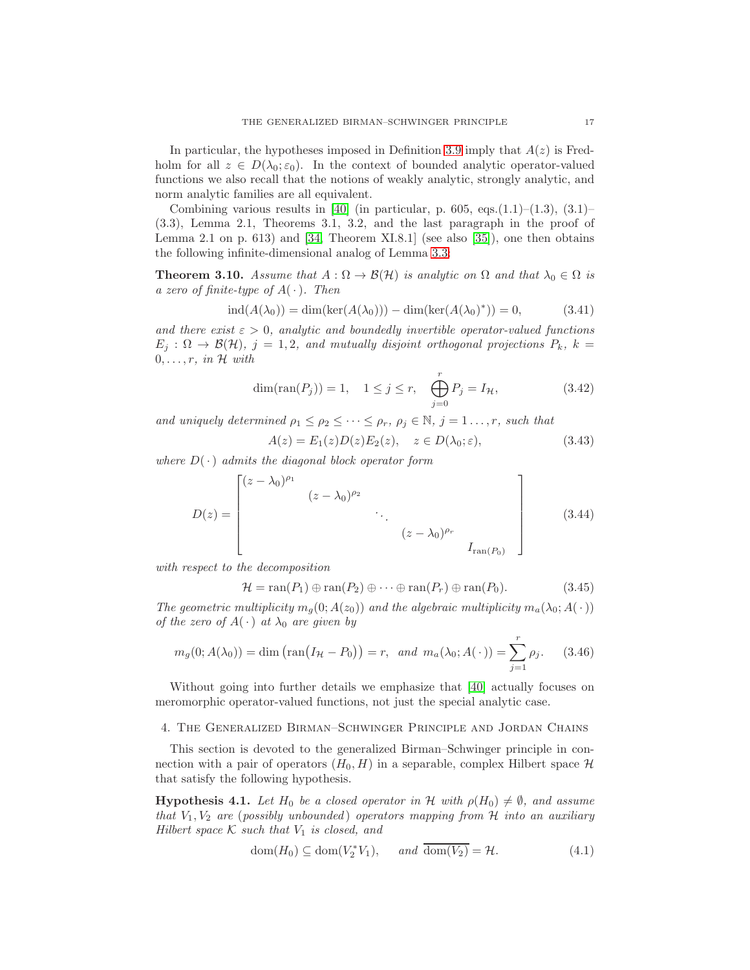In particular, the hypotheses imposed in Definition [3.9](#page-15-2) imply that  $A(z)$  is Fredholm for all  $z \in D(\lambda_0; \varepsilon_0)$ . In the context of bounded analytic operator-valued functions we also recall that the notions of weakly analytic, strongly analytic, and norm analytic families are all equivalent.

Combining various results in [\[40\]](#page-42-20) (in particular, p. 605, eqs.(1.1)–(1.3), (3.1)– (3.3), Lemma 2.1, Theorems 3.1, 3.2, and the last paragraph in the proof of Lemma 2.1 on p. 613) and [\[34,](#page-42-12) Theorem XI.8.1] (see also [\[35\]](#page-42-17)), one then obtains the following infinite-dimensional analog of Lemma [3.3:](#page-13-1)

<span id="page-16-2"></span>**Theorem 3.10.** Assume that  $A : \Omega \to \mathcal{B}(\mathcal{H})$  is analytic on  $\Omega$  and that  $\lambda_0 \in \Omega$  is a zero of finite-type of  $A(\cdot)$ . Then

$$
ind(A(\lambda_0)) = dim(ker(A(\lambda_0))) - dim(ker(A(\lambda_0)^*)) = 0,
$$
\n(3.41)

and there exist  $\varepsilon > 0$ , analytic and boundedly invertible operator-valued functions  $E_j : \Omega \to \mathcal{B}(\mathcal{H}), j = 1, 2, and mutually disjoint orthogonal projections P_k, k =$  $0, \ldots, r$ , in H with

$$
\dim(\text{ran}(P_j)) = 1, \quad 1 \le j \le r, \quad \bigoplus_{j=0}^r P_j = I_{\mathcal{H}}, \tag{3.42}
$$

and uniquely determined  $\rho_1 \leq \rho_2 \leq \cdots \leq \rho_r$ ,  $\rho_j \in \mathbb{N}$ ,  $j = 1 \ldots, r$ , such that

$$
A(z) = E_1(z)D(z)E_2(z), \quad z \in D(\lambda_0; \varepsilon), \tag{3.43}
$$

where  $D(\cdot)$  admits the diagonal block operator form

$$
D(z) = \begin{bmatrix} (z - \lambda_0)^{\rho_1} & & & \\ & (z - \lambda_0)^{\rho_2} & & \\ & & \ddots & \\ & & & (z - \lambda_0)^{\rho_r} \\ & & & & I_{\text{ran}(P_0)} \end{bmatrix}
$$
 (3.44)

with respect to the decomposition

$$
\mathcal{H} = \text{ran}(P_1) \oplus \text{ran}(P_2) \oplus \cdots \oplus \text{ran}(P_r) \oplus \text{ran}(P_0). \tag{3.45}
$$

The geometric multiplicity  $m_q(0; A(z_0))$  and the algebraic multiplicity  $m_q(\lambda_0; A(\cdot))$ of the zero of  $A(\cdot)$  at  $\lambda_0$  are given by

$$
m_g(0; A(\lambda_0)) = \dim \left( \text{ran}(I_{\mathcal{H}} - P_0) \right) = r, \text{ and } m_a(\lambda_0; A(\cdot)) = \sum_{j=1}^r \rho_j. \tag{3.46}
$$

Without going into further details we emphasize that [\[40\]](#page-42-20) actually focuses on meromorphic operator-valued functions, not just the special analytic case.

## <span id="page-16-0"></span>4. The Generalized Birman–Schwinger Principle and Jordan Chains

This section is devoted to the generalized Birman–Schwinger principle in connection with a pair of operators  $(H_0, H)$  in a separable, complex Hilbert space H that satisfy the following hypothesis.

<span id="page-16-1"></span>**Hypothesis 4.1.** Let  $H_0$  be a closed operator in H with  $\rho(H_0) \neq \emptyset$ , and assume that  $V_1, V_2$  are (possibly unbounded) operators mapping from H into an auxiliary Hilbert space  $K$  such that  $V_1$  is closed, and

$$
\text{dom}(H_0) \subseteq \text{dom}(V_2^* V_1), \quad \text{and } \overline{\text{dom}(V_2)} = \mathcal{H}.
$$
\n(4.1)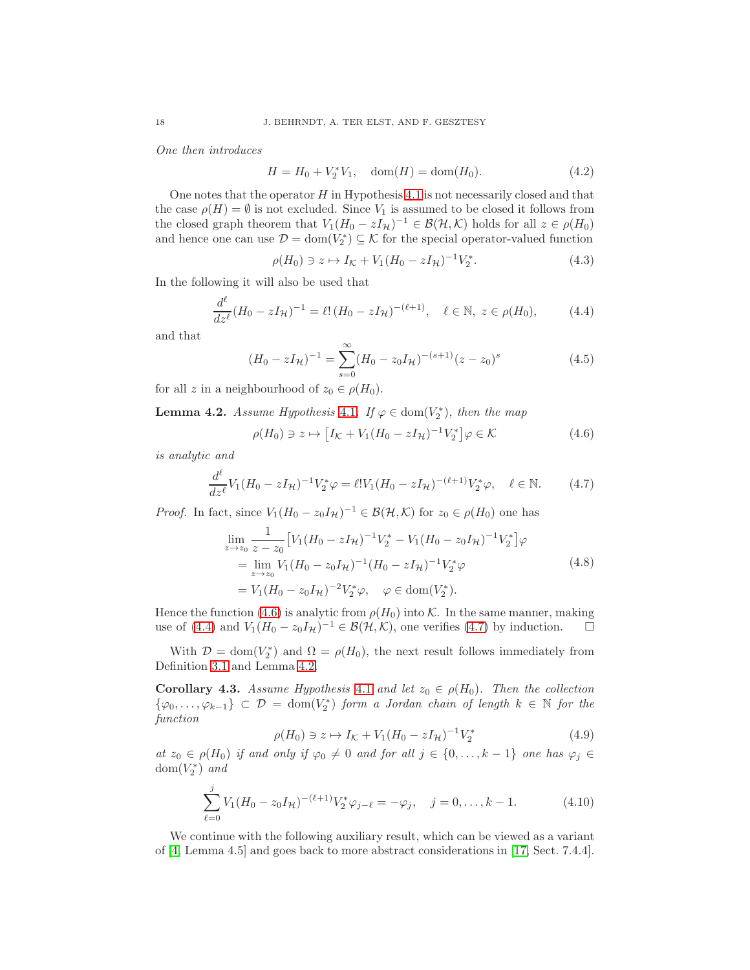One then introduces

$$
H = H_0 + V_2^* V_1, \quad \text{dom}(H) = \text{dom}(H_0). \tag{4.2}
$$

One notes that the operator  $H$  in Hypothesis [4.1](#page-16-1) is not necessarily closed and that the case  $\rho(H) = \emptyset$  is not excluded. Since  $V_1$  is assumed to be closed it follows from the closed graph theorem that  $V_1(H_0 - zI_{\mathcal{H}})^{-1} \in \mathcal{B}(\mathcal{H}, \mathcal{K})$  holds for all  $z \in \rho(H_0)$ and hence one can use  $\mathcal{D} = \text{dom}(V_2^*) \subseteq \mathcal{K}$  for the special operator-valued function

$$
\rho(H_0) \ni z \mapsto I_{\mathcal{K}} + V_1 (H_0 - zI_{\mathcal{H}})^{-1} V_2^*.
$$
\n(4.3)

In the following it will also be used that

<span id="page-17-1"></span>
$$
\frac{d^{\ell}}{dz^{\ell}}(H_0 - zI_{\mathcal{H}})^{-1} = \ell! (H_0 - zI_{\mathcal{H}})^{-(\ell+1)}, \quad \ell \in \mathbb{N}, \ z \in \rho(H_0), \tag{4.4}
$$

and that

<span id="page-17-4"></span>
$$
(H_0 - zI_{\mathcal{H}})^{-1} = \sum_{s=0}^{\infty} (H_0 - z_0 I_{\mathcal{H}})^{-(s+1)} (z - z_0)^s
$$
 (4.5)

for all z in a neighbourhood of  $z_0 \in \rho(H_0)$ .

<span id="page-17-3"></span>**Lemma 4.2.** Assume Hypothesis [4.1](#page-16-1). If  $\varphi \in \text{dom}(V_2^*)$ , then the map

<span id="page-17-0"></span>
$$
\rho(H_0) \ni z \mapsto \left[ I_{\mathcal{K}} + V_1 (H_0 - zI_{\mathcal{H}})^{-1} V_2^* \right] \varphi \in \mathcal{K}
$$
\n(4.6)

is analytic and

<span id="page-17-2"></span>
$$
\frac{d^{\ell}}{dz^{\ell}}V_1(H_0 - zI_{\mathcal{H}})^{-1}V_2^*\varphi = \ell!V_1(H_0 - zI_{\mathcal{H}})^{-(\ell+1)}V_2^*\varphi, \quad \ell \in \mathbb{N}.
$$
 (4.7)

*Proof.* In fact, since  $V_1(H_0 - z_0 I_{\mathcal{H}})^{-1} \in \mathcal{B}(\mathcal{H}, \mathcal{K})$  for  $z_0 \in \rho(H_0)$  one has

$$
\lim_{z \to z_0} \frac{1}{z - z_0} \left[ V_1 (H_0 - zI_{\mathcal{H}})^{-1} V_2^* - V_1 (H_0 - z_0 I_{\mathcal{H}})^{-1} V_2^* \right] \varphi
$$
\n
$$
= \lim_{z \to z_0} V_1 (H_0 - z_0 I_{\mathcal{H}})^{-1} (H_0 - zI_{\mathcal{H}})^{-1} V_2^* \varphi
$$
\n
$$
= V_1 (H_0 - z_0 I_{\mathcal{H}})^{-2} V_2^* \varphi, \quad \varphi \in \text{dom}(V_2^*).
$$
\n(4.8)

Hence the function [\(4.6\)](#page-17-0) is analytic from  $\rho(H_0)$  into K. In the same manner, making use of [\(4.4\)](#page-17-1) and  $V_1(H_0 - z_0 I_H)^{-1} \in \mathcal{B}(\mathcal{H}, \mathcal{K})$ , one verifies [\(4.7\)](#page-17-2) by induction.

With  $\mathcal{D} = \text{dom}(V_2^*)$  and  $\Omega = \rho(H_0)$ , the next result follows immediately from Definition [3.1](#page-11-0) and Lemma [4.2.](#page-17-3)

<span id="page-17-5"></span>**Corollary 4.3.** Assume Hypothesis [4.1](#page-16-1) and let  $z_0 \in \rho(H_0)$ . Then the collection  $\{\varphi_0,\ldots,\varphi_{k-1}\}\subset\mathcal{D}=\text{dom}(V_2^*)$  form a Jordan chain of length  $k\in\mathbb{N}$  for the function

$$
\rho(H_0) \ni z \mapsto I_{\mathcal{K}} + V_1 (H_0 - zI_{\mathcal{H}})^{-1} V_2^* \tag{4.9}
$$

at  $z_0 \in \rho(H_0)$  if and only if  $\varphi_0 \neq 0$  and for all  $j \in \{0, \ldots, k-1\}$  one has  $\varphi_j \in$  $dom(V_2^*)$  and

<span id="page-17-6"></span>
$$
\sum_{\ell=0}^{j} V_1 (H_0 - z_0 I_{\mathcal{H}})^{-(\ell+1)} V_2^* \varphi_{j-\ell} = -\varphi_j, \quad j = 0, \dots, k-1.
$$
 (4.10)

We continue with the following auxiliary result, which can be viewed as a variant of [\[4,](#page-41-12) Lemma 4.5] and goes back to more abstract considerations in [\[17,](#page-42-11) Sect. 7.4.4].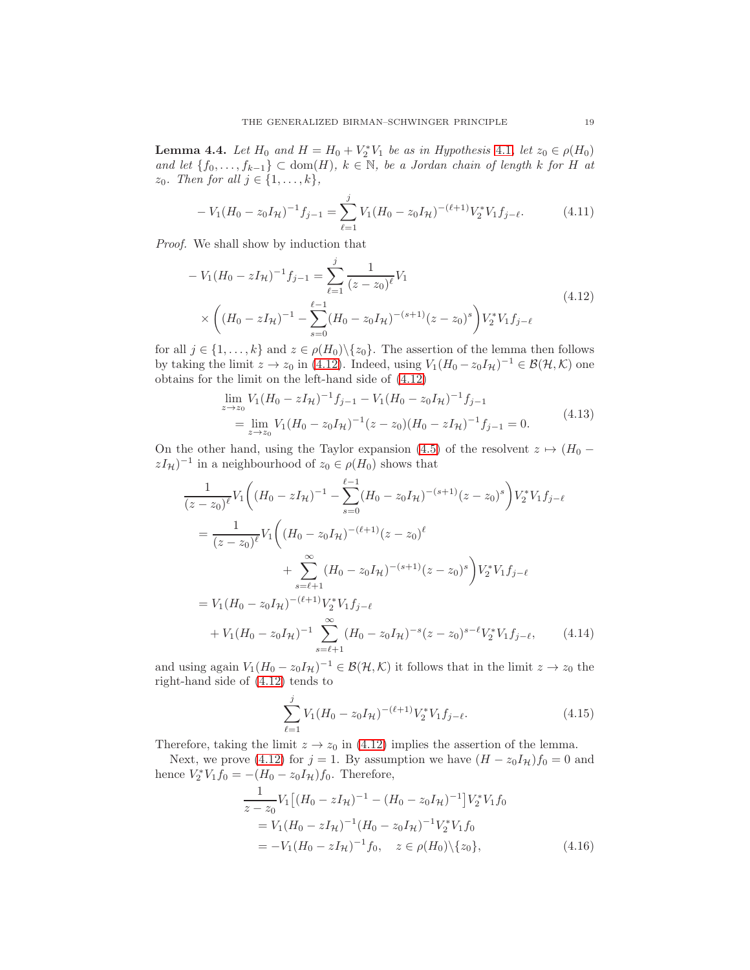<span id="page-18-3"></span>**Lemma 4.4.** Let  $H_0$  and  $H = H_0 + V_2^* V_1$  be as in Hypothesis [4.1](#page-16-1), let  $z_0 \in \rho(H_0)$ and let  ${f_0, \ldots, f_{k-1}}$  ⊂ dom $(H)$ ,  $k \in \mathbb{N}$ , be a Jordan chain of length k for H at  $z_0$ . Then for all  $j \in \{1, \ldots, k\},\$ 

$$
-V_1(H_0 - z_0 I_H)^{-1} f_{j-1} = \sum_{\ell=1}^j V_1(H_0 - z_0 I_H)^{-(\ell+1)} V_2^* V_1 f_{j-\ell}.
$$
 (4.11)

Proof. We shall show by induction that

$$
-V_1(H_0 - zI_H)^{-1}f_{j-1} = \sum_{\ell=1}^j \frac{1}{(z - z_0)^{\ell}} V_1
$$
  
 
$$
\times \left( (H_0 - zI_H)^{-1} - \sum_{s=0}^{\ell-1} (H_0 - z_0I_H)^{-(s+1)} (z - z_0)^s \right) V_2^* V_1 f_{j-\ell}
$$
 (4.12)

for all  $j \in \{1, \ldots, k\}$  and  $z \in \rho(H_0) \setminus \{z_0\}$ . The assertion of the lemma then follows by taking the limit  $z \to z_0$  in [\(4.12\)](#page-18-0). Indeed, using  $V_1(H_0 - z_0 I_H)^{-1} \in \mathcal{B}(\mathcal{H}, \mathcal{K})$  one obtains for the limit on the left-hand side of [\(4.12\)](#page-18-0)

<span id="page-18-1"></span><span id="page-18-0"></span>
$$
\lim_{z \to z_0} V_1 (H_0 - zI_{\mathcal{H}})^{-1} f_{j-1} - V_1 (H_0 - z_0 I_{\mathcal{H}})^{-1} f_{j-1}
$$
\n
$$
= \lim_{z \to z_0} V_1 (H_0 - z_0 I_{\mathcal{H}})^{-1} (z - z_0) (H_0 - zI_{\mathcal{H}})^{-1} f_{j-1} = 0.
$$
\n(4.13)

On the other hand, using the Taylor expansion [\(4.5\)](#page-17-4) of the resolvent  $z \mapsto (H_0$  $zI_{\mathcal{H}}$ )<sup>-1</sup> in a neighbourhood of  $z_0 \in \rho(H_0)$  shows that

$$
\frac{1}{(z-z_0)^{\ell}} V_1 \left( (H_0 - zI_{\mathcal{H}})^{-1} - \sum_{s=0}^{\ell-1} (H_0 - z_0I_{\mathcal{H}})^{-(s+1)} (z - z_0)^s \right) V_2^* V_1 f_{j-\ell}
$$
\n
$$
= \frac{1}{(z-z_0)^{\ell}} V_1 \left( (H_0 - z_0I_{\mathcal{H}})^{-(\ell+1)} (z - z_0)^{\ell} + \sum_{s=\ell+1}^{\infty} (H_0 - z_0I_{\mathcal{H}})^{-(s+1)} (z - z_0)^s \right) V_2^* V_1 f_{j-\ell}
$$
\n
$$
= V_1 (H_0 - z_0I_{\mathcal{H}})^{-(\ell+1)} V_2^* V_1 f_{j-\ell}
$$
\n
$$
+ V_1 (H_0 - z_0I_{\mathcal{H}})^{-1} \sum_{s=\ell+1}^{\infty} (H_0 - z_0I_{\mathcal{H}})^{-s} (z - z_0)^{s-\ell} V_2^* V_1 f_{j-\ell}, \qquad (4.14)
$$

and using again  $V_1(H_0 - z_0 I_H)^{-1} \in \mathcal{B}(\mathcal{H}, \mathcal{K})$  it follows that in the limit  $z \to z_0$  the right-hand side of [\(4.12\)](#page-18-0) tends to

<span id="page-18-2"></span>
$$
\sum_{\ell=1}^{j} V_1 (H_0 - z_0 I_{\mathcal{H}})^{-(\ell+1)} V_2^* V_1 f_{j-\ell}.
$$
\n(4.15)

Therefore, taking the limit  $z \to z_0$  in [\(4.12\)](#page-18-0) implies the assertion of the lemma.

Next, we prove [\(4.12\)](#page-18-0) for  $j = 1$ . By assumption we have  $(H - z_0 I_H)f_0 = 0$  and hence  $V_2^* V_1 f_0 = -(H_0 - z_0 I_{\mathcal{H}}) f_0$ . Therefore,

$$
\frac{1}{z - z_0} V_1 \left[ (H_0 - zI_{\mathcal{H}})^{-1} - (H_0 - z_0I_{\mathcal{H}})^{-1} \right] V_2^* V_1 f_0
$$
\n
$$
= V_1 (H_0 - zI_{\mathcal{H}})^{-1} (H_0 - z_0I_{\mathcal{H}})^{-1} V_2^* V_1 f_0
$$
\n
$$
= -V_1 (H_0 - zI_{\mathcal{H}})^{-1} f_0, \quad z \in \rho(H_0) \setminus \{z_0\}, \tag{4.16}
$$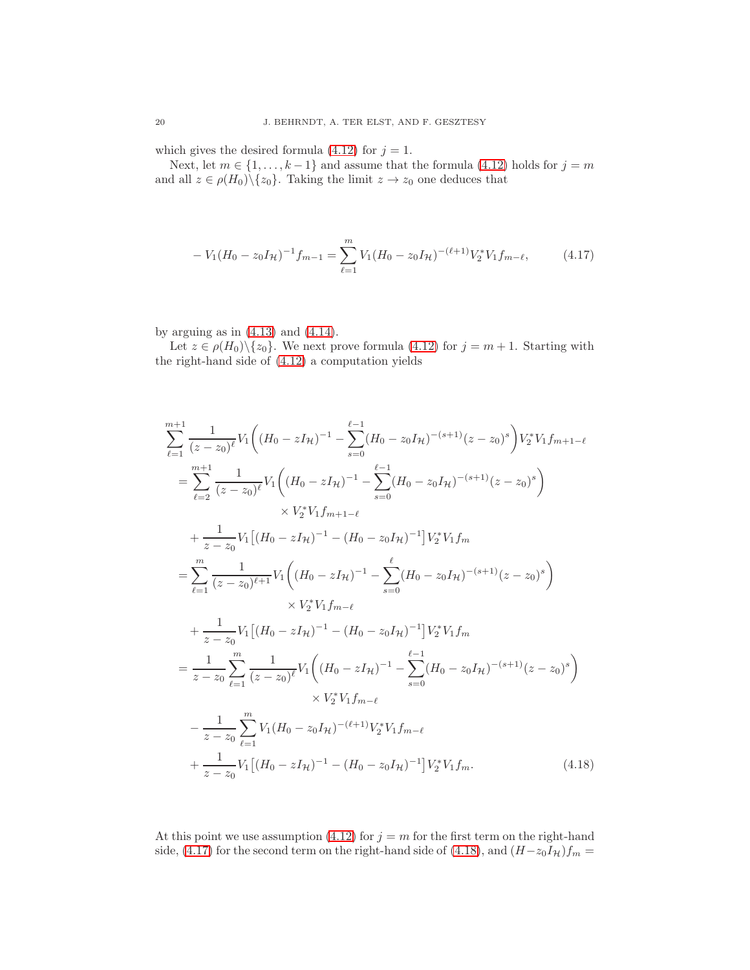which gives the desired formula [\(4.12\)](#page-18-0) for  $j = 1$ .

Next, let  $m \in \{1, ..., k-1\}$  and assume that the formula [\(4.12\)](#page-18-0) holds for  $j = m$ and all  $z \in \rho(H_0) \setminus \{z_0\}$ . Taking the limit  $z \to z_0$  one deduces that

<span id="page-19-0"></span>
$$
-V_1(H_0 - z_0 I_H)^{-1} f_{m-1} = \sum_{\ell=1}^m V_1(H_0 - z_0 I_H)^{-(\ell+1)} V_2^* V_1 f_{m-\ell}, \tag{4.17}
$$

by arguing as in  $(4.13)$  and  $(4.14)$ .

Let  $z \in \rho(H_0) \setminus \{z_0\}$ . We next prove formula [\(4.12\)](#page-18-0) for  $j = m + 1$ . Starting with the right-hand side of [\(4.12\)](#page-18-0) a computation yields

$$
\sum_{\ell=1}^{m+1} \frac{1}{(z-z_0)^{\ell}} V_1 \Big( (H_0 - zI_{\mathcal{H}})^{-1} - \sum_{s=0}^{\ell-1} (H_0 - z_0I_{\mathcal{H}})^{-(s+1)} (z-z_0)^s \Big) V_2^* V_1 f_{m+1-\ell}
$$
  
\n
$$
= \sum_{\ell=2}^{m+1} \frac{1}{(z-z_0)^{\ell}} V_1 \Big( (H_0 - zI_{\mathcal{H}})^{-1} - \sum_{s=0}^{\ell-1} (H_0 - z_0I_{\mathcal{H}})^{-(s+1)} (z-z_0)^s \Big)
$$
  
\n
$$
\times V_2^* V_1 f_{m+1-\ell}
$$
  
\n
$$
+ \frac{1}{z-z_0} V_1 \Big[ (H_0 - zI_{\mathcal{H}})^{-1} - (H_0 - z_0I_{\mathcal{H}})^{-1} \Big] V_2^* V_1 f_m
$$
  
\n
$$
= \sum_{\ell=1}^m \frac{1}{(z-z_0)^{\ell+1}} V_1 \Big( (H_0 - zI_{\mathcal{H}})^{-1} - \sum_{s=0}^{\ell} (H_0 - z_0I_{\mathcal{H}})^{-(s+1)} (z-z_0)^s \Big)
$$
  
\n
$$
\times V_2^* V_1 f_{m-\ell}
$$
  
\n
$$
+ \frac{1}{z-z_0} V_1 \Big[ (H_0 - zI_{\mathcal{H}})^{-1} - (H_0 - z_0I_{\mathcal{H}})^{-1} \Big] V_2^* V_1 f_m
$$
  
\n
$$
= \frac{1}{z-z_0} \sum_{\ell=1}^m \frac{1}{(z-z_0)^{\ell}} V_1 \Big( (H_0 - zI_{\mathcal{H}})^{-1} - \sum_{s=0}^{\ell-1} (H_0 - z_0I_{\mathcal{H}})^{-(s+1)} (z-z_0)^s \Big)
$$
  
\n
$$
\times V_2^* V_1 f_{m-\ell}
$$
  
\n
$$
- \frac{1}{z-z_0} \sum_{\ell=1}^m V_1 (H_0 - z_0I_{\mathcal{H}})^{-(\ell+1)} V_2^* V_1 f_{m
$$

<span id="page-19-1"></span>At this point we use assumption [\(4.12\)](#page-18-0) for  $j = m$  for the first term on the right-hand side, [\(4.17\)](#page-19-0) for the second term on the right-hand side of [\(4.18\)](#page-19-1), and  $(H-z_0I_H)f_m =$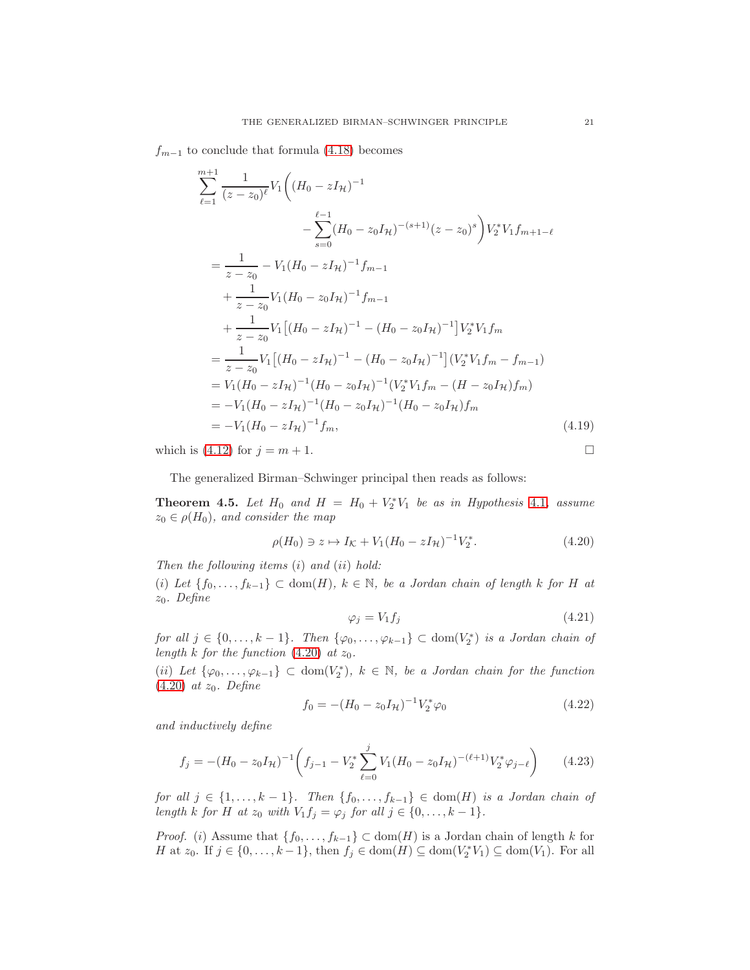$f_{m-1}$  to conclude that formula [\(4.18\)](#page-19-1) becomes

$$
\sum_{\ell=1}^{m+1} \frac{1}{(z-z_0)^{\ell}} V_1 \Big( (H_0 - zI_{\mathcal{H}})^{-1} \n- \sum_{s=0}^{\ell-1} (H_0 - z_0I_{\mathcal{H}})^{-(s+1)} (z-z_0)^s \Big) V_2^* V_1 f_{m+1-\ell} \n= \frac{1}{z-z_0} - V_1 (H_0 - zI_{\mathcal{H}})^{-1} f_{m-1} \n+ \frac{1}{z-z_0} V_1 [(H_0 - z_0I_{\mathcal{H}})^{-1} - (H_0 - z_0I_{\mathcal{H}})^{-1}] V_2^* V_1 f_m \n= \frac{1}{z-z_0} V_1 [(H_0 - zI_{\mathcal{H}})^{-1} - (H_0 - z_0I_{\mathcal{H}})^{-1}] (V_2^* V_1 f_m - f_{m-1}) \n= V_1 (H_0 - zI_{\mathcal{H}})^{-1} (H_0 - z_0I_{\mathcal{H}})^{-1} (V_2^* V_1 f_m - (H - z_0I_{\mathcal{H}}) f_m) \n= -V_1 (H_0 - zI_{\mathcal{H}})^{-1} (H_0 - z_0I_{\mathcal{H}})^{-1} (H_0 - z_0I_{\mathcal{H}}) f_m \n= -V_1 (H_0 - zI_{\mathcal{H}})^{-1} f_m,
$$
\n(4.19)

which is [\(4.12\)](#page-18-0) for  $j = m + 1$ .

The generalized Birman–Schwinger principal then reads as follows:

<span id="page-20-0"></span>**Theorem 4.5.** Let  $H_0$  and  $H = H_0 + V_2^*V_1$  be as in Hypothesis [4.1](#page-16-1), assume  $z_0 \in \rho(H_0)$ , and consider the map

<span id="page-20-1"></span>
$$
\rho(H_0) \ni z \mapsto I_{\mathcal{K}} + V_1 (H_0 - zI_{\mathcal{H}})^{-1} V_2^*.
$$
\n(4.20)

Then the following items  $(i)$  and  $(ii)$  hold:

(i) Let  $\{f_0, \ldots, f_{k-1}\} \subset \text{dom}(H), k \in \mathbb{N}, \text{ be a Jordan chain of length } k \text{ for } H \text{ at }$  $z_0$ . Define

$$
\varphi_j = V_1 f_j \tag{4.21}
$$

for all  $j \in \{0, ..., k-1\}$ . Then  $\{\varphi_0, ..., \varphi_{k-1}\} \subset \text{dom}(V_2^*)$  is a Jordan chain of length k for the function  $(4.20)$  at  $z_0$ .

(ii) Let  $\{\varphi_0,\ldots,\varphi_{k-1}\}\subset \text{dom}(V_2^*), k \in \mathbb{N}, \text{ be a Jordan chain for the function }$  $(4.20)$  at  $z_0$ . Define

<span id="page-20-3"></span>
$$
f_0 = -(H_0 - z_0 I_{\mathcal{H}})^{-1} V_2^* \varphi_0 \tag{4.22}
$$

and inductively define

<span id="page-20-2"></span>
$$
f_j = -(H_0 - z_0 I_H)^{-1} \left( f_{j-1} - V_2^* \sum_{\ell=0}^j V_1 (H_0 - z_0 I_H)^{-(\ell+1)} V_2^* \varphi_{j-\ell} \right) \tag{4.23}
$$

for all  $j \in \{1, \ldots, k-1\}$ . Then  $\{f_0, \ldots, f_{k-1}\} \in \text{dom}(H)$  is a Jordan chain of length k for H at  $z_0$  with  $V_1f_j = \varphi_j$  for all  $j \in \{0, \ldots, k-1\}.$ 

*Proof.* (i) Assume that  $\{f_0, \ldots, f_{k-1}\}\subset \text{dom}(H)$  is a Jordan chain of length k for H at  $z_0$ . If  $j \in \{0, ..., k-1\}$ , then  $f_j \in \text{dom}(H) \subseteq \text{dom}(V_2^*V_1) \subseteq \text{dom}(V_1)$ . For all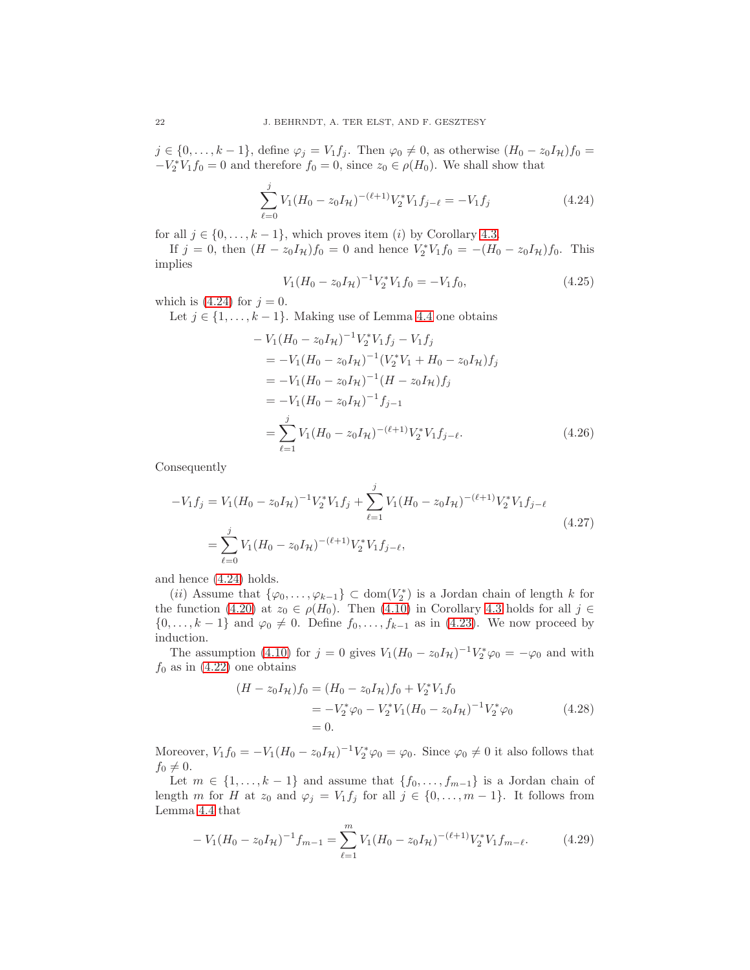$j \in \{0, \ldots, k-1\}$ , define  $\varphi_j = V_1 f_j$ . Then  $\varphi_0 \neq 0$ , as otherwise  $(H_0 - z_0 I_{\mathcal{H}}) f_0 =$  $-V_2^*V_1f_0 = 0$  and therefore  $f_0 = 0$ , since  $z_0 \in \rho(H_0)$ . We shall show that

<span id="page-21-0"></span>
$$
\sum_{\ell=0}^{j} V_1 (H_0 - z_0 I_{\mathcal{H}})^{-(\ell+1)} V_2^* V_1 f_{j-\ell} = -V_1 f_j \tag{4.24}
$$

for all  $j \in \{0, \ldots, k-1\}$ , which proves item (i) by Corollary [4.3.](#page-17-5)

If  $j = 0$ , then  $(H - z_0 I_H) f_0 = 0$  and hence  $V_2^* V_1 f_0 = -(H_0 - z_0 I_H) f_0$ . This implies

$$
V_1(H_0 - z_0 I_{\mathcal{H}})^{-1} V_2^* V_1 f_0 = -V_1 f_0,
$$
\n(4.25)

which is  $(4.24)$  for  $j = 0$ .

Let  $j \in \{1, \ldots, k-1\}$ . Making use of Lemma [4.4](#page-18-3) one obtains

$$
-V_1(H_0 - z_0I_H)^{-1}V_2^*V_1f_j - V_1f_j
$$
  
=  $-V_1(H_0 - z_0I_H)^{-1}(V_2^*V_1 + H_0 - z_0I_H)f_j$   
=  $-V_1(H_0 - z_0I_H)^{-1}(H - z_0I_H)f_j$   
=  $-V_1(H_0 - z_0I_H)^{-1}f_{j-1}$   
=  $\sum_{\ell=1}^j V_1(H_0 - z_0I_H)^{-(\ell+1)}V_2^*V_1f_{j-\ell}$ . (4.26)

Consequently

$$
-V_1 f_j = V_1 (H_0 - z_0 I_H)^{-1} V_2^* V_1 f_j + \sum_{\ell=1}^j V_1 (H_0 - z_0 I_H)^{-(\ell+1)} V_2^* V_1 f_{j-\ell}
$$
  
= 
$$
\sum_{\ell=0}^j V_1 (H_0 - z_0 I_H)^{-(\ell+1)} V_2^* V_1 f_{j-\ell},
$$
 (4.27)

and hence [\(4.24\)](#page-21-0) holds.

(*ii*) Assume that  $\{\varphi_0, \ldots, \varphi_{k-1}\} \subset \text{dom}(V_2^*)$  is a Jordan chain of length k for the function [\(4.20\)](#page-20-1) at  $z_0 \in \rho(H_0)$ . Then [\(4.10\)](#page-17-6) in Corollary [4.3](#page-17-5) holds for all  $j \in$  $\{0, \ldots, k-1\}$  and  $\varphi_0 \neq 0$ . Define  $f_0, \ldots, f_{k-1}$  as in [\(4.23\)](#page-20-2). We now proceed by induction.

The assumption [\(4.10\)](#page-17-6) for  $j = 0$  gives  $V_1(H_0 - z_0 I_H)^{-1} V_2^* \varphi_0 = -\varphi_0$  and with  $f_0$  as in  $(4.22)$  one obtains

$$
(H - z_0 I_H) f_0 = (H_0 - z_0 I_H) f_0 + V_2^* V_1 f_0
$$
  
=  $-V_2^* \varphi_0 - V_2^* V_1 (H_0 - z_0 I_H)^{-1} V_2^* \varphi_0$  (4.28)  
= 0.

Moreover,  $V_1 f_0 = -V_1 (H_0 - z_0 I_H)^{-1} V_2^* \varphi_0 = \varphi_0$ . Since  $\varphi_0 \neq 0$  it also follows that  $f_0 \neq 0.$ 

Let  $m \in \{1, ..., k-1\}$  and assume that  $\{f_0, ..., f_{m-1}\}$  is a Jordan chain of length m for H at  $z_0$  and  $\varphi_j = V_1 f_j$  for all  $j \in \{0, ..., m-1\}$ . It follows from Lemma [4.4](#page-18-3) that

<span id="page-21-1"></span>
$$
-V_1(H_0 - z_0 I_H)^{-1} f_{m-1} = \sum_{\ell=1}^m V_1(H_0 - z_0 I_H)^{-(\ell+1)} V_2^* V_1 f_{m-\ell}.
$$
 (4.29)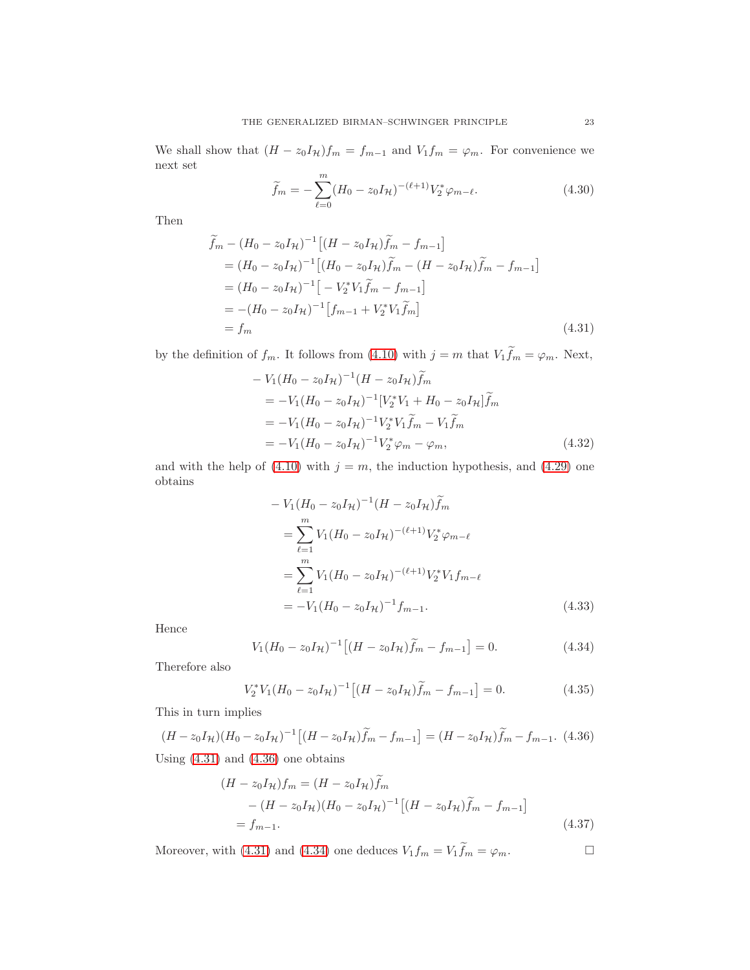We shall show that  $(H - z_0 I_H)f_m = f_{m-1}$  and  $V_1 f_m = \varphi_m$ . For convenience we next set

$$
\widetilde{f}_m = -\sum_{\ell=0}^m (H_0 - z_0 I_{\mathcal{H}})^{-(\ell+1)} V_2^* \varphi_{m-\ell}.
$$
\n(4.30)

Then

$$
\widetilde{f}_m - (H_0 - z_0 I_H)^{-1} [(H - z_0 I_H) \widetilde{f}_m - f_{m-1}]
$$
\n
$$
= (H_0 - z_0 I_H)^{-1} [(H_0 - z_0 I_H) \widetilde{f}_m - (H - z_0 I_H) \widetilde{f}_m - f_{m-1}]
$$
\n
$$
= (H_0 - z_0 I_H)^{-1} [-V_2^* V_1 \widetilde{f}_m - f_{m-1}]
$$
\n
$$
= -(H_0 - z_0 I_H)^{-1} [f_{m-1} + V_2^* V_1 \widetilde{f}_m]
$$
\n
$$
= f_m
$$
\n(4.31)

by the definition of  $f_m$ . It follows from [\(4.10\)](#page-17-6) with  $j = m$  that  $V_1 \widetilde{f}_m = \varphi_m$ . Next,

<span id="page-22-0"></span>
$$
-V_1(H_0 - z_0I_{\mathcal{H}})^{-1}(H - z_0I_{\mathcal{H}})\tilde{f}_m
$$
  
=  $-V_1(H_0 - z_0I_{\mathcal{H}})^{-1}[V_2^*V_1 + H_0 - z_0I_{\mathcal{H}}]\tilde{f}_m$   
=  $-V_1(H_0 - z_0I_{\mathcal{H}})^{-1}V_2^*V_1\tilde{f}_m - V_1\tilde{f}_m$   
=  $-V_1(H_0 - z_0I_{\mathcal{H}})^{-1}V_2^*\varphi_m - \varphi_m,$  (4.32)

and with the help of [\(4.10\)](#page-17-6) with  $j = m$ , the induction hypothesis, and [\(4.29\)](#page-21-1) one obtains

$$
-V_1(H_0 - z_0I_{\mathcal{H}})^{-1}(H - z_0I_{\mathcal{H}})\tilde{f}_m
$$
  
\n
$$
= \sum_{\ell=1}^m V_1(H_0 - z_0I_{\mathcal{H}})^{-(\ell+1)}V_2^*\varphi_{m-\ell}
$$
  
\n
$$
= \sum_{\ell=1}^m V_1(H_0 - z_0I_{\mathcal{H}})^{-(\ell+1)}V_2^*V_1f_{m-\ell}
$$
  
\n
$$
= -V_1(H_0 - z_0I_{\mathcal{H}})^{-1}f_{m-1}.
$$
\n(4.33)

Hence

<span id="page-22-2"></span>
$$
V_1(H_0 - z_0 I_H)^{-1} [(H - z_0 I_H) \tilde{f}_m - f_{m-1}] = 0.
$$
 (4.34)

Therefore also

$$
V_2^* V_1 (H_0 - z_0 I_{\mathcal{H}})^{-1} \left[ (H - z_0 I_{\mathcal{H}}) \tilde{f}_m - f_{m-1} \right] = 0. \tag{4.35}
$$

This in turn implies

<span id="page-22-1"></span> $(H - z_0 I_H)(H_0 - z_0 I_H)^{-1} [(H - z_0 I_H)\tilde{f}_m - f_{m-1}] = (H - z_0 I_H)\tilde{f}_m - f_{m-1}.$  (4.36) Using  $(4.31)$  and  $(4.36)$  one obtains

$$
(H - z_0 I_H)f_m = (H - z_0 I_H)f_m
$$
  
 
$$
- (H - z_0 I_H)(H_0 - z_0 I_H)^{-1} [(H - z_0 I_H)\tilde{f}_m - f_{m-1}]
$$
  
 
$$
= f_{m-1}.
$$
 (4.37)

Moreover, with [\(4.31\)](#page-22-0) and [\(4.34\)](#page-22-2) one deduces  $V_1 f_m = V_1 \widetilde{f}_m = \varphi_m$ .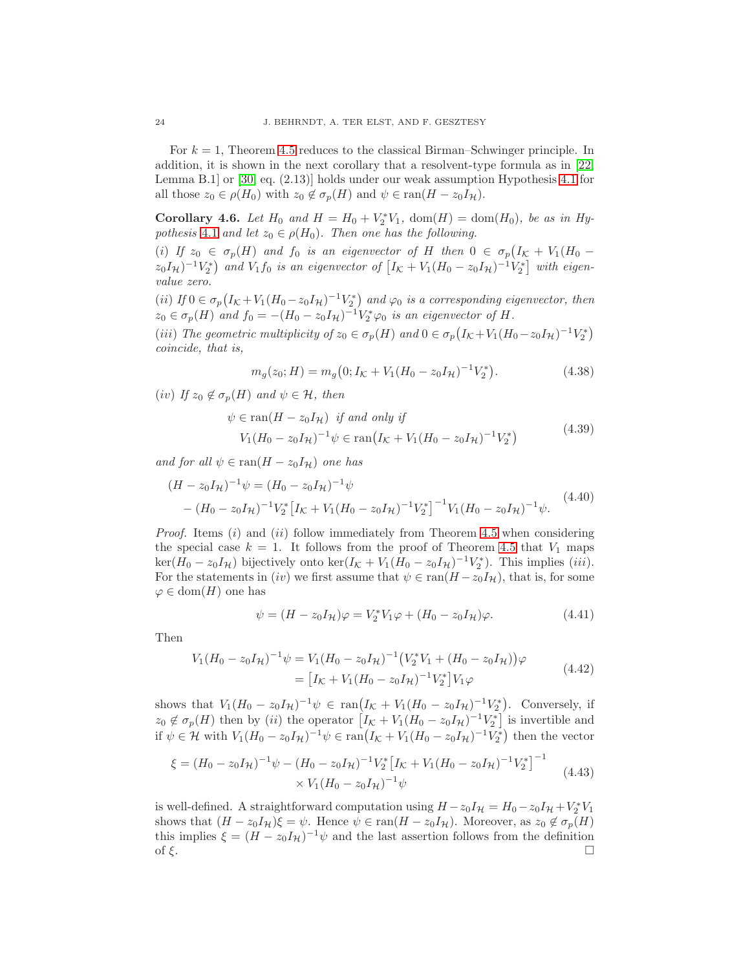For  $k = 1$ , Theorem [4.5](#page-20-0) reduces to the classical Birman–Schwinger principle. In addition, it is shown in the next corollary that a resolvent-type formula as in [\[22,](#page-42-6) Lemma B.1] or [\[30,](#page-42-2) eq. (2.13)] holds under our weak assumption Hypothesis [4.1](#page-16-1) for all those  $z_0 \in \rho(H_0)$  with  $z_0 \notin \sigma_p(H)$  and  $\psi \in \text{ran}(H - z_0I_{\mathcal{H}})$ .

<span id="page-23-0"></span>**Corollary 4.6.** Let  $H_0$  and  $H = H_0 + V_2^* V_1$ ,  $dom(H) = dom(H_0)$ , be as in  $Hy$ pothesis [4.1](#page-16-1) and let  $z_0 \in \rho(H_0)$ . Then one has the following.

(i) If  $z_0 \in \sigma_p(H)$  and  $f_0$  is an eigenvector of H then  $0 \in \sigma_p(I_{\mathcal{K}} + V_1(H_0 (z_0I_{\mathcal{H}})^{-1}V_2^*$  and  $V_1f_0$  is an eigenvector of  $[I_{\mathcal{K}}+V_1(H_0-z_0I_{\mathcal{H}})^{-1}V_2^*]$  with eigenvalue zero.

(ii) If  $0 \in \sigma_p(I_{\mathcal{K}}+V_1(H_0-z_0I_{\mathcal{H}})^{-1}V_2^*)$  and  $\varphi_0$  is a corresponding eigenvector, then  $z_0 \in \sigma_p(H)$  and  $f_0 = -(H_0 - z_0 I_H)^{-1} V_2^* \varphi_0$  is an eigenvector of H.

(iii) The geometric multiplicity of  $z_0 \in \sigma_p(H)$  and  $0 \in \sigma_p(I_{\mathcal{K}} + V_1(H_0 - z_0 I_{\mathcal{H}})^{-1}V_2^*)$ coincide, that is,

<span id="page-23-1"></span>
$$
m_g(z_0; H) = m_g(0; I_K + V_1(H_0 - z_0 I_H)^{-1} V_2^*).
$$
\n(4.38)

(iv) If  $z_0 \notin \sigma_p(H)$  and  $\psi \in \mathcal{H}$ , then

$$
\psi \in \text{ran}(H - z_0 I_{\mathcal{H}}) \text{ if and only if}
$$
  
\n
$$
V_1 (H_0 - z_0 I_{\mathcal{H}})^{-1} \psi \in \text{ran}(I_K + V_1 (H_0 - z_0 I_{\mathcal{H}})^{-1} V_2^*)
$$
\n(4.39)

and for all  $\psi \in \text{ran}(H - z_0 I_H)$  one has

$$
(H - z_0 I_H)^{-1} \psi = (H_0 - z_0 I_H)^{-1} \psi
$$
  
–  $(H_0 - z_0 I_H)^{-1} V_2^* [I_K + V_1 (H_0 - z_0 I_H)^{-1} V_2^*]^{-1} V_1 (H_0 - z_0 I_H)^{-1} \psi.$  (4.40)

*Proof.* Items  $(i)$  and  $(ii)$  follow immediately from Theorem [4.5](#page-20-0) when considering the special case  $k = 1$ . It follows from the proof of Theorem [4.5](#page-20-0) that  $V_1$  maps  $\ker(H_0 - z_0 I_H)$  bijectively onto  $\ker(I_K + V_1 (H_0 - z_0 I_H)^{-1} V_2^*)$ . This implies (*iii*). For the statements in (iv) we first assume that  $\psi \in \text{ran}(H - z_0I_{\mathcal{H}})$ , that is, for some  $\varphi \in \text{dom}(H)$  one has

$$
\psi = (H - z_0 I_{\mathcal{H}}) \varphi = V_2^* V_1 \varphi + (H_0 - z_0 I_{\mathcal{H}}) \varphi.
$$
\n(4.41)

Then

$$
V_1(H_0 - z_0 I_H)^{-1} \psi = V_1(H_0 - z_0 I_H)^{-1} (V_2^* V_1 + (H_0 - z_0 I_H)) \varphi
$$
  
= 
$$
\left[I_K + V_1(H_0 - z_0 I_H)^{-1} V_2^*\right] V_1 \varphi
$$
(4.42)

shows that  $V_1(H_0 - z_0 I_H)^{-1} \psi \in \text{ran}(I_{\mathcal{K}} + V_1(H_0 - z_0 I_H)^{-1} V_2^*)$ . Conversely, if  $z_0 \notin \sigma_p(H)$  then by (ii) the operator  $[I_{\mathcal{K}} + V_1(H_0 - z_0I_{\mathcal{H}})^{-1}V_2^*]$  is invertible and if  $\psi \in \mathcal{H}$  with  $V_1(H_0 - z_0 I_{\mathcal{H}})^{-1} \psi \in \text{ran}(I_{\mathcal{K}} + V_1(H_0 - z_0 I_{\mathcal{H}})^{-1} V_2^{\ast})$  then the vector

$$
\xi = (H_0 - z_0 I_H)^{-1} \psi - (H_0 - z_0 I_H)^{-1} V_2^* \left[ I_K + V_1 (H_0 - z_0 I_H)^{-1} V_2^* \right]^{-1}
$$
  
 
$$
\times V_1 (H_0 - z_0 I_H)^{-1} \psi
$$
 (4.43)

is well-defined. A straightforward computation using  $H - z_0 I_H = H_0 - z_0 I_H + V_2^* V_1$ shows that  $(H - z_0I_{\mathcal{H}})\xi = \psi$ . Hence  $\psi \in \text{ran}(H - z_0I_{\mathcal{H}})$ . Moreover, as  $z_0 \notin \sigma_p(H)$ this implies  $\xi = (H - z_0 I_H)^{-1} \psi$  and the last assertion follows from the definition of  $\xi$ .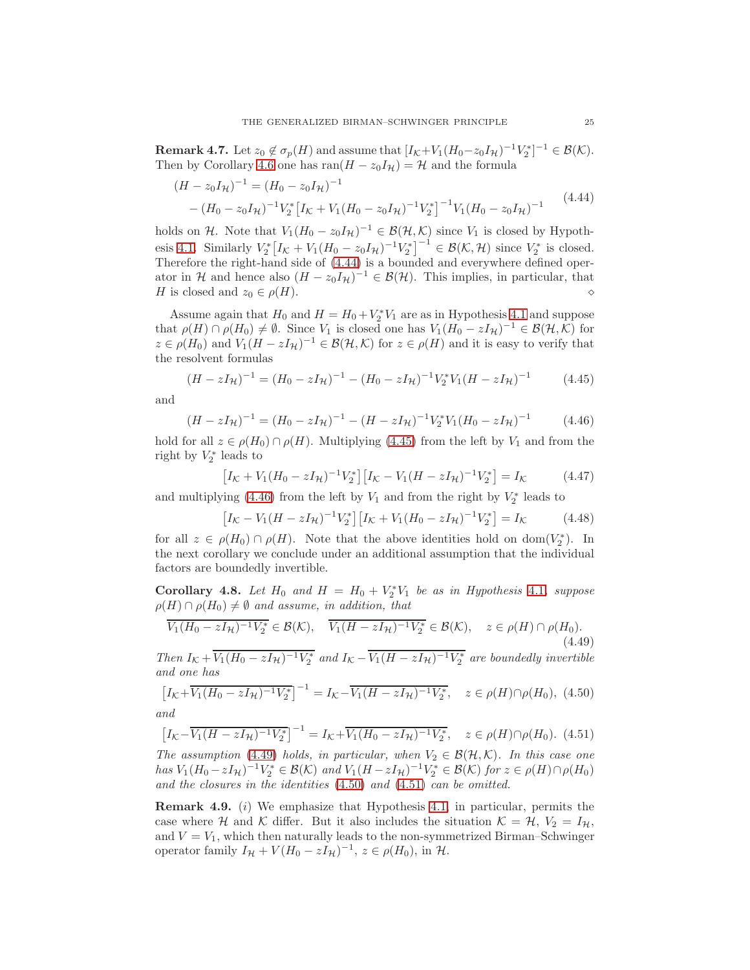**Remark 4.7.** Let  $z_0 \notin \sigma_p(H)$  and assume that  $[I_{\mathcal{K}}+V_1(H_0-z_0I_{\mathcal{H}})^{-1}V_2^*]^{-1} \in \mathcal{B}(\mathcal{K})$ . Then by Corollary [4.6](#page-23-0) one has ran $(H - z_0 I_H) = H$  and the formula

<span id="page-24-0"></span>
$$
(H - z_0 I_H)^{-1} = (H_0 - z_0 I_H)^{-1}
$$
  
–  $(H_0 - z_0 I_H)^{-1} V_2^* [I_K + V_1 (H_0 - z_0 I_H)^{-1} V_2^*]^{-1} V_1 (H_0 - z_0 I_H)^{-1}$  (4.44)

holds on H. Note that  $V_1(H_0 - z_0 I_H)^{-1} \in \mathcal{B}(\mathcal{H}, \mathcal{K})$  since  $V_1$  is closed by Hypoth-esis [4.1.](#page-16-1) Similarly  $V_2^* [I_{\mathcal{K}} + V_1(H_0 - z_0 I_{\mathcal{H}})^{-1} V_2^*]^{-1} \in \mathcal{B}(\mathcal{K}, \mathcal{H})$  since  $V_2^*$  is closed. Therefore the right-hand side of [\(4.44\)](#page-24-0) is a bounded and everywhere defined operator in H and hence also  $(H - z_0 I_H)^{-1} \in \mathcal{B}(\mathcal{H})$ . This implies, in particular, that H is closed and z<sup>0</sup> ∈ ρ(H). ⋄

Assume again that  $H_0$  and  $H = H_0 + V_2^* V_1$  are as in Hypothesis [4.1](#page-16-1) and suppose that  $\rho(H) \cap \rho(H_0) \neq \emptyset$ . Since  $V_1$  is closed one has  $V_1(H_0 - zI_{\mathcal{H}})^{-1} \in \mathcal{B}(\mathcal{H}, \mathcal{K})$  for  $z \in \rho(H_0)$  and  $V_1(H - zI_{\mathcal{H}})^{-1} \in \mathcal{B}(\mathcal{H}, \mathcal{K})$  for  $z \in \rho(H)$  and it is easy to verify that the resolvent formulas

<span id="page-24-1"></span>
$$
(H - zI_{\mathcal{H}})^{-1} = (H_0 - zI_{\mathcal{H}})^{-1} - (H_0 - zI_{\mathcal{H}})^{-1}V_2^*V_1(H - zI_{\mathcal{H}})^{-1}
$$
(4.45)

and

<span id="page-24-2"></span>
$$
(H - zI_{\mathcal{H}})^{-1} = (H_0 - zI_{\mathcal{H}})^{-1} - (H - zI_{\mathcal{H}})^{-1}V_2^*V_1(H_0 - zI_{\mathcal{H}})^{-1}
$$
(4.46)

hold for all  $z \in \rho(H_0) \cap \rho(H)$ . Multiplying [\(4.45\)](#page-24-1) from the left by  $V_1$  and from the right by  $V_2^*$  leads to

$$
\left[I_{\mathcal{K}} + V_1(H_0 - zI_{\mathcal{H}})^{-1}V_2^*\right]\left[I_{\mathcal{K}} - V_1(H - zI_{\mathcal{H}})^{-1}V_2^*\right] = I_{\mathcal{K}}
$$
(4.47)

and multiplying [\(4.46\)](#page-24-2) from the left by  $V_1$  and from the right by  $V_2^*$  leads to

$$
\left[I_{\mathcal{K}} - V_1(H - zI_{\mathcal{H}})^{-1}V_2^*\right]\left[I_{\mathcal{K}} + V_1(H_0 - zI_{\mathcal{H}})^{-1}V_2^*\right] = I_{\mathcal{K}}
$$
(4.48)

for all  $z \in \rho(H_0) \cap \rho(H)$ . Note that the above identities hold on dom $(V_2^*)$ . In the next corollary we conclude under an additional assumption that the individual factors are boundedly invertible.

<span id="page-24-7"></span>Corollary 4.8. Let  $H_0$  and  $H = H_0 + V_2^* V_1$  be as in Hypothesis [4.1](#page-16-1), suppose  $\rho(H) \cap \rho(H_0) \neq \emptyset$  and assume, in addition, that

<span id="page-24-3"></span>
$$
\overline{V_1(H_0 - zI_{\mathcal{H}})^{-1}V_2^*} \in \mathcal{B}(\mathcal{K}), \quad \overline{V_1(H - zI_{\mathcal{H}})^{-1}V_2^*} \in \mathcal{B}(\mathcal{K}), \quad z \in \rho(H) \cap \rho(H_0). \tag{4.49}
$$

Then  $I_K + \overline{V_1(H_0 - zI_{\mathcal{H}})^{-1}V_2^*}$  and  $I_K - \overline{V_1(H - zI_{\mathcal{H}})^{-1}V_2^*}$  are boundedly invertible and one has

<span id="page-24-4"></span>
$$
\left[I_{\mathcal{K}} + \overline{V_1(H_0 - zI_{\mathcal{H}})^{-1}V_2^*}\right]^{-1} = I_{\mathcal{K}} - \overline{V_1(H - zI_{\mathcal{H}})^{-1}V_2^*}, \quad z \in \rho(H) \cap \rho(H_0), \tag{4.50}
$$

and

<span id="page-24-5"></span>
$$
\left[I_{\mathcal{K}} - \overline{V_1(H - zI_{\mathcal{H}})^{-1}V_2^*}\right]^{-1} = I_{\mathcal{K}} + \overline{V_1(H_0 - zI_{\mathcal{H}})^{-1}V_2^*}, \quad z \in \rho(H) \cap \rho(H_0). \tag{4.51}
$$

The assumption [\(4.49\)](#page-24-3) holds, in particular, when  $V_2 \in \mathcal{B}(\mathcal{H}, \mathcal{K})$ . In this case one has  $V_1(H_0 - zI_{\mathcal{H}})^{-1}V_2^* \in \mathcal{B}(\mathcal{K})$  and  $V_1(H - zI_{\mathcal{H}})^{-1}V_2^* \in \mathcal{B}(\mathcal{K})$  for  $z \in \rho(H) \cap \rho(H_0)$ and the closures in the identities [\(4.50\)](#page-24-4) and [\(4.51\)](#page-24-5) can be omitted.

<span id="page-24-6"></span>Remark 4.9. (i) We emphasize that Hypothesis [4.1,](#page-16-1) in particular, permits the case where H and K differ. But it also includes the situation  $\mathcal{K} = \mathcal{H}, V_2 = I_{\mathcal{H}},$ and  $V = V_1$ , which then naturally leads to the non-symmetrized Birman–Schwinger operator family  $I_{\mathcal{H}} + V(H_0 - zI_{\mathcal{H}})^{-1}$ ,  $z \in \rho(H_0)$ , in  $\mathcal{H}$ .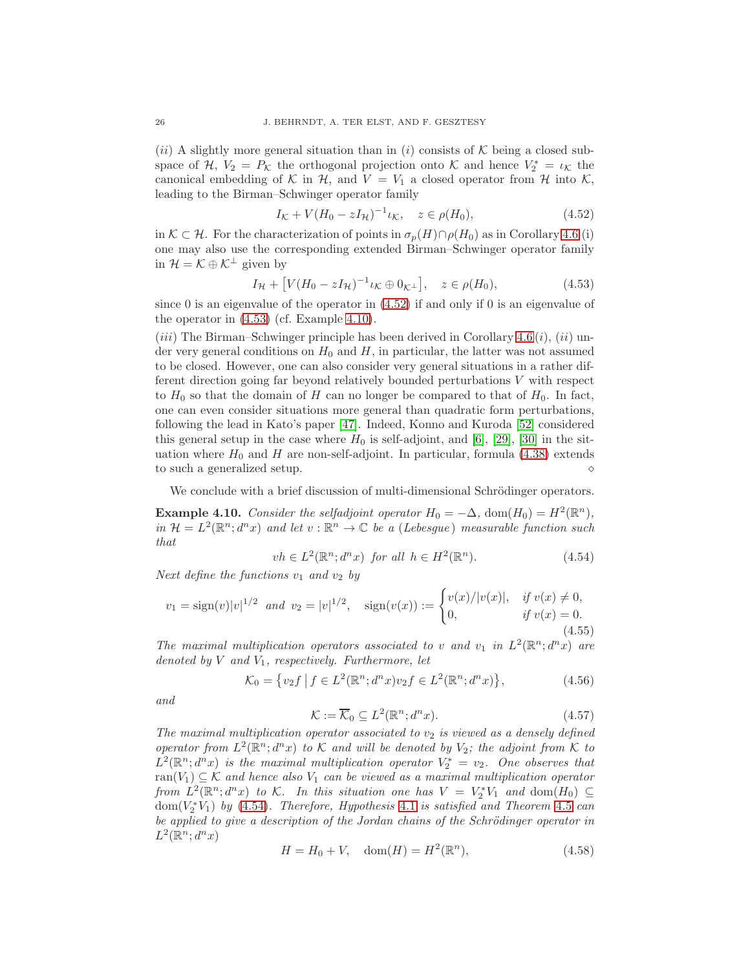(ii) A slightly more general situation than in (i) consists of  $K$  being a closed subspace of H,  $V_2 = P_K$  the orthogonal projection onto K and hence  $V_2^* = \iota_K$  the canonical embedding of K in H, and  $V = V_1$  a closed operator from H into K, leading to the Birman–Schwinger operator family

<span id="page-25-0"></span>
$$
I_{\mathcal{K}} + V(H_0 - zI_{\mathcal{H}})^{-1} \iota_{\mathcal{K}}, \quad z \in \rho(H_0), \tag{4.52}
$$

in  $K \subset \mathcal{H}$ . For the characterization of points in  $\sigma_p(H) \cap \rho(H_0)$  as in Corollary [4.6](#page-23-0) (i) one may also use the corresponding extended Birman–Schwinger operator family in  $\mathcal{H} = \mathcal{K} \oplus \mathcal{K}^{\perp}$  given by

<span id="page-25-1"></span>
$$
I_{\mathcal{H}} + [V(H_0 - zI_{\mathcal{H}})^{-1} \iota_{\mathcal{K}} \oplus 0_{\mathcal{K}^{\perp}}], \quad z \in \rho(H_0), \tag{4.53}
$$

since 0 is an eigenvalue of the operator in [\(4.52\)](#page-25-0) if and only if 0 is an eigenvalue of the operator in [\(4.53\)](#page-25-1) (cf. Example [4.10\)](#page-25-2).

(*iii*) The Birman–Schwinger principle has been derived in Corollary  $4.6(i)$ ,  $(ii)$  under very general conditions on  $H_0$  and H, in particular, the latter was not assumed to be closed. However, one can also consider very general situations in a rather different direction going far beyond relatively bounded perturbations V with respect to  $H_0$  so that the domain of H can no longer be compared to that of  $H_0$ . In fact, one can even consider situations more general than quadratic form perturbations, following the lead in Kato's paper [\[47\]](#page-43-9). Indeed, Konno and Kuroda [\[52\]](#page-43-6) considered this general setup in the case where  $H_0$  is self-adjoint, and [\[6\]](#page-41-5), [\[29\]](#page-42-3), [\[30\]](#page-42-2) in the situation where  $H_0$  and H are non-self-adjoint. In particular, formula [\(4.38\)](#page-23-1) extends to such a generalized setup.  $\Diamond$ 

We conclude with a brief discussion of multi-dimensional Schrödinger operators.

<span id="page-25-2"></span>**Example 4.10.** Consider the selfadjoint operator  $H_0 = -\Delta$ , dom $(H_0) = H^2(\mathbb{R}^n)$ , in  $\mathcal{H} = L^2(\mathbb{R}^n; d^n x)$  and let  $v : \mathbb{R}^n \to \mathbb{C}$  be a (Lebesgue) measurable function such that

<span id="page-25-3"></span>
$$
vh \in L^{2}(\mathbb{R}^{n}; d^{n}x) \text{ for all } h \in H^{2}(\mathbb{R}^{n}).
$$
\n(4.54)

Next define the functions  $v_1$  and  $v_2$  by

$$
v_1 = \text{sign}(v)|v|^{1/2} \text{ and } v_2 = |v|^{1/2}, \quad \text{sign}(v(x)) := \begin{cases} v(x)/|v(x)|, & \text{if } v(x) \neq 0, \\ 0, & \text{if } v(x) = 0. \end{cases}
$$
\n(4.55)

The maximal multiplication operators associated to v and  $v_1$  in  $L^2(\mathbb{R}^n; d^n x)$  are denoted by  $V$  and  $V_1$ , respectively. Furthermore, let

$$
\mathcal{K}_0 = \{ v_2 f \mid f \in L^2(\mathbb{R}^n; d^n x) v_2 f \in L^2(\mathbb{R}^n; d^n x) \},\tag{4.56}
$$

and

$$
\mathcal{K} := \overline{\mathcal{K}}_0 \subseteq L^2(\mathbb{R}^n; d^n x). \tag{4.57}
$$

The maximal multiplication operator associated to  $v_2$  is viewed as a densely defined operator from  $L^2(\mathbb{R}^n; d^n x)$  to K and will be denoted by  $V_2$ ; the adjoint from K to  $L^2(\mathbb{R}^n; d^n x)$  is the maximal multiplication operator  $V_2^* = v_2$ . One observes that ran( $V_1$ )  $\subseteq$  K and hence also  $V_1$  can be viewed as a maximal multiplication operator from  $L^2(\mathbb{R}^n; d^n x)$  to K. In this situation one has  $V = V_2^* V_1$  and  $dom(H_0) \subseteq$  $dom(V_2^*V_1)$  by [\(4.54\)](#page-25-3). Therefore, Hypothesis [4.1](#page-16-1) is satisfied and Theorem [4.5](#page-20-0) can be applied to give a description of the Jordan chains of the Schrödinger operator in  $L^2(\mathbb{R}^n; d^n x)$ 

<span id="page-25-4"></span>
$$
H = H_0 + V, \quad \text{dom}(H) = H^2(\mathbb{R}^n), \tag{4.58}
$$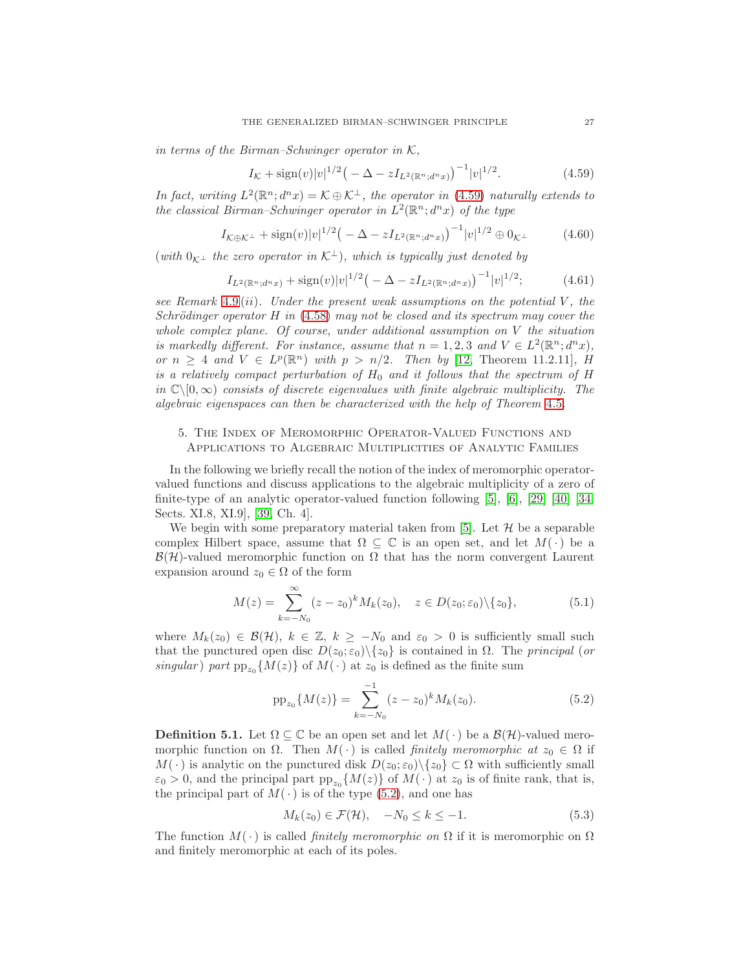in terms of the Birman–Schwinger operator in  $K$ ,

<span id="page-26-1"></span>
$$
I_{\mathcal{K}} + \text{sign}(v)|v|^{1/2} \big(-\Delta - zI_{L^2(\mathbb{R}^n; d^n x)}\big)^{-1}|v|^{1/2}.\tag{4.59}
$$

In fact, writing  $L^2(\mathbb{R}^n; d^n x) = \mathcal{K} \oplus \mathcal{K}^{\perp}$ , the operator in [\(4.59\)](#page-26-1) naturally extends to the classical Birman–Schwinger operator in  $L^2(\mathbb{R}^n; d^n x)$  of the type

$$
I_{\mathcal{K}\oplus\mathcal{K}^{\perp}} + \text{sign}(v)|v|^{1/2} \big(-\Delta - zI_{L^2(\mathbb{R}^n; d^n x)}\big)^{-1}|v|^{1/2} \oplus 0_{\mathcal{K}^{\perp}}
$$
(4.60)

(with  $0_{K^{\perp}}$  the zero operator in  $\mathcal{K}^{\perp}$ ), which is typically just denoted by

$$
I_{L^{2}(\mathbb{R}^{n};d^{n}x)} + \text{sign}(v)|v|^{1/2}\left(-\Delta - zI_{L^{2}(\mathbb{R}^{n};d^{n}x)}\right)^{-1}|v|^{1/2};\tag{4.61}
$$

see Remark [4.9](#page-24-6) (ii). Under the present weak assumptions on the potential  $V$ , the Schrödinger operator H in  $(4.58)$  may not be closed and its spectrum may cover the whole complex plane. Of course, under additional assumption on V the situation is markedly different. For instance, assume that  $n = 1, 2, 3$  and  $V \in L^2(\mathbb{R}^n; d^n x)$ , or  $n \geq 4$  and  $V \in L^p(\mathbb{R}^n)$  with  $p > n/2$ . Then by [\[12,](#page-41-7) Theorem 11.2.11], H is a relatively compact perturbation of  $H_0$  and it follows that the spectrum of  $H$ in  $\mathbb{C}\setminus[0,\infty)$  consists of discrete eigenvalues with finite algebraic multiplicity. The algebraic eigenspaces can then be characterized with the help of Theorem [4.5](#page-20-0).

# <span id="page-26-0"></span>5. The Index of Meromorphic Operator-Valued Functions and Applications to Algebraic Multiplicities of Analytic Families

In the following we briefly recall the notion of the index of meromorphic operatorvalued functions and discuss applications to the algebraic multiplicity of a zero of finite-type of an analytic operator-valued function following  $[5]$ ,  $[6]$ ,  $[29]$   $[40]$   $[34$ , Sects. XI.8, XI.9], [\[39,](#page-42-19) Ch. 4].

We begin with some preparatory material taken from [\[5\]](#page-41-4). Let  $H$  be a separable complex Hilbert space, assume that  $\Omega \subseteq \mathbb{C}$  is an open set, and let  $M(\cdot)$  be a  $\mathcal{B}(\mathcal{H})$ -valued meromorphic function on  $\Omega$  that has the norm convergent Laurent expansion around  $z_0 \in \Omega$  of the form

<span id="page-26-3"></span>
$$
M(z) = \sum_{k=-N_0}^{\infty} (z - z_0)^k M_k(z_0), \quad z \in D(z_0; \varepsilon_0) \setminus \{z_0\},
$$
 (5.1)

where  $M_k(z_0) \in \mathcal{B}(\mathcal{H}), k \in \mathbb{Z}, k \geq -N_0$  and  $\varepsilon_0 > 0$  is sufficiently small such that the punctured open disc  $D(z_0; \varepsilon_0) \setminus \{z_0\}$  is contained in  $\Omega$ . The principal (or singular) part  $pp_{z_0}\{M(z)\}\$  of  $M(\cdot)$  at  $z_0$  is defined as the finite sum

<span id="page-26-2"></span>
$$
pp_{z_0}\{M(z)\} = \sum_{k=-N_0}^{-1} (z-z_0)^k M_k(z_0).
$$
 (5.2)

**Definition 5.1.** Let  $\Omega \subseteq \mathbb{C}$  be an open set and let  $M(\cdot)$  be a  $\mathcal{B}(\mathcal{H})$ -valued meromorphic function on  $\Omega$ . Then  $M(\cdot)$  is called *finitely meromorphic at*  $z_0 \in \Omega$  if  $M(\cdot)$  is analytic on the punctured disk  $D(z_0; \varepsilon_0) \setminus \{z_0\} \subset \Omega$  with sufficiently small  $\varepsilon_0 > 0$ , and the principal part  $\text{pp}_{z_0}\{M(z)\}\$  of  $M(\cdot)$  at  $z_0$  is of finite rank, that is, the principal part of  $M(\cdot)$  is of the type [\(5.2\)](#page-26-2), and one has

$$
M_k(z_0) \in \mathcal{F}(\mathcal{H}), \quad -N_0 \le k \le -1. \tag{5.3}
$$

The function  $M(\cdot)$  is called *finitely meromorphic on*  $\Omega$  if it is meromorphic on  $\Omega$ and finitely meromorphic at each of its poles.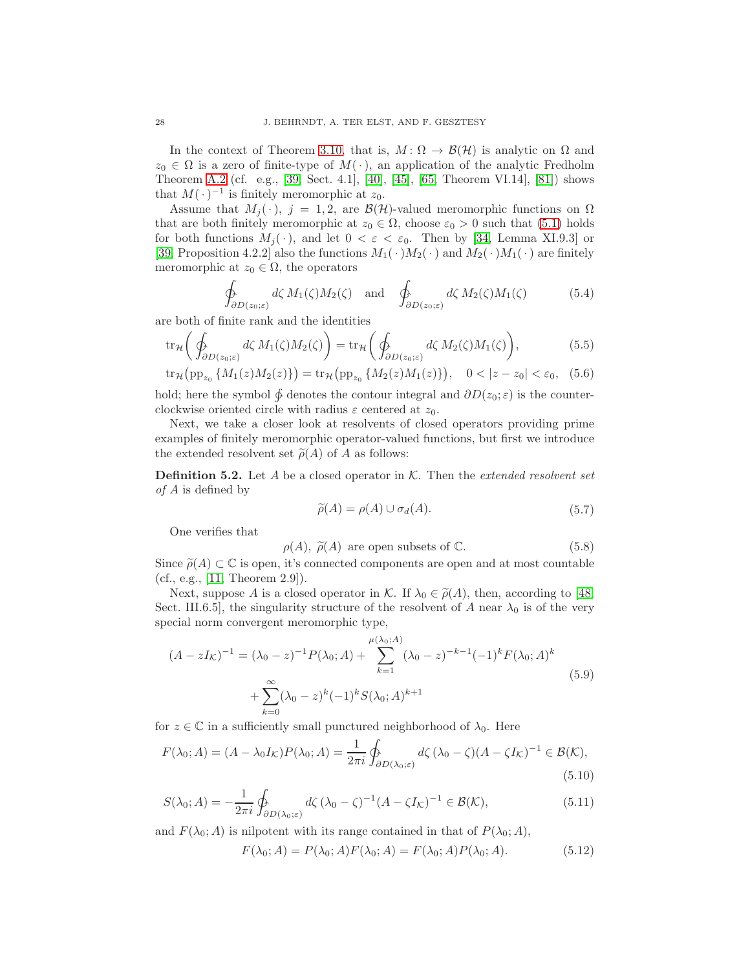In the context of Theorem [3.10,](#page-16-2) that is,  $M: \Omega \to \mathcal{B}(\mathcal{H})$  is analytic on  $\Omega$  and  $z_0 \in \Omega$  is a zero of finite-type of  $M(\cdot)$ , an application of the analytic Fredholm Theorem [A.2](#page-39-2) (cf. e.g., [\[39,](#page-42-19) Sect. 4.1], [\[40\]](#page-42-20), [\[45\]](#page-43-3), [\[65,](#page-43-22) Theorem VI.14], [\[81\]](#page-44-11)) shows that  $M(\cdot)^{-1}$  is finitely meromorphic at  $z_0$ .

Assume that  $M_i(\cdot)$ ,  $j = 1, 2$ , are  $\mathcal{B}(\mathcal{H})$ -valued meromorphic functions on  $\Omega$ that are both finitely meromorphic at  $z_0 \in \Omega$ , choose  $\varepsilon_0 > 0$  such that [\(5.1\)](#page-26-3) holds for both functions  $M_j(\cdot)$ , and let  $0 < \varepsilon < \varepsilon_0$ . Then by [\[34,](#page-42-12) Lemma XI.9.3] or [\[39,](#page-42-19) Proposition 4.2.2] also the functions  $M_1(\cdot)M_2(\cdot)$  and  $M_2(\cdot)M_1(\cdot)$  are finitely meromorphic at  $z_0 \in \Omega$ , the operators

<span id="page-27-3"></span>
$$
\oint_{\partial D(z_0;\varepsilon)} d\zeta M_1(\zeta)M_2(\zeta) \quad \text{and} \quad \oint_{\partial D(z_0;\varepsilon)} d\zeta M_2(\zeta)M_1(\zeta) \tag{5.4}
$$

are both of finite rank and the identities

$$
\operatorname{tr}_{\mathcal{H}}\left(\oint_{\partial D(z_0;\varepsilon)} d\zeta M_1(\zeta)M_2(\zeta)\right) = \operatorname{tr}_{\mathcal{H}}\left(\oint_{\partial D(z_0;\varepsilon)} d\zeta M_2(\zeta)M_1(\zeta)\right),\tag{5.5}
$$

$$
\operatorname{tr}_{\mathcal{H}}\left(\operatorname{pp}_{z_0} \{M_1(z)M_2(z)\}\right) = \operatorname{tr}_{\mathcal{H}}\left(\operatorname{pp}_{z_0} \{M_2(z)M_1(z)\}\right), \quad 0 < |z - z_0| < \varepsilon_0,\tag{5.6}
$$

hold; here the symbol  $\oint$  denotes the contour integral and  $\partial D(z_0; \varepsilon)$  is the counterclockwise oriented circle with radius  $\varepsilon$  centered at  $z_0$ .

Next, we take a closer look at resolvents of closed operators providing prime examples of finitely meromorphic operator-valued functions, but first we introduce the extended resolvent set  $\tilde{\rho}(A)$  of A as follows:

<span id="page-27-2"></span>**Definition 5.2.** Let A be a closed operator in K. Then the *extended resolvent set* of A is defined by

<span id="page-27-1"></span><span id="page-27-0"></span>
$$
\widetilde{\rho}(A) = \rho(A) \cup \sigma_d(A). \tag{5.7}
$$

One verifies that

$$
\rho(A), \tilde{\rho}(A)
$$
 are open subsets of  $\mathbb{C}.$  (5.8)

Since  $\tilde{\rho}(A) \subset \mathbb{C}$  is open, it's connected components are open and at most countable  $(f, \epsilon, \kappa, [11, \text{Theorem } 3.0])$ (cf., e.g., [\[11,](#page-41-16) Theorem 2.9]).

Next, suppose A is a closed operator in K. If  $\lambda_0 \in \tilde{\rho}(A)$ , then, according to [\[48,](#page-43-13) Sect. III.6.5], the singularity structure of the resolvent of A near  $\lambda_0$  is of the very special norm convergent meromorphic type,

$$
(A - zI_{\mathcal{K}})^{-1} = (\lambda_0 - z)^{-1} P(\lambda_0; A) + \sum_{k=1}^{\mu(\lambda_0; A)} (\lambda_0 - z)^{-k-1} (-1)^k F(\lambda_0; A)^k
$$
  
+ 
$$
\sum_{k=0}^{\infty} (\lambda_0 - z)^k (-1)^k S(\lambda_0; A)^{k+1}
$$
(5.9)

for  $z \in \mathbb{C}$  in a sufficiently small punctured neighborhood of  $\lambda_0$ . Here

$$
F(\lambda_0; A) = (A - \lambda_0 I_K) P(\lambda_0; A) = \frac{1}{2\pi i} \oint_{\partial D(\lambda_0; \varepsilon)} d\zeta (\lambda_0 - \zeta) (A - \zeta I_K)^{-1} \in \mathcal{B}(\mathcal{K}),
$$
\n(5.10)

$$
S(\lambda_0; A) = -\frac{1}{2\pi i} \oint_{\partial D(\lambda_0; \varepsilon)} d\zeta (\lambda_0 - \zeta)^{-1} (A - \zeta I_\mathcal{K})^{-1} \in \mathcal{B}(\mathcal{K}), \tag{5.11}
$$

and  $F(\lambda_0; A)$  is nilpotent with its range contained in that of  $P(\lambda_0; A)$ ,

$$
F(\lambda_0; A) = P(\lambda_0; A)F(\lambda_0; A) = F(\lambda_0; A)P(\lambda_0; A).
$$
\n
$$
(5.12)
$$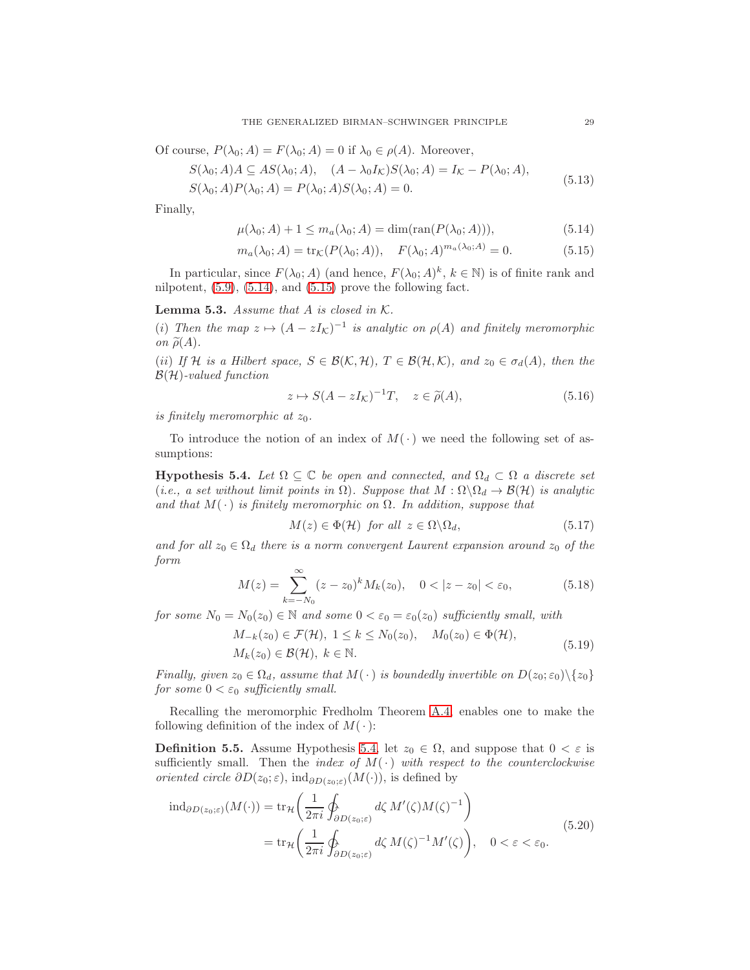Of course,  $P(\lambda_0; A) = F(\lambda_0; A) = 0$  if  $\lambda_0 \in \rho(A)$ . Moreover,

$$
S(\lambda_0; A)A \subseteq AS(\lambda_0; A), \quad (A - \lambda_0 I_\mathcal{K})S(\lambda_0; A) = I_\mathcal{K} - P(\lambda_0; A),
$$
\n
$$
S(\lambda_0; A) = I_\mathcal{K} - P(\lambda_0; A), \quad (5.13)
$$

$$
S(\lambda_0; A)P(\lambda_0; A) = P(\lambda_0; A)S(\lambda_0; A) = 0.
$$

Finally,

<span id="page-28-0"></span>
$$
\mu(\lambda_0; A) + 1 \le m_a(\lambda_0; A) = \dim(\text{ran}(P(\lambda_0; A))), \tag{5.14}
$$

$$
m_a(\lambda_0; A) = \text{tr}_{\mathcal{K}}(P(\lambda_0; A)), \quad F(\lambda_0; A)^{m_a(\lambda_0; A)} = 0.
$$
 (5.15)

In particular, since  $F(\lambda_0; A)$  (and hence,  $F(\lambda_0; A)^k$ ,  $k \in \mathbb{N}$ ) is of finite rank and nilpotent,  $(5.9)$ ,  $(5.14)$ , and  $(5.15)$  prove the following fact.

<span id="page-28-3"></span>**Lemma 5.3.** Assume that  $A$  is closed in  $K$ .

(i) Then the map  $z \mapsto (A - zI_{\mathcal{K}})^{-1}$  is analytic on  $\rho(A)$  and finitely meromorphic on  $\widetilde{\rho}(A)$ .

(ii) If H is a Hilbert space,  $S \in \mathcal{B}(\mathcal{K}, \mathcal{H})$ ,  $T \in \mathcal{B}(\mathcal{H}, \mathcal{K})$ , and  $z_0 \in \sigma_d(A)$ , then the  $\mathcal{B}(\mathcal{H})$ -valued function

<span id="page-28-1"></span>
$$
z \mapsto S(A - zI_{\mathcal{K}})^{-1}T, \quad z \in \tilde{\rho}(A), \tag{5.16}
$$

is finitely meromorphic at  $z_0$ .

To introduce the notion of an index of  $M(\cdot)$  we need the following set of assumptions:

<span id="page-28-2"></span>**Hypothesis 5.4.** Let  $\Omega \subseteq \mathbb{C}$  be open and connected, and  $\Omega_d \subset \Omega$  a discrete set (i.e., a set without limit points in  $\Omega$ ). Suppose that  $M : \Omega \setminus \Omega_d \to \mathcal{B}(\mathcal{H})$  is analytic and that  $M(\cdot)$  is finitely meromorphic on  $\Omega$ . In addition, suppose that

$$
M(z) \in \Phi(\mathcal{H}) \text{ for all } z \in \Omega \backslash \Omega_d,
$$
\n
$$
(5.17)
$$

and for all  $z_0 \in \Omega_d$  there is a norm convergent Laurent expansion around  $z_0$  of the form

$$
M(z) = \sum_{k=-N_0}^{\infty} (z - z_0)^k M_k(z_0), \quad 0 < |z - z_0| < \varepsilon_0,\tag{5.18}
$$

for some  $N_0 = N_0(z_0) \in \mathbb{N}$  and some  $0 < \varepsilon_0 = \varepsilon_0(z_0)$  sufficiently small, with

<span id="page-28-4"></span>
$$
M_{-k}(z_0) \in \mathcal{F}(\mathcal{H}), 1 \le k \le N_0(z_0), M_0(z_0) \in \Phi(\mathcal{H}),
$$
  
\n
$$
M_k(z_0) \in \mathcal{B}(\mathcal{H}), k \in \mathbb{N}.
$$
\n(5.19)

Finally, given  $z_0 \in \Omega_d$ , assume that  $M(\cdot)$  is boundedly invertible on  $D(z_0; \varepsilon_0) \setminus \{z_0\}$ for some  $0 < \varepsilon_0$  sufficiently small.

Recalling the meromorphic Fredholm Theorem [A.4,](#page-40-0) enables one to make the following definition of the index of  $M(\cdot)$ :

**Definition 5.5.** Assume Hypothesis [5.4,](#page-28-2) let  $z_0 \in \Omega$ , and suppose that  $0 < \varepsilon$  is sufficiently small. Then the *index of*  $M(\cdot)$  with respect to the counterclockwise *oriented circle*  $\partial D(z_0; \varepsilon)$ *,* ind<sub> $\partial D(z_0; \varepsilon)$ (*M*(·)), is defined by</sub>

$$
\mathrm{ind}_{\partial D(z_0;\varepsilon)}(M(\cdot)) = \mathrm{tr}_{\mathcal{H}}\left(\frac{1}{2\pi i}\oint_{\partial D(z_0;\varepsilon)} d\zeta M'(\zeta)M(\zeta)^{-1}\right)
$$
\n
$$
= \mathrm{tr}_{\mathcal{H}}\left(\frac{1}{2\pi i}\oint_{\partial D(z_0;\varepsilon)} d\zeta M(\zeta)^{-1}M'(\zeta)\right), \quad 0 < \varepsilon < \varepsilon_0.
$$
\n(5.20)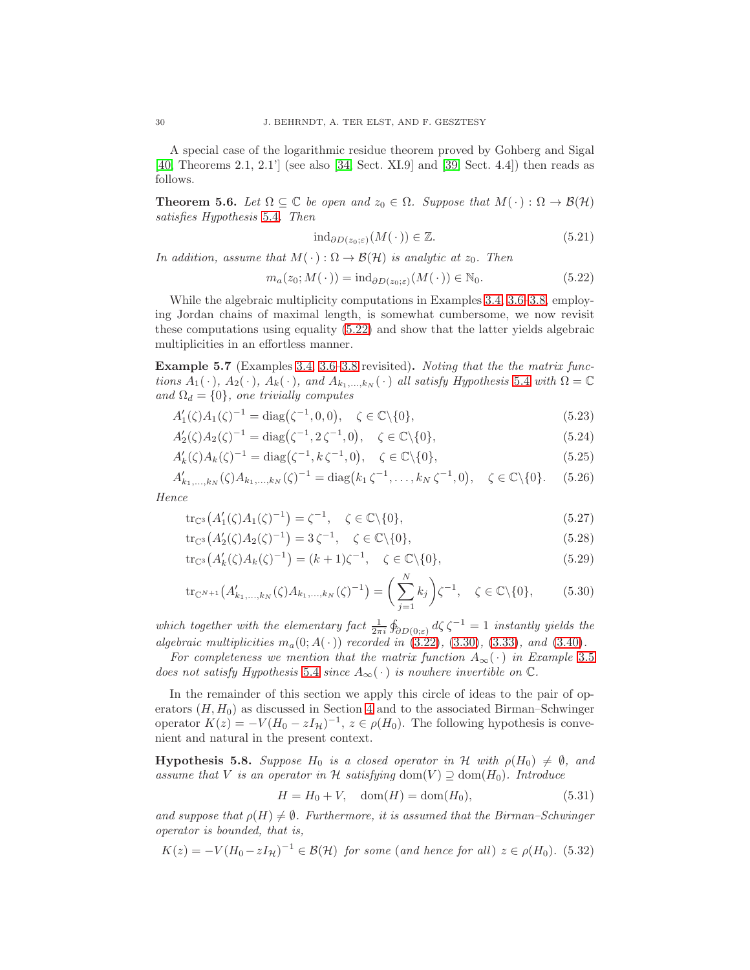A special case of the logarithmic residue theorem proved by Gohberg and Sigal [\[40,](#page-42-20) Theorems 2.1, 2.1'] (see also [\[34,](#page-42-12) Sect. XI.9] and [\[39,](#page-42-19) Sect. 4.4]) then reads as follows.

<span id="page-29-4"></span>**Theorem 5.6.** Let  $\Omega \subseteq \mathbb{C}$  be open and  $z_0 \in \Omega$ . Suppose that  $M(\cdot): \Omega \to \mathcal{B}(\mathcal{H})$ satisfies Hypothesis [5.4](#page-28-2). Then

$$
ind_{\partial D(z_0;\varepsilon)}(M(\,\cdot\,)) \in \mathbb{Z}.\tag{5.21}
$$

In addition, assume that  $M(\cdot): \Omega \to \mathcal{B}(\mathcal{H})$  is analytic at  $z_0$ . Then

<span id="page-29-0"></span>
$$
m_a(z_0; M(\cdot)) = \mathrm{ind}_{\partial D(z_0; \varepsilon)}(M(\cdot)) \in \mathbb{N}_0. \tag{5.22}
$$

While the algebraic multiplicity computations in Examples [3.4,](#page-13-2) [3.6–](#page-14-0)[3.8,](#page-15-3) employing Jordan chains of maximal length, is somewhat cumbersome, we now revisit these computations using equality [\(5.22\)](#page-29-0) and show that the latter yields algebraic multiplicities in an effortless manner.

<span id="page-29-3"></span>Example 5.7 (Examples [3.4,](#page-13-2) [3.6–](#page-14-0)[3.8](#page-15-3) revisited). Noting that the the matrix functions  $A_1(\cdot)$ ,  $A_2(\cdot)$ ,  $A_k(\cdot)$ , and  $A_{k_1,\dots,k_N}(\cdot)$  all satisfy Hypothesis [5.4](#page-28-2) with  $\Omega = \mathbb{C}$ and  $\Omega_d = \{0\}$ , one trivially computes

$$
A'_1(\zeta)A_1(\zeta)^{-1} = \text{diag}(\zeta^{-1}, 0, 0), \quad \zeta \in \mathbb{C} \setminus \{0\},\tag{5.23}
$$

$$
A_2'(\zeta)A_2(\zeta)^{-1} = \text{diag}(\zeta^{-1}, 2\zeta^{-1}, 0), \quad \zeta \in \mathbb{C} \setminus \{0\},\tag{5.24}
$$

$$
A'_{k}(\zeta)A_{k}(\zeta)^{-1} = \text{diag}(\zeta^{-1}, k\,\zeta^{-1}, 0), \quad \zeta \in \mathbb{C} \setminus \{0\},\tag{5.25}
$$

$$
A'_{k_1,\dots,k_N}(\zeta)A_{k_1,\dots,k_N}(\zeta)^{-1} = \text{diag}\big(k_1\,\zeta^{-1},\dots,k_N\,\zeta^{-1},0\big), \quad \zeta \in \mathbb{C}\backslash\{0\}. \tag{5.26}
$$

Hence

$$
\text{tr}_{\mathbb{C}^3}\big(A'_1(\zeta)A_1(\zeta)^{-1}\big) = \zeta^{-1}, \quad \zeta \in \mathbb{C}\backslash\{0\},\tag{5.27}
$$

$$
\text{tr}_{\mathbb{C}^3}\big(A'_2(\zeta)A_2(\zeta)^{-1}\big) = 3\,\zeta^{-1}, \quad \zeta \in \mathbb{C}\backslash\{0\},\tag{5.28}
$$

$$
\text{tr}_{\mathbb{C}^3}\big(A'_k(\zeta)A_k(\zeta)^{-1}\big) = (k+1)\zeta^{-1}, \quad \zeta \in \mathbb{C}\backslash\{0\},\tag{5.29}
$$

$$
\text{tr}_{\mathbb{C}^{N+1}}\big(A'_{k_1,\dots,k_N}(\zeta)A_{k_1,\dots,k_N}(\zeta)^{-1}\big) = \bigg(\sum_{j=1}^N k_j\bigg)\zeta^{-1}, \quad \zeta \in \mathbb{C}\backslash\{0\},\tag{5.30}
$$

which together with the elementary fact  $\frac{1}{2\pi i} \oint_{\partial D(0,\varepsilon)} d\zeta \zeta^{-1} = 1$  instantly yields the algebraic multiplicities  $m_a(0; A(\cdot))$  recorded in  $(3.22), (3.30), (3.33),$  $(3.22), (3.30), (3.33),$  $(3.22), (3.30), (3.33),$  $(3.22), (3.30), (3.33),$  $(3.22), (3.30), (3.33),$  $(3.22), (3.30), (3.33),$  and  $(3.40)$ .

For completeness we mention that the matrix function  $A_{\infty}(\cdot)$  in Example [3.5](#page-14-3) does not satisfy Hypothesis [5.4](#page-28-2) since  $A_{\infty}(\cdot)$  is nowhere invertible on  $\mathbb{C}$ .

In the remainder of this section we apply this circle of ideas to the pair of operators  $(H, H_0)$  as discussed in Section [4](#page-16-0) and to the associated Birman–Schwinger operator  $K(z) = -V(H_0 - zI_{\mathcal{H}})^{-1}$ ,  $z \in \rho(H_0)$ . The following hypothesis is convenient and natural in the present context.

<span id="page-29-1"></span>**Hypothesis 5.8.** Suppose  $H_0$  is a closed operator in H with  $\rho(H_0) \neq \emptyset$ , and assume that V is an operator in H satisfying dom(V)  $\supseteq$  dom(H<sub>0</sub>). Introduce

$$
H = H_0 + V, \quad \text{dom}(H) = \text{dom}(H_0), \tag{5.31}
$$

and suppose that  $\rho(H) \neq \emptyset$ . Furthermore, it is assumed that the Birman–Schwinger operator is bounded, that is,

<span id="page-29-2"></span>
$$
K(z) = -V(H_0 - zI_{\mathcal{H}})^{-1} \in \mathcal{B}(\mathcal{H}) \text{ for some (and hence for all) } z \in \rho(H_0). \tag{5.32}
$$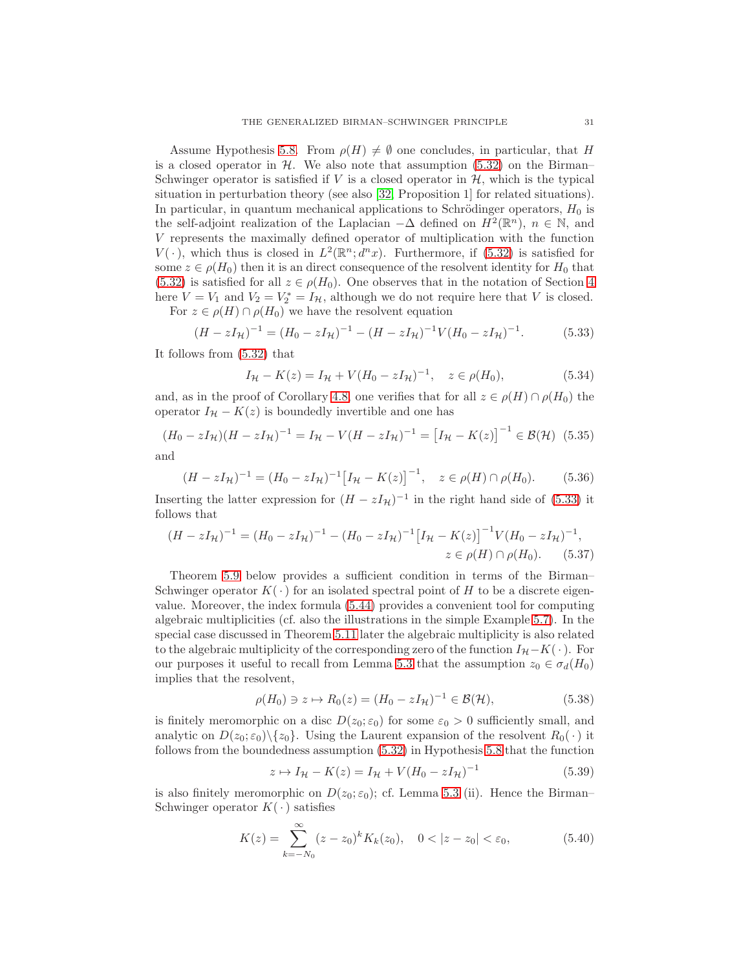Assume Hypothesis [5.8.](#page-29-1) From  $\rho(H) \neq \emptyset$  one concludes, in particular, that H is a closed operator in  $H$ . We also note that assumption [\(5.32\)](#page-29-2) on the Birman– Schwinger operator is satisfied if  $V$  is a closed operator in  $H$ , which is the typical situation in perturbation theory (see also [\[32,](#page-42-21) Proposition 1] for related situations). In particular, in quantum mechanical applications to Schrödinger operators,  $H_0$  is the self-adjoint realization of the Laplacian  $-\Delta$  defined on  $H^2(\mathbb{R}^n)$ ,  $n \in \mathbb{N}$ , and V represents the maximally defined operator of multiplication with the function  $V(\cdot)$ , which thus is closed in  $L^2(\mathbb{R}^n; d^n x)$ . Furthermore, if [\(5.32\)](#page-29-2) is satisfied for some  $z \in \rho(H_0)$  then it is an direct consequence of the resolvent identity for  $H_0$  that [\(5.32\)](#page-29-2) is satisfied for all  $z \in \rho(H_0)$ . One observes that in the notation of Section [4](#page-16-0) here  $V = V_1$  and  $V_2 = V_2^* = I_H$ , although we do not require here that V is closed. For  $z \in \rho(H) \cap \rho(H_0)$  we have the resolvent equation

<span id="page-30-0"></span>
$$
(H - zI_{\mathcal{H}})^{-1} = (H_0 - zI_{\mathcal{H}})^{-1} - (H - zI_{\mathcal{H}})^{-1}V(H_0 - zI_{\mathcal{H}})^{-1}.
$$
 (5.33)

It follows from [\(5.32\)](#page-29-2) that

$$
I_{\mathcal{H}} - K(z) = I_{\mathcal{H}} + V(H_0 - zI_{\mathcal{H}})^{-1}, \quad z \in \rho(H_0), \tag{5.34}
$$

and, as in the proof of Corollary [4.8,](#page-24-7) one verifies that for all  $z \in \rho(H) \cap \rho(H_0)$  the operator  $I_{\mathcal{H}} - K(z)$  is boundedly invertible and one has

<span id="page-30-2"></span>
$$
(H_0 - zI_{\mathcal{H}})(H - zI_{\mathcal{H}})^{-1} = I_{\mathcal{H}} - V(H - zI_{\mathcal{H}})^{-1} = [I_{\mathcal{H}} - K(z)]^{-1} \in \mathcal{B}(\mathcal{H}) \tag{5.35}
$$

and

$$
(H - zI_{\mathcal{H}})^{-1} = (H_0 - zI_{\mathcal{H}})^{-1} [I_{\mathcal{H}} - K(z)]^{-1}, \quad z \in \rho(H) \cap \rho(H_0).
$$
 (5.36)

Inserting the latter expression for  $(H - zI_{\mathcal{H}})^{-1}$  in the right hand side of [\(5.33\)](#page-30-0) it follows that

$$
(H - zI_{\mathcal{H}})^{-1} = (H_0 - zI_{\mathcal{H}})^{-1} - (H_0 - zI_{\mathcal{H}})^{-1} \left[I_{\mathcal{H}} - K(z)\right]^{-1} V (H_0 - zI_{\mathcal{H}})^{-1},
$$
  

$$
z \in \rho(H) \cap \rho(H_0).
$$
 (5.37)

Theorem [5.9](#page-31-0) below provides a sufficient condition in terms of the Birman– Schwinger operator  $K(\cdot)$  for an isolated spectral point of H to be a discrete eigenvalue. Moreover, the index formula [\(5.44\)](#page-31-1) provides a convenient tool for computing algebraic multiplicities (cf. also the illustrations in the simple Example [5.7\)](#page-29-3). In the special case discussed in Theorem [5.11](#page-33-1) later the algebraic multiplicity is also related to the algebraic multiplicity of the corresponding zero of the function  $I_{\mathcal{H}}-K(\cdot)$ . For our purposes it useful to recall from Lemma [5.3](#page-28-3) that the assumption  $z_0 \in \sigma_d(H_0)$ implies that the resolvent,

<span id="page-30-3"></span>
$$
\rho(H_0) \ni z \mapsto R_0(z) = (H_0 - zI_{\mathcal{H}})^{-1} \in \mathcal{B}(\mathcal{H}),\tag{5.38}
$$

is finitely meromorphic on a disc  $D(z_0; \varepsilon_0)$  for some  $\varepsilon_0 > 0$  sufficiently small, and analytic on  $D(z_0; \varepsilon_0) \setminus \{z_0\}$ . Using the Laurent expansion of the resolvent  $R_0(\cdot)$  it follows from the boundedness assumption [\(5.32\)](#page-29-2) in Hypothesis [5.8](#page-29-1) that the function

$$
z \mapsto I_{\mathcal{H}} - K(z) = I_{\mathcal{H}} + V(H_0 - zI_{\mathcal{H}})^{-1}
$$
\n(5.39)

is also finitely meromorphic on  $D(z_0; \varepsilon_0)$ ; cf. Lemma [5.3](#page-28-3) (ii). Hence the Birman– Schwinger operator  $K(\cdot)$  satisfies

<span id="page-30-1"></span>
$$
K(z) = \sum_{k=-N_0}^{\infty} (z - z_0)^k K_k(z_0), \quad 0 < |z - z_0| < \varepsilon_0,
$$
 (5.40)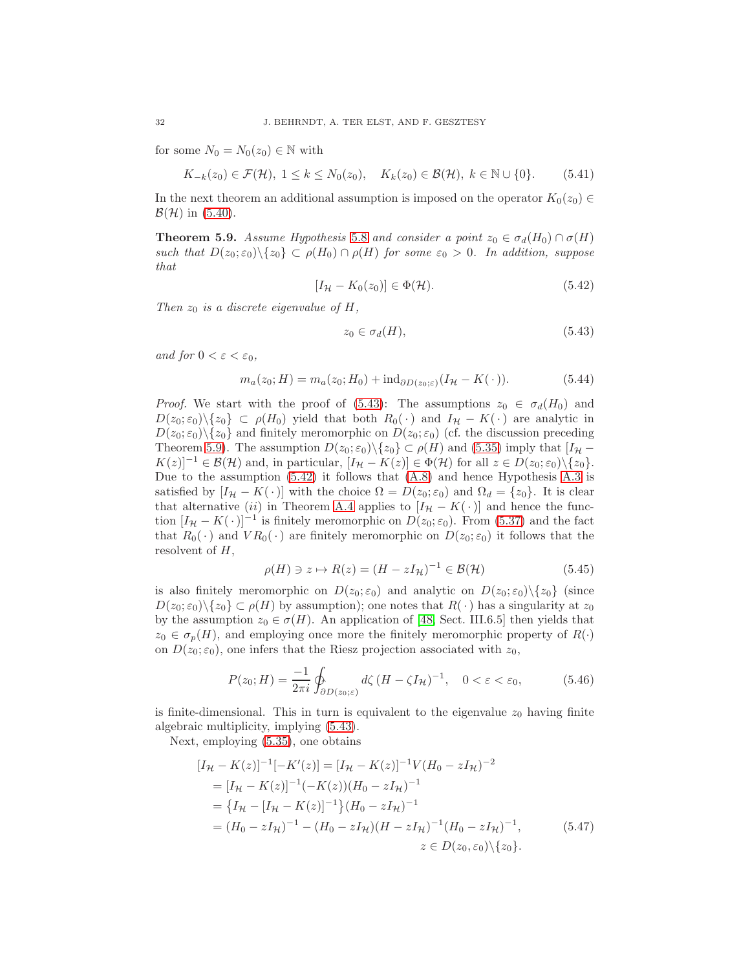for some  $N_0 = N_0(z_0) \in \mathbb{N}$  with

$$
K_{-k}(z_0) \in \mathcal{F}(\mathcal{H}), \ 1 \le k \le N_0(z_0), \quad K_k(z_0) \in \mathcal{B}(\mathcal{H}), \ k \in \mathbb{N} \cup \{0\}. \tag{5.41}
$$

In the next theorem an additional assumption is imposed on the operator  $K_0(z_0) \in$  $\mathcal{B}(\mathcal{H})$  in [\(5.40\)](#page-30-1).

<span id="page-31-0"></span>**Theorem 5.9.** Assume Hypothesis [5.8](#page-29-1) and consider a point  $z_0 \in \sigma_d(H_0) \cap \sigma(H)$ such that  $D(z_0; \varepsilon_0) \setminus \{z_0\} \subset \rho(H_0) \cap \rho(H)$  for some  $\varepsilon_0 > 0$ . In addition, suppose that

<span id="page-31-3"></span>
$$
[I_{\mathcal{H}} - K_0(z_0)] \in \Phi(\mathcal{H}). \tag{5.42}
$$

Then  $z_0$  is a discrete eigenvalue of H,

<span id="page-31-2"></span>
$$
z_0 \in \sigma_d(H),\tag{5.43}
$$

and for  $0 < \varepsilon < \varepsilon_0$ ,

<span id="page-31-1"></span>
$$
m_a(z_0; H) = m_a(z_0; H_0) + \mathrm{ind}_{\partial D(z_0; \varepsilon)} (I_H - K(\cdot)). \tag{5.44}
$$

*Proof.* We start with the proof of [\(5.43\)](#page-31-2): The assumptions  $z_0 \in \sigma_d(H_0)$  and  $D(z_0; \varepsilon_0) \setminus \{z_0\} \subset \rho(H_0)$  yield that both  $R_0(\cdot)$  and  $I_H - K(\cdot)$  are analytic in  $D(z_0; \varepsilon_0) \setminus \{z_0\}$  and finitely meromorphic on  $D(z_0; \varepsilon_0)$  (cf. the discussion preceding Theorem [5.9\)](#page-31-0). The assumption  $D(z_0; \varepsilon_0) \setminus \{z_0\} \subset \rho(H)$  and [\(5.35\)](#page-30-2) imply that  $[I_H -]$  $K(z)]^{-1} \in \mathcal{B}(\mathcal{H})$  and, in particular,  $[I_{\mathcal{H}} - K(z)] \in \Phi(\mathcal{H})$  for all  $z \in D(z_0; \varepsilon_0) \setminus \{z_0\}.$ Due to the assumption [\(5.42\)](#page-31-3) it follows that [\(A.8\)](#page-40-1) and hence Hypothesis [A.3](#page-40-2) is satisfied by  $[I_{\mathcal{H}} - K(\cdot)]$  with the choice  $\Omega = D(z_0; \varepsilon_0)$  and  $\Omega_d = \{z_0\}$ . It is clear that alternative (ii) in Theorem [A.4](#page-40-0) applies to  $[I_{\mathcal{H}} - K(\cdot)]$  and hence the function  $[I_{\mathcal{H}} - K(\cdot)]^{-1}$  is finitely meromorphic on  $D(z_0; \varepsilon_0)$ . From [\(5.37\)](#page-30-3) and the fact that  $R_0(\cdot)$  and  $VR_0(\cdot)$  are finitely meromorphic on  $D(z_0; \varepsilon_0)$  it follows that the resolvent of  $H$ ,

$$
\rho(H) \ni z \mapsto R(z) = (H - zI_{\mathcal{H}})^{-1} \in \mathcal{B}(\mathcal{H}) \tag{5.45}
$$

is also finitely meromorphic on  $D(z_0; \varepsilon_0)$  and analytic on  $D(z_0; \varepsilon_0) \setminus \{z_0\}$  (since  $D(z_0; \varepsilon_0) \setminus \{z_0\} \subset \rho(H)$  by assumption); one notes that  $R(\cdot)$  has a singularity at  $z_0$ by the assumption  $z_0 \in \sigma(H)$ . An application of [\[48,](#page-43-13) Sect. III.6.5] then yields that  $z_0 \in \sigma_p(H)$ , and employing once more the finitely meromorphic property of  $R(\cdot)$ on  $D(z_0; \varepsilon_0)$ , one infers that the Riesz projection associated with  $z_0$ ,

<span id="page-31-5"></span><span id="page-31-4"></span>
$$
P(z_0;H) = \frac{-1}{2\pi i} \oint_{\partial D(z_0;\varepsilon)} d\zeta \left(H - \zeta I_\mathcal{H}\right)^{-1}, \quad 0 < \varepsilon < \varepsilon_0,\tag{5.46}
$$

is finite-dimensional. This in turn is equivalent to the eigenvalue  $z_0$  having finite algebraic multiplicity, implying [\(5.43\)](#page-31-2).

Next, employing [\(5.35\)](#page-30-2), one obtains

$$
[I_{\mathcal{H}} - K(z)]^{-1} [-K'(z)] = [I_{\mathcal{H}} - K(z)]^{-1} V (H_0 - zI_{\mathcal{H}})^{-2}
$$
  
\n
$$
= [I_{\mathcal{H}} - K(z)]^{-1} (-K(z)) (H_0 - zI_{\mathcal{H}})^{-1}
$$
  
\n
$$
= \{I_{\mathcal{H}} - [I_{\mathcal{H}} - K(z)]^{-1} \} (H_0 - zI_{\mathcal{H}})^{-1}
$$
  
\n
$$
= (H_0 - zI_{\mathcal{H}})^{-1} - (H_0 - zI_{\mathcal{H}}) (H - zI_{\mathcal{H}})^{-1} (H_0 - zI_{\mathcal{H}})^{-1},
$$
  
\n
$$
z \in D(z_0, \varepsilon_0) \setminus \{z_0\}.
$$
  
\n(5.47)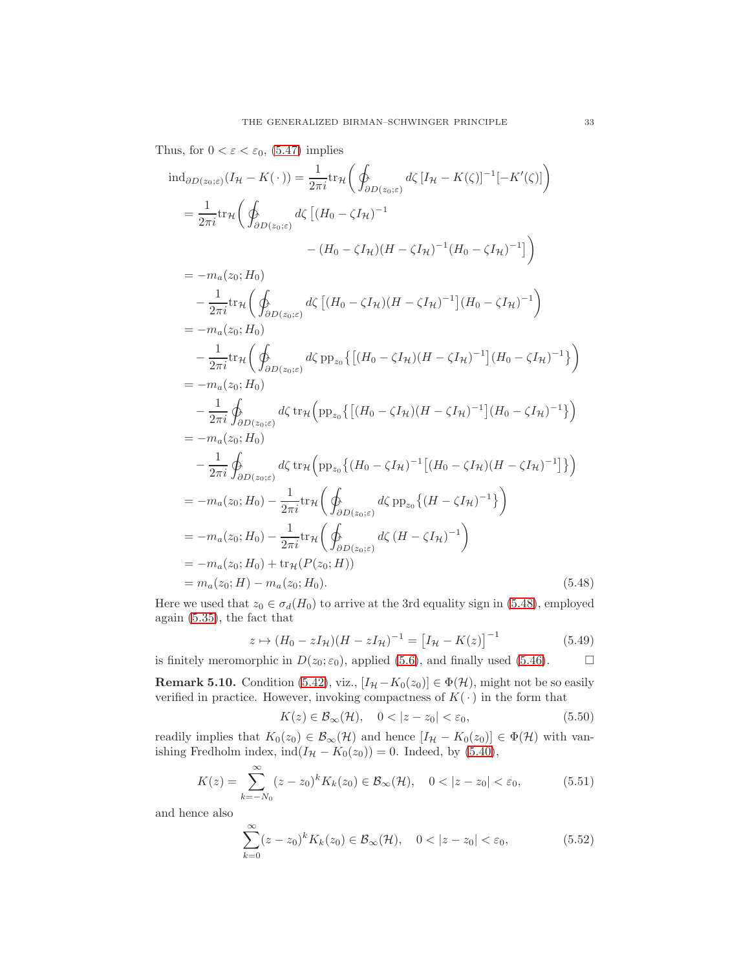Thus, for  $0 < \varepsilon < \varepsilon_0$ , [\(5.47\)](#page-31-4) implies

$$
\operatorname{ind}_{\partial D(z_0;\varepsilon)}(I_{\mathcal{H}} - K(\cdot)) = \frac{1}{2\pi i} \operatorname{tr}_{\mathcal{H}} \left( \oint_{\partial D(z_0;\varepsilon)} d\zeta \left[ I_{\mathcal{H}} - K(\zeta) \right]^{-1} [-K'(\zeta)] \right)
$$

$$
= \frac{1}{2\pi i} \operatorname{tr}_{\mathcal{H}} \left( \oint_{\partial D(z_0;\varepsilon)} d\zeta \left[ (H_0 - \zeta I_{\mathcal{H}})^{-1} - (H_0 - \zeta I_{\mathcal{H}})^{-1} (H_0 - \zeta I_{\mathcal{H}})^{-1} \right] \right)
$$

$$
= -m_a(z_0; H_0)
$$
  
\n
$$
- \frac{1}{2\pi i} \text{tr}_{\mathcal{H}} \left( \oint_{\partial D(z_0; \varepsilon)} d\zeta \left[ (H_0 - \zeta I_{\mathcal{H}}) (H - \zeta I_{\mathcal{H}})^{-1} \right] (H_0 - \zeta I_{\mathcal{H}})^{-1} \right)
$$
  
\n
$$
= -m_a(z_0; H_0)
$$
  
\n
$$
- \frac{1}{2\pi i} \text{tr}_{\mathcal{H}} \left( \oint_{\partial D(z_0; \varepsilon)} d\zeta \text{ pp}_{z_0} \left\{ \left[ (H_0 - \zeta I_{\mathcal{H}}) (H - \zeta I_{\mathcal{H}})^{-1} \right] (H_0 - \zeta I_{\mathcal{H}})^{-1} \right\} \right)
$$
  
\n
$$
= -m_a(z_0; H_0)
$$
  
\n
$$
- \frac{1}{2\pi i} \oint_{\partial D(z_0; \varepsilon)} d\zeta \text{ tr}_{\mathcal{H}} \left( \text{pp}_{z_0} \left\{ \left[ (H_0 - \zeta I_{\mathcal{H}}) (H - \zeta I_{\mathcal{H}})^{-1} \right] (H_0 - \zeta I_{\mathcal{H}})^{-1} \right\} \right)
$$
  
\n
$$
= -m_a(z_0; H_0)
$$
  
\n
$$
- \frac{1}{2\pi i} \oint_{\partial D(z_0; \varepsilon)} d\zeta \text{ tr}_{\mathcal{H}} \left( \text{pp}_{z_0} \left\{ (H_0 - \zeta I_{\mathcal{H}})^{-1} \left[ (H_0 - \zeta I_{\mathcal{H}}) (H - \zeta I_{\mathcal{H}})^{-1} \right] \right\} \right)
$$
  
\n
$$
= -m_a(z_0; H_0) - \frac{1}{2\pi i} \text{tr}_{\mathcal{H}} \left( \oint_{\partial D(z_0; \varepsilon)} d\zeta \text{ pp}_{z_0} \left\{ (H - \zeta I_{\mathcal{H}})^{-1} \right\} \right)
$$
  
\n
$$
= -m_a(z_0; H_0) + \text{tr}_{\mathcal{H}} (P(z_0; H))
$$
<

Here we used that  $z_0 \in \sigma_d(H_0)$  to arrive at the 3rd equality sign in [\(5.48\)](#page-32-0), employed again [\(5.35\)](#page-30-2), the fact that

$$
z \mapsto (H_0 - zI_{\mathcal{H}})(H - zI_{\mathcal{H}})^{-1} = [I_{\mathcal{H}} - K(z)]^{-1}
$$
(5.49)

is finitely meromorphic in  $D(z_0; \varepsilon_0)$ , applied [\(5.6\)](#page-27-1), and finally used [\(5.46\)](#page-31-5).

<span id="page-32-2"></span>**Remark 5.10.** Condition [\(5.42\)](#page-31-3), viz.,  $[I_{\mathcal{H}} - K_0(z_0)] \in \Phi(\mathcal{H})$ , might not be so easily verified in practice. However, invoking compactness of  $K(\cdot)$  in the form that

<span id="page-32-0"></span>
$$
K(z) \in \mathcal{B}_{\infty}(\mathcal{H}), \quad 0 < |z - z_0| < \varepsilon_0,
$$
\n
$$
(5.50)
$$

readily implies that  $K_0(z_0) \in \mathcal{B}_{\infty}(\mathcal{H})$  and hence  $[I_{\mathcal{H}} - K_0(z_0)] \in \Phi(\mathcal{H})$  with vanishing Fredholm index,  $ind(I_{\mathcal{H}} - K_0(z_0)) = 0$ . Indeed, by [\(5.40\)](#page-30-1),

$$
K(z) = \sum_{k=-N_0}^{\infty} (z - z_0)^k K_k(z_0) \in \mathcal{B}_{\infty}(\mathcal{H}), \quad 0 < |z - z_0| < \varepsilon_0,
$$
 (5.51)

and hence also

<span id="page-32-1"></span>
$$
\sum_{k=0}^{\infty} (z - z_0)^k K_k(z_0) \in \mathcal{B}_{\infty}(\mathcal{H}), \quad 0 < |z - z_0| < \varepsilon_0,
$$
\n(5.52)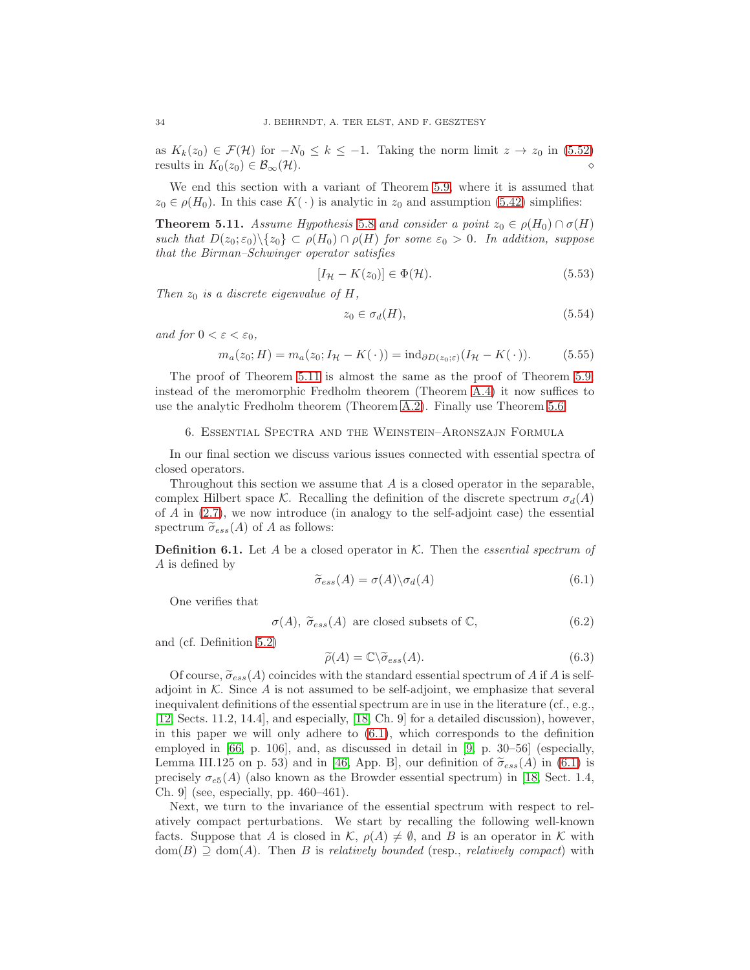as  $K_k(z_0) \in \mathcal{F}(\mathcal{H})$  for  $-N_0 \leq k \leq -1$ . Taking the norm limit  $z \to z_0$  in [\(5.52\)](#page-32-1) results in  $K_0(z_0) \in \mathcal{B}_{\infty}(\mathcal{H})$ .

We end this section with a variant of Theorem [5.9,](#page-31-0) where it is assumed that  $z_0 \in \rho(H_0)$ . In this case  $K(\cdot)$  is analytic in  $z_0$  and assumption [\(5.42\)](#page-31-3) simplifies:

<span id="page-33-1"></span>**Theorem 5.11.** Assume Hypothesis [5.8](#page-29-1) and consider a point  $z_0 \in \rho(H_0) \cap \sigma(H)$ such that  $D(z_0; \varepsilon_0) \setminus \{z_0\} \subset \rho(H_0) \cap \rho(H)$  for some  $\varepsilon_0 > 0$ . In addition, suppose that the Birman–Schwinger operator satisfies

<span id="page-33-4"></span>
$$
[I_{\mathcal{H}} - K(z_0)] \in \Phi(\mathcal{H}).\tag{5.53}
$$

Then  $z_0$  is a discrete eigenvalue of H,

$$
z_0 \in \sigma_d(H), \tag{5.54}
$$

and for  $0 < \varepsilon < \varepsilon_0$ ,

<span id="page-33-3"></span>
$$
m_a(z_0; H) = m_a(z_0; I_H - K(\cdot)) = \text{ind}_{\partial D(z_0; \varepsilon)}(I_H - K(\cdot)).
$$
 (5.55)

The proof of Theorem [5.11](#page-33-1) is almost the same as the proof of Theorem [5.9;](#page-31-0) instead of the meromorphic Fredholm theorem (Theorem [A.4\)](#page-40-0) it now suffices to use the analytic Fredholm theorem (Theorem [A.2\)](#page-39-2). Finally use Theorem [5.6.](#page-29-4)

### <span id="page-33-0"></span>6. Essential Spectra and the Weinstein–Aronszajn Formula

In our final section we discuss various issues connected with essential spectra of closed operators.

Throughout this section we assume that A is a closed operator in the separable, complex Hilbert space K. Recalling the definition of the discrete spectrum  $\sigma_d(A)$ of  $\hat{A}$  in  $(2.7)$ , we now introduce (in analogy to the self-adjoint case) the essential spectrum  $\widetilde{\sigma}_{ess}(A)$  of A as follows:

**Definition 6.1.** Let A be a closed operator in  $K$ . Then the *essential spectrum of* A is defined by

<span id="page-33-2"></span>
$$
\widetilde{\sigma}_{ess}(A) = \sigma(A) \backslash \sigma_d(A) \tag{6.1}
$$

One verifies that

$$
\sigma(A)
$$
,  $\tilde{\sigma}_{ess}(A)$  are closed subsets of  $\mathbb{C}$ , (6.2)

and (cf. Definition [5.2\)](#page-27-2)

$$
\widetilde{\rho}(A) = \mathbb{C} \backslash \widetilde{\sigma}_{ess}(A). \tag{6.3}
$$

Of course,  $\tilde{\sigma}_{ess}(A)$  coincides with the standard essential spectrum of A if A is selfadjoint in  $K$ . Since  $A$  is not assumed to be self-adjoint, we emphasize that several inequivalent definitions of the essential spectrum are in use in the literature (cf., e.g., [\[12,](#page-41-7) Sects. 11.2, 14.4], and especially, [\[18,](#page-42-22) Ch. 9] for a detailed discussion), however, in this paper we will only adhere to  $(6.1)$ , which corresponds to the definition employed in [\[66,](#page-43-2) p. 106], and, as discussed in detail in [\[9,](#page-41-11) p. 30–56] (especially, Lemma III.125 on p. 53) and in [\[46,](#page-43-23) App. B], our definition of  $\tilde{\sigma}_{ess}(A)$  in [\(6.1\)](#page-33-2) is precisely  $\sigma_{e5}(A)$  (also known as the Browder essential spectrum) in [\[18,](#page-42-22) Sect. 1.4, Ch. 9] (see, especially, pp. 460–461).

Next, we turn to the invariance of the essential spectrum with respect to relatively compact perturbations. We start by recalling the following well-known facts. Suppose that A is closed in K,  $\rho(A) \neq \emptyset$ , and B is an operator in K with  $dom(B) \supseteq dom(A)$ . Then B is relatively bounded (resp., relatively compact) with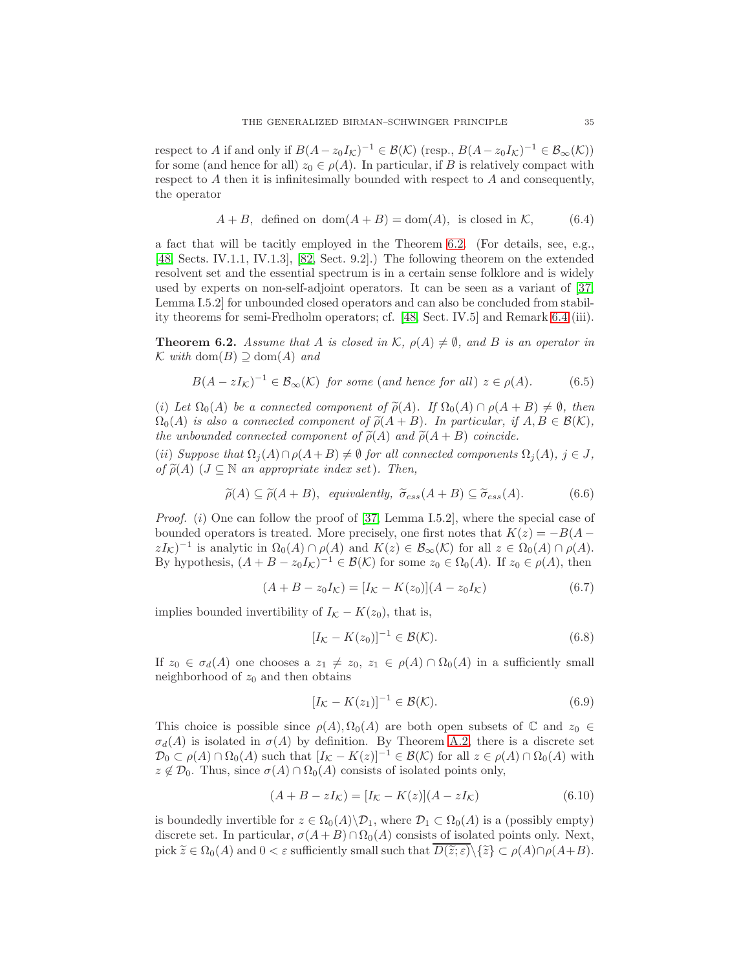respect to A if and only if  $B(A - z_0 I_K)^{-1} \in \mathcal{B}(\mathcal{K})$  (resp.,  $B(A - z_0 I_K)^{-1} \in \mathcal{B}_{\infty}(\mathcal{K})$ ) for some (and hence for all)  $z_0 \in \rho(A)$ . In particular, if B is relatively compact with respect to  $A$  then it is infinitesimally bounded with respect to  $A$  and consequently, the operator

$$
A + B
$$
, defined on dom $(A + B)$  = dom $(A)$ , is closed in K, (6.4)

a fact that will be tacitly employed in the Theorem [6.2.](#page-34-0) (For details, see, e.g., [\[48,](#page-43-13) Sects. IV.1.1, IV.1.3], [\[82,](#page-44-12) Sect. 9.2].) The following theorem on the extended resolvent set and the essential spectrum is in a certain sense folklore and is widely used by experts on non-self-adjoint operators. It can be seen as a variant of [\[37,](#page-42-13) Lemma I.5.2] for unbounded closed operators and can also be concluded from stability theorems for semi-Fredholm operators; cf. [\[48,](#page-43-13) Sect. IV.5] and Remark [6.4](#page-36-0) (iii).

<span id="page-34-0"></span>**Theorem 6.2.** Assume that A is closed in K,  $\rho(A) \neq \emptyset$ , and B is an operator in  $K$  with dom(B) ⊇ dom(A) and

$$
B(A - zI_{\mathcal{K}})^{-1} \in \mathcal{B}_{\infty}(\mathcal{K}) \text{ for some (and hence for all) } z \in \rho(A). \tag{6.5}
$$

(i) Let  $\Omega_0(A)$  be a connected component of  $\widetilde{\rho}(A)$ . If  $\Omega_0(A) \cap \rho(A + B) \neq \emptyset$ , then  $\Omega_0(A)$  is also a connected component of  $\widetilde{\rho}(A + B)$ . In particular, if  $A, B \in \mathcal{B}(\mathcal{K}),$ the unbounded connected component of  $\tilde{\rho}(A)$  and  $\tilde{\rho}(A + B)$  coincide.

(ii) Suppose that  $\Omega_i(A) \cap \rho(A+B) \neq \emptyset$  for all connected components  $\Omega_i(A)$ ,  $j \in J$ , of  $\widetilde{\rho}(A)$  ( $J \subseteq \mathbb{N}$  an appropriate index set). Then,

$$
\widetilde{\rho}(A) \subseteq \widetilde{\rho}(A+B), \ \ \text{equivalently,} \ \ \widetilde{\sigma}_{ess}(A+B) \subseteq \widetilde{\sigma}_{ess}(A). \tag{6.6}
$$

*Proof.* (i) One can follow the proof of [\[37,](#page-42-13) Lemma I.5.2], where the special case of bounded operators is treated. More precisely, one first notes that  $K(z) = -B(A$  $zI_{\mathcal{K}}$ )<sup>-1</sup> is analytic in  $\Omega_0(A) \cap \rho(A)$  and  $K(z) \in \mathcal{B}_{\infty}(\mathcal{K})$  for all  $z \in \Omega_0(A) \cap \rho(A)$ . By hypothesis,  $(A + B - z_0 I_K)^{-1} \in \mathcal{B}(\mathcal{K})$  for some  $z_0 \in \Omega_0(A)$ . If  $z_0 \in \rho(A)$ , then

<span id="page-34-1"></span>
$$
(A + B - z_0 I_K) = [I_K - K(z_0)](A - z_0 I_K)
$$
\n(6.7)

implies bounded invertibility of  $I_K - K(z_0)$ , that is,

$$
[I_{\mathcal{K}} - K(z_0)]^{-1} \in \mathcal{B}(\mathcal{K}).\tag{6.8}
$$

If  $z_0 \in \sigma_d(A)$  one chooses a  $z_1 \neq z_0$ ,  $z_1 \in \rho(A) \cap \Omega_0(A)$  in a sufficiently small neighborhood of  $z_0$  and then obtains

$$
[I_{\mathcal{K}} - K(z_1)]^{-1} \in \mathcal{B}(\mathcal{K}).\tag{6.9}
$$

This choice is possible since  $\rho(A), \Omega_0(A)$  are both open subsets of  $\mathbb C$  and  $z_0 \in$  $\sigma_d(A)$  is isolated in  $\sigma(A)$  by definition. By Theorem [A.2,](#page-39-2) there is a discrete set  $\mathcal{D}_0 \subset \rho(A) \cap \Omega_0(A)$  such that  $[I_{\mathcal{K}} - K(z)]^{-1} \in \mathcal{B}(\mathcal{K})$  for all  $z \in \rho(A) \cap \Omega_0(A)$  with  $z \notin \mathcal{D}_0$ . Thus, since  $\sigma(A) \cap \Omega_0(A)$  consists of isolated points only,

$$
(A + B - zI_{\mathcal{K}}) = [I_{\mathcal{K}} - K(z)](A - zI_{\mathcal{K}})
$$
\n(6.10)

is boundedly invertible for  $z \in \Omega_0(A) \backslash \mathcal{D}_1$ , where  $\mathcal{D}_1 \subset \Omega_0(A)$  is a (possibly empty) discrete set. In particular,  $\sigma(A+B)\cap\Omega_0(A)$  consists of isolated points only. Next, pick  $\widetilde{z} \in \Omega_0(A)$  and  $0 < \varepsilon$  sufficiently small such that  $D(\widetilde{z}; \varepsilon) \setminus {\widetilde{z}} \subset \rho(A) \cap \rho(A+B)$ .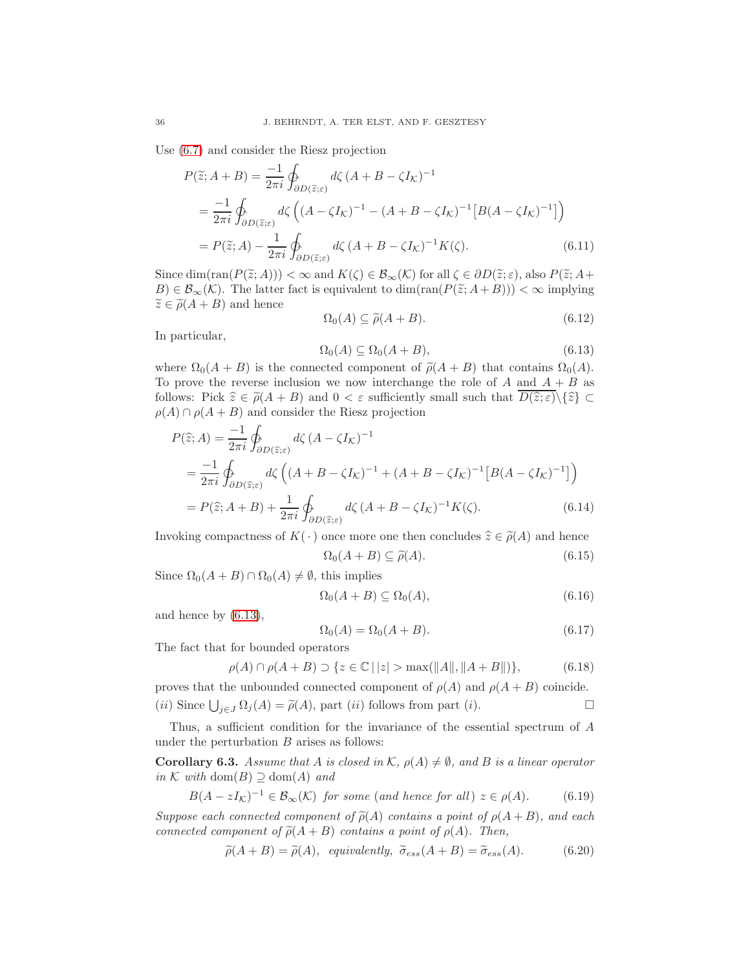Use [\(6.7\)](#page-34-1) and consider the Riesz projection

$$
P(\tilde{z}; A + B) = \frac{-1}{2\pi i} \oint_{\partial D(\tilde{z}; \varepsilon)} d\zeta (A + B - \zeta I_{\mathcal{K}})^{-1}
$$
  
= 
$$
\frac{-1}{2\pi i} \oint_{\partial D(\tilde{z}; \varepsilon)} d\zeta \left( (A - \zeta I_{\mathcal{K}})^{-1} - (A + B - \zeta I_{\mathcal{K}})^{-1} \left[ B(A - \zeta I_{\mathcal{K}})^{-1} \right] \right)
$$
  
= 
$$
P(\tilde{z}; A) - \frac{1}{2\pi i} \oint_{\partial D(\tilde{z}; \varepsilon)} d\zeta (A + B - \zeta I_{\mathcal{K}})^{-1} K(\zeta).
$$
 (6.11)

Since dim(ran( $P(\tilde{z}; A)$ )) <  $\infty$  and  $K(\zeta) \in \mathcal{B}_{\infty}(\mathcal{K})$  for all  $\zeta \in \partial D(\tilde{z}; \varepsilon)$ , also  $P(\tilde{z}; A + \zeta)$  $B \in \mathcal{B}_{\infty}(\mathcal{K})$ . The latter fact is equivalent to  $\dim(\text{ran}(P(\widetilde{z};A+B))) < \infty$  implying  $\widetilde{z} \in \widetilde{\rho}(A + B)$  and hence

$$
\Omega_0(A) \subseteq \widetilde{\rho}(A+B). \tag{6.12}
$$

In particular,

<span id="page-35-0"></span>
$$
\Omega_0(A) \subseteq \Omega_0(A+B),\tag{6.13}
$$

where  $\Omega_0(A + B)$  is the connected component of  $\tilde{\rho}(A + B)$  that contains  $\Omega_0(A)$ . To prove the reverse inclusion we now interchange the role of  $A$  and  $A + B$  as follows: Pick  $\hat{z} \in \tilde{\rho}(A + B)$  and  $0 < \varepsilon$  sufficiently small such that  $D(\hat{z}; \varepsilon) \setminus {\{\hat{z}\}} \subset$  $\rho(A) \cap \rho(A + B)$  and consider the Riesz projection

$$
P(\hat{z};A) = \frac{-1}{2\pi i} \oint_{\partial D(\hat{z};\varepsilon)} d\zeta (A - \zeta I_K)^{-1}
$$
  
=  $\frac{-1}{2\pi i} \oint_{\partial D(\hat{z};\varepsilon)} d\zeta \left( (A + B - \zeta I_K)^{-1} + (A + B - \zeta I_K)^{-1} [B(A - \zeta I_K)^{-1}] \right)$ 

$$
= P(\widehat{z}; A + B) + \frac{1}{2\pi i} \oint_{\partial D(\widehat{z}; \varepsilon)} d\zeta (A + B - \zeta I_{\mathcal{K}})^{-1} K(\zeta).
$$
 (6.14)

Invoking compactness of  $K(\cdot)$  once more one then concludes  $\hat{z} \in \tilde{\rho}(A)$  and hence

$$
\Omega_0(A+B) \subseteq \tilde{\rho}(A). \tag{6.15}
$$

Since  $\Omega_0(A + B) \cap \Omega_0(A) \neq \emptyset$ , this implies

$$
\Omega_0(A+B) \subseteq \Omega_0(A),\tag{6.16}
$$

and hence by [\(6.13\)](#page-35-0),

$$
\Omega_0(A) = \Omega_0(A + B). \tag{6.17}
$$

The fact that for bounded operators

$$
\rho(A) \cap \rho(A+B) \supset \{ z \in \mathbb{C} \mid |z| > \max(||A||, ||A+B||) \},\tag{6.18}
$$

proves that the unbounded connected component of  $\rho(A)$  and  $\rho(A + B)$  coincide. (*ii*) Since  $\bigcup_{j\in J} \Omega_j(A) = \tilde{\rho}(A)$ , part (*ii*) follows from part (*i*).

Thus, a sufficient condition for the invariance of the essential spectrum of A under the perturbation  $B$  arises as follows:

<span id="page-35-2"></span>**Corollary 6.3.** Assume that A is closed in K,  $\rho(A) \neq \emptyset$ , and B is a linear operator in K with dom $(B) \supseteq \text{dom}(A)$  and

<span id="page-35-1"></span>
$$
B(A - zI_{\mathcal{K}})^{-1} \in \mathcal{B}_{\infty}(\mathcal{K}) \text{ for some (and hence for all) } z \in \rho(A). \tag{6.19}
$$

Suppose each connected component of  $\tilde{\rho}(A)$  contains a point of  $\rho(A+B)$ , and each connected component of  $\tilde{\rho}(A + B)$  contains a point of  $\rho(A)$ . Then,

$$
\widetilde{\rho}(A+B) = \widetilde{\rho}(A), \quad \text{equivalently, } \ \widetilde{\sigma}_{ess}(A+B) = \widetilde{\sigma}_{ess}(A). \tag{6.20}
$$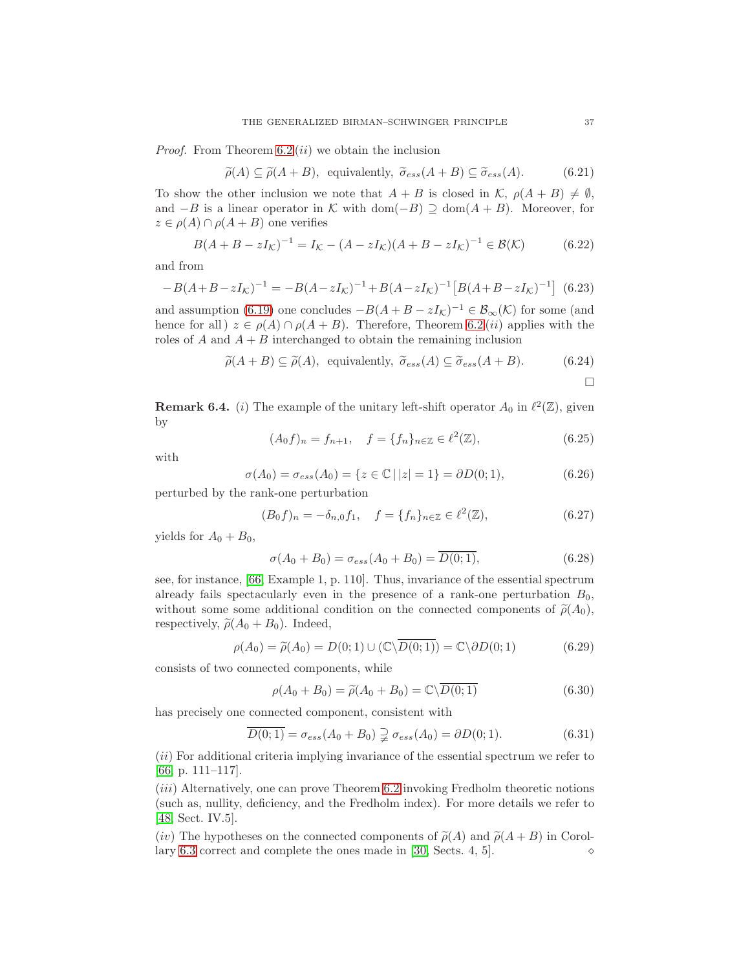*Proof.* From Theorem  $6.2 (ii)$  we obtain the inclusion

$$
\widetilde{\rho}(A) \subseteq \widetilde{\rho}(A+B), \text{ equivalently, } \widetilde{\sigma}_{ess}(A+B) \subseteq \widetilde{\sigma}_{ess}(A). \tag{6.21}
$$

To show the other inclusion we note that  $A + B$  is closed in  $\mathcal{K}, \rho(A + B) \neq \emptyset$ , and  $-B$  is a linear operator in K with dom( $-B$ )  $\supseteq$  dom( $A + B$ ). Moreover, for  $z \in \rho(A) \cap \rho(A+B)$  one verifies

$$
B(A + B - zI_{\mathcal{K}})^{-1} = I_{\mathcal{K}} - (A - zI_{\mathcal{K}})(A + B - zI_{\mathcal{K}})^{-1} \in \mathcal{B}(\mathcal{K})
$$
(6.22)

and from

$$
-B(A+B-zI_{\mathcal{K}})^{-1} = -B(A-zI_{\mathcal{K}})^{-1} + B(A-zI_{\mathcal{K}})^{-1} \left[ B(A+B-zI_{\mathcal{K}})^{-1} \right] \tag{6.23}
$$

and assumption [\(6.19\)](#page-35-1) one concludes  $-B(A+B-zI_{\mathcal{K}})^{-1} \in \mathcal{B}_{\infty}(\mathcal{K})$  for some (and hence for all  $z \in \rho(A) \cap \rho(A + B)$ . Therefore, Theorem [6.2](#page-34-0) *(ii)* applies with the roles of A and  $A + B$  interchanged to obtain the remaining inclusion

$$
\widetilde{\rho}(A+B) \subseteq \widetilde{\rho}(A), \text{ equivalently, } \widetilde{\sigma}_{ess}(A) \subseteq \widetilde{\sigma}_{ess}(A+B). \tag{6.24}
$$

$$
\Box
$$

<span id="page-36-0"></span>**Remark 6.4.** (*i*) The example of the unitary left-shift operator  $A_0$  in  $\ell^2(\mathbb{Z})$ , given by

$$
(A_0 f)_n = f_{n+1}, \quad f = \{f_n\}_{n \in \mathbb{Z}} \in \ell^2(\mathbb{Z}), \tag{6.25}
$$

with

$$
\sigma(A_0) = \sigma_{ess}(A_0) = \{ z \in \mathbb{C} \mid |z| = 1 \} = \partial D(0; 1), \tag{6.26}
$$

perturbed by the rank-one perturbation

$$
(B_0 f)_n = -\delta_{n,0} f_1, \quad f = \{f_n\}_{n \in \mathbb{Z}} \in \ell^2(\mathbb{Z}), \tag{6.27}
$$

yields for  $A_0 + B_0$ ,

$$
\sigma(A_0 + B_0) = \sigma_{ess}(A_0 + B_0) = \overline{D(0; 1)},
$$
\n(6.28)

see, for instance, [\[66,](#page-43-2) Example 1, p. 110]. Thus, invariance of the essential spectrum already fails spectacularly even in the presence of a rank-one perturbation  $B_0$ , without some some additional condition on the connected components of  $\tilde{\rho}(A_0)$ , respectively,  $\tilde{\rho}(A_0 + B_0)$ . Indeed,

$$
\rho(A_0) = \tilde{\rho}(A_0) = D(0; 1) \cup (\mathbb{C} \setminus \overline{D(0; 1)}) = \mathbb{C} \setminus \partial D(0; 1) \tag{6.29}
$$

consists of two connected components, while

$$
\rho(A_0 + B_0) = \tilde{\rho}(A_0 + B_0) = \mathbb{C}\backslash \overline{D(0;1)}\tag{6.30}
$$

has precisely one connected component, consistent with

$$
D(0;1) = \sigma_{ess}(A_0 + B_0) \supsetneq \sigma_{ess}(A_0) = \partial D(0;1).
$$
 (6.31)

 $(iii)$  For additional criteria implying invariance of the essential spectrum we refer to [\[66,](#page-43-2) p. 111–117].

(*iii*) Alternatively, one can prove Theorem [6.2](#page-34-0) invoking Fredholm theoretic notions (such as, nullity, deficiency, and the Fredholm index). For more details we refer to [\[48,](#page-43-13) Sect. IV.5].

(iv) The hypotheses on the connected components of  $\tilde{\rho}(A)$  and  $\tilde{\rho}(A + B)$  in Corol-<br>lary 6.3 correct and complete the ones made in [30, Sects, 4, 5]. lary  $6.3$  correct and complete the ones made in [\[30,](#page-42-2) Sects. 4, 5].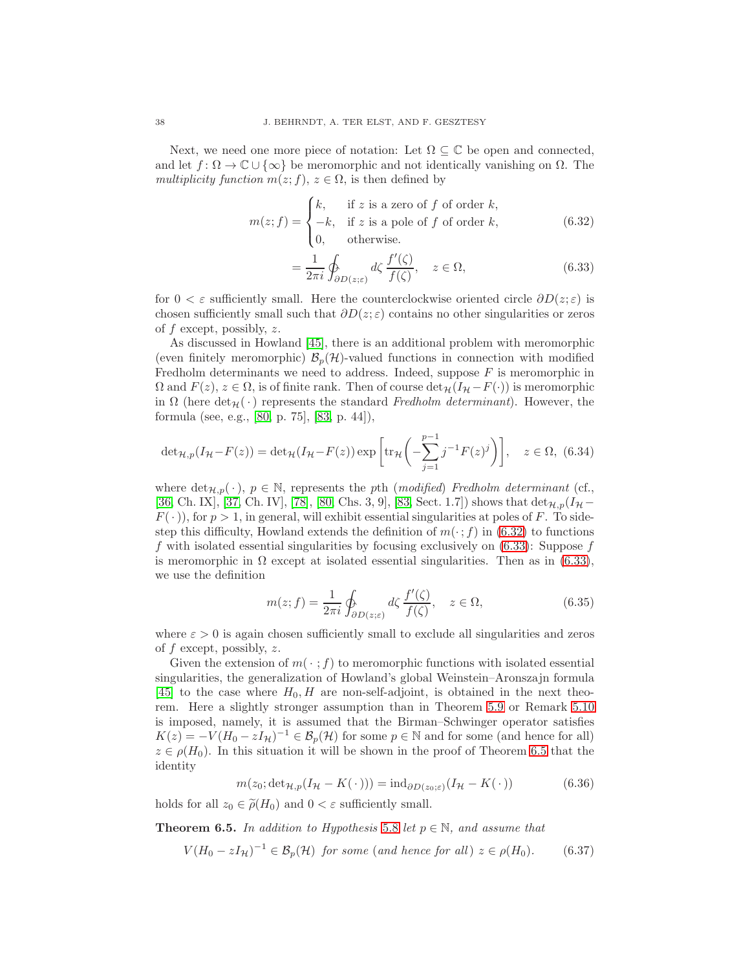Next, we need one more piece of notation: Let  $\Omega \subseteq \mathbb{C}$  be open and connected, and let  $f: \Omega \to \mathbb{C} \cup {\infty}$  be meromorphic and not identically vanishing on  $\Omega$ . The multiplicity function  $m(z; f)$ ,  $z \in \Omega$ , is then defined by

$$
m(z; f) = \begin{cases} k, & \text{if } z \text{ is a zero of } f \text{ of order } k, \\ -k, & \text{if } z \text{ is a pole of } f \text{ of order } k, \\ 0, & \text{otherwise.} \end{cases} \tag{6.32}
$$

<span id="page-37-2"></span><span id="page-37-1"></span>
$$
=\frac{1}{2\pi i}\oint_{\partial D(z;\varepsilon)} d\zeta \frac{f'(\zeta)}{f(\zeta)}, \quad z \in \Omega,\tag{6.33}
$$

for  $0 < \varepsilon$  sufficiently small. Here the counterclockwise oriented circle  $\partial D(z; \varepsilon)$  is chosen sufficiently small such that  $\partial D(z; \varepsilon)$  contains no other singularities or zeros of  $f$  except, possibly,  $z$ .

As discussed in Howland [\[45\]](#page-43-3), there is an additional problem with meromorphic (even finitely meromorphic)  $\mathcal{B}_p(\mathcal{H})$ -valued functions in connection with modified Fredholm determinants we need to address. Indeed, suppose  $F$  is meromorphic in  $\Omega$  and  $F(z)$ ,  $z \in \Omega$ , is of finite rank. Then of course  $\det_{\mathcal{H}}(I_{\mathcal{H}} - F(\cdot))$  is meromorphic in  $\Omega$  (here det $\mathcal{H}(\cdot)$  represents the standard Fredholm determinant). However, the formula (see, e.g., [\[80,](#page-44-13) p. 75], [\[83,](#page-44-14) p. 44]),

$$
\det_{\mathcal{H},p}(I_{\mathcal{H}} - F(z)) = \det_{\mathcal{H}}(I_{\mathcal{H}} - F(z)) \exp\left[\text{tr}_{\mathcal{H}}\left(-\sum_{j=1}^{p-1} j^{-1} F(z)^j\right)\right], \quad z \in \Omega, (6.34)
$$

where  $\det_{\mathcal{H},p}(\cdot), p \in \mathbb{N}$ , represents the pth (modified) Fredholm determinant (cf., [\[36,](#page-42-23) Ch. IX], [\[37,](#page-42-13) Ch. IV], [\[78\]](#page-44-15), [\[80,](#page-44-13) Chs. 3, 9], [\[83,](#page-44-14) Sect. 1.7]) shows that  $\det_{\mathcal{H},p}(I_{\mathcal{H}} F(\cdot)$ , for  $p > 1$ , in general, will exhibit essential singularities at poles of F. To sidestep this difficulty, Howland extends the definition of  $m(\cdot; f)$  in [\(6.32\)](#page-37-1) to functions f with isolated essential singularities by focusing exclusively on  $(6.33)$ : Suppose f is meromorphic in  $\Omega$  except at isolated essential singularities. Then as in [\(6.33\)](#page-37-2), we use the definition

<span id="page-37-3"></span>
$$
m(z; f) = \frac{1}{2\pi i} \oint_{\partial D(z;\varepsilon)} d\zeta \, \frac{f'(\zeta)}{f(\zeta)}, \quad z \in \Omega,\tag{6.35}
$$

where  $\varepsilon > 0$  is again chosen sufficiently small to exclude all singularities and zeros of f except, possibly, z.

Given the extension of  $m(\cdot; f)$  to meromorphic functions with isolated essential singularities, the generalization of Howland's global Weinstein–Aronszajn formula [\[45\]](#page-43-3) to the case where  $H_0$ , H are non-self-adjoint, is obtained in the next theorem. Here a slightly stronger assumption than in Theorem [5.9](#page-31-0) or Remark [5.10](#page-32-2) is imposed, namely, it is assumed that the Birman–Schwinger operator satisfies  $K(z) = -V(H_0 - zI_{\mathcal{H}})^{-1} \in \mathcal{B}_p(\mathcal{H})$  for some  $p \in \mathbb{N}$  and for some (and hence for all)  $z \in \rho(H_0)$ . In this situation it will be shown in the proof of Theorem [6.5](#page-37-0) that the identity

<span id="page-37-4"></span>
$$
m(z_0; \det_{\mathcal{H},p}(I_{\mathcal{H}} - K(\cdot))) = \mathrm{ind}_{\partial D(z_0;\varepsilon)}(I_{\mathcal{H}} - K(\cdot)) \tag{6.36}
$$

holds for all  $z_0 \in \tilde{\rho}(H_0)$  and  $0 < \varepsilon$  sufficiently small.

<span id="page-37-0"></span>**Theorem 6.5.** In addition to Hypothesis [5.8](#page-29-1) let  $p \in \mathbb{N}$ , and assume that

$$
V(H_0 - zI_{\mathcal{H}})^{-1} \in \mathcal{B}_p(\mathcal{H}) \text{ for some (and hence for all) } z \in \rho(H_0). \tag{6.37}
$$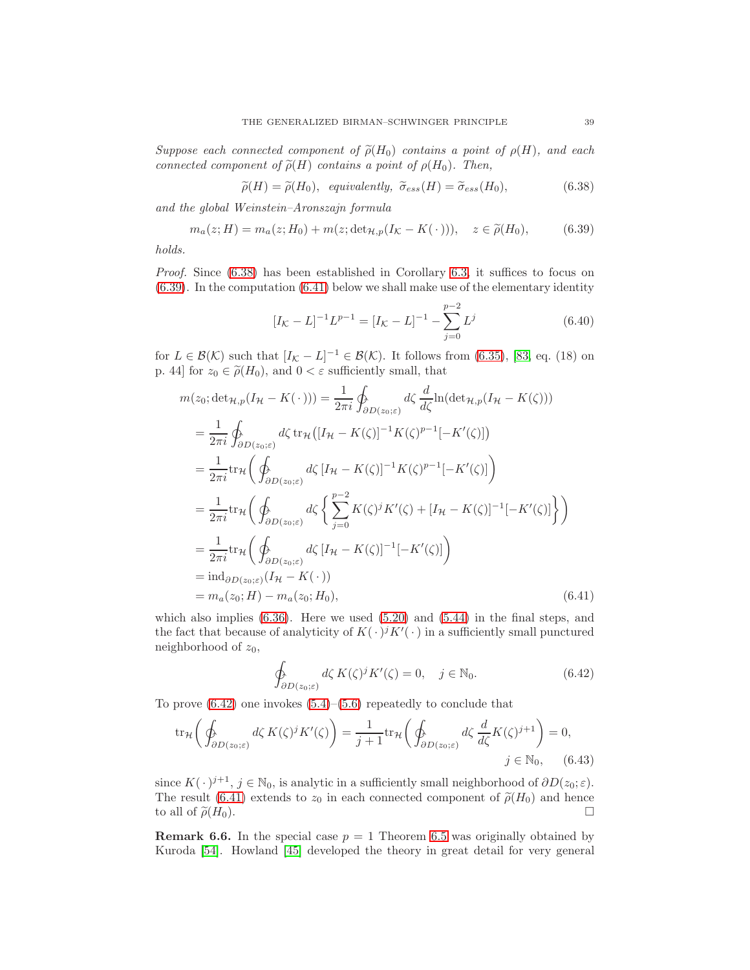Suppose each connected component of  $\tilde{\rho}(H_0)$  contains a point of  $\rho(H)$ , and each connected component of  $\tilde{\rho}(H)$  contains a point of  $\rho(H_0)$ . Then,

<span id="page-38-0"></span>
$$
\widetilde{\rho}(H) = \widetilde{\rho}(H_0), \quad \text{equivalently, } \widetilde{\sigma}_{ess}(H) = \widetilde{\sigma}_{ess}(H_0), \tag{6.38}
$$

and the global Weinstein–Aronszajn formula

<span id="page-38-1"></span>
$$
m_a(z;H) = m_a(z;H_0) + m(z; \det_{\mathcal{H},p}(I_{\mathcal{K}} - K(\cdot))), \quad z \in \tilde{\rho}(H_0),
$$
 (6.39)

holds.

Proof. Since  $(6.38)$  has been established in Corollary [6.3,](#page-35-2) it suffices to focus on [\(6.39\)](#page-38-1). In the computation [\(6.41\)](#page-38-2) below we shall make use of the elementary identity

$$
[I_{\mathcal{K}} - L]^{-1} L^{p-1} = [I_{\mathcal{K}} - L]^{-1} - \sum_{j=0}^{p-2} L^j
$$
 (6.40)

for  $L \in \mathcal{B}(\mathcal{K})$  such that  $[I_{\mathcal{K}} - L]^{-1} \in \mathcal{B}(\mathcal{K})$ . It follows from [\(6.35\)](#page-37-3), [\[83,](#page-44-14) eq. (18) on p. 44] for  $z_0 \in \tilde{\rho}(H_0)$ , and  $0 < \varepsilon$  sufficiently small, that

$$
m(z_0; \det_{\mathcal{H},p}(I_{\mathcal{H}} - K(\cdot))) = \frac{1}{2\pi i} \oint_{\partial D(z_0;\varepsilon)} d\zeta \frac{d}{d\zeta} \ln(\det_{\mathcal{H},p}(I_{\mathcal{H}} - K(\zeta)))
$$
  
\n
$$
= \frac{1}{2\pi i} \oint_{\partial D(z_0;\varepsilon)} d\zeta \operatorname{tr}_{\mathcal{H}}([I_{\mathcal{H}} - K(\zeta)]^{-1} K(\zeta)^{p-1}[-K'(\zeta)])
$$
  
\n
$$
= \frac{1}{2\pi i} \operatorname{tr}_{\mathcal{H}} \left( \oint_{\partial D(z_0;\varepsilon)} d\zeta [I_{\mathcal{H}} - K(\zeta)]^{-1} K(\zeta)^{p-1}[-K'(\zeta)] \right)
$$
  
\n
$$
= \frac{1}{2\pi i} \operatorname{tr}_{\mathcal{H}} \left( \oint_{\partial D(z_0;\varepsilon)} d\zeta \left\{ \sum_{j=0}^{p-2} K(\zeta)^j K'(\zeta) + [I_{\mathcal{H}} - K(\zeta)]^{-1}[-K'(\zeta)] \right\} \right)
$$
  
\n
$$
= \frac{1}{2\pi i} \operatorname{tr}_{\mathcal{H}} \left( \oint_{\partial D(z_0;\varepsilon)} d\zeta [I_{\mathcal{H}} - K(\zeta)]^{-1}[-K'(\zeta)] \right)
$$
  
\n
$$
= \operatorname{ind}_{\partial D(z_0;\varepsilon)}(I_{\mathcal{H}} - K(\cdot))
$$
  
\n
$$
= \operatorname{ind}_{\alpha(z_0;\,H)}(z_0;H_0), \qquad (6.41)
$$

which also implies  $(6.36)$ . Here we used  $(5.20)$  and  $(5.44)$  in the final steps, and the fact that because of analyticity of  $K(\cdot)^j K'(\cdot)$  in a sufficiently small punctured neighborhood of  $z_0$ ,

<span id="page-38-3"></span><span id="page-38-2"></span>
$$
\oint_{\partial D(z_0;\varepsilon)} d\zeta \, K(\zeta)^j K'(\zeta) = 0, \quad j \in \mathbb{N}_0. \tag{6.42}
$$

To prove  $(6.42)$  one invokes  $(5.4)$ – $(5.6)$  repeatedly to conclude that

$$
\operatorname{tr}_{\mathcal{H}}\left(\oint_{\partial D(z_0;\varepsilon)} d\zeta \, K(\zeta)^j K'(\zeta)\right) = \frac{1}{j+1} \operatorname{tr}_{\mathcal{H}}\left(\oint_{\partial D(z_0;\varepsilon)} d\zeta \, \frac{d}{d\zeta} K(\zeta)^{j+1}\right) = 0,
$$
\n
$$
j \in \mathbb{N}_0, \qquad (6.43)
$$

since  $K(\cdot)^{j+1}$ ,  $j \in \mathbb{N}_0$ , is analytic in a sufficiently small neighborhood of  $\partial D(z_0; \varepsilon)$ . The result [\(6.41\)](#page-38-2) extends to  $z_0$  in each connected component of  $\tilde{\rho}(H_0)$  and hence to all of  $\tilde{\rho}(H_0)$ . to all of  $\tilde{\rho}(H_0)$ .

**Remark 6.6.** In the special case  $p = 1$  Theorem [6.5](#page-37-0) was originally obtained by Kuroda [\[54\]](#page-43-24). Howland [\[45\]](#page-43-3) developed the theory in great detail for very general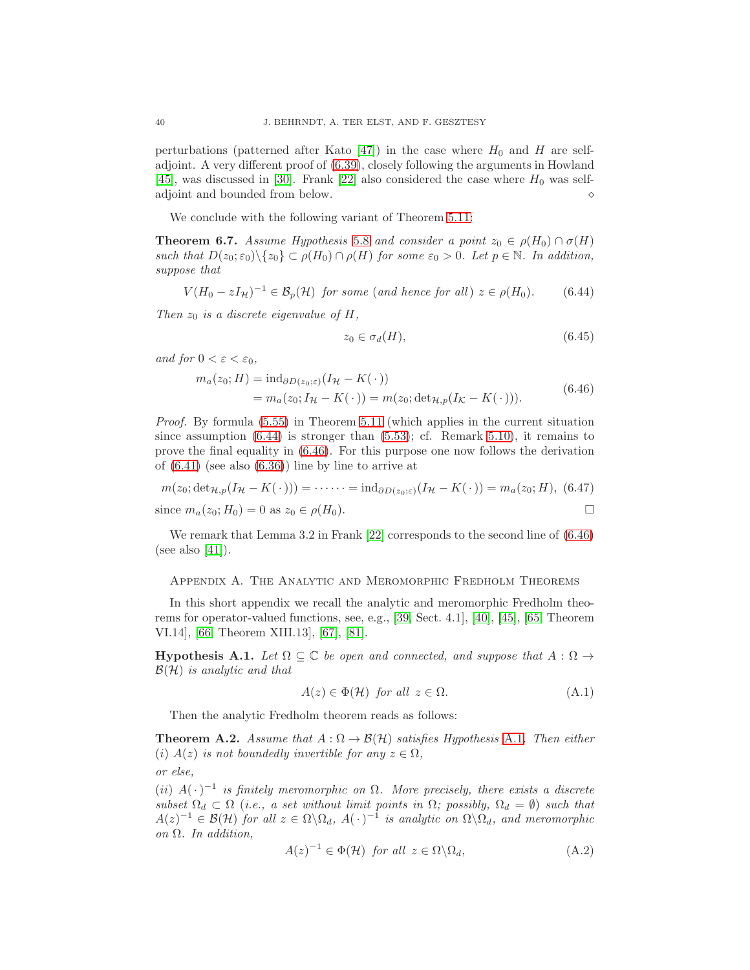perturbations (patterned after Kato [\[47\]](#page-43-9)) in the case where  $H_0$  and H are selfadjoint. A very different proof of [\(6.39\)](#page-38-1), closely following the arguments in Howland [\[45\]](#page-43-3), was discussed in [\[30\]](#page-42-2). Frank [\[22\]](#page-42-6) also considered the case where  $H_0$  was selfadjoint and bounded from below.  $\Diamond$ 

We conclude with the following variant of Theorem [5.11:](#page-33-1)

<span id="page-39-1"></span>**Theorem 6.7.** Assume Hypothesis [5.8](#page-29-1) and consider a point  $z_0 \in \rho(H_0) \cap \sigma(H)$ such that  $D(z_0; \varepsilon_0) \setminus \{z_0\} \subset \rho(H_0) \cap \rho(H)$  for some  $\varepsilon_0 > 0$ . Let  $p \in \mathbb{N}$ . In addition, suppose that

<span id="page-39-3"></span>
$$
V(H_0 - zI_{\mathcal{H}})^{-1} \in \mathcal{B}_p(\mathcal{H}) \text{ for some (and hence for all) } z \in \rho(H_0). \tag{6.44}
$$

Then  $z_0$  is a discrete eigenvalue of H,

<span id="page-39-4"></span>
$$
z_0 \in \sigma_d(H), \tag{6.45}
$$

and for  $0 < \varepsilon < \varepsilon_0$ ,

$$
m_a(z_0; H) = \text{ind}_{\partial D(z_0; \varepsilon)} (I_H - K(\cdot))
$$
  
= 
$$
m_a(z_0; I_H - K(\cdot)) = m(z_0; \det_{H, p}(I_K - K(\cdot))).
$$
 (6.46)

Proof. By formula [\(5.55\)](#page-33-3) in Theorem [5.11](#page-33-1) (which applies in the current situation since assumption  $(6.44)$  is stronger than  $(5.53)$ ; cf. Remark [5.10\)](#page-32-2), it remains to prove the final equality in [\(6.46\)](#page-39-4). For this purpose one now follows the derivation of  $(6.41)$  (see also  $(6.36)$ ) line by line to arrive at

$$
m(z_0; \det_{\mathcal{H},p}(I_{\mathcal{H}} - K(\cdot))) = \cdots = \mathrm{ind}_{\partial D(z_0; \varepsilon)}(I_{\mathcal{H}} - K(\cdot)) = m_a(z_0; H), \tag{6.47}
$$
  
since  $m_a(z_0; H_0) = 0$  as  $z_0 \in \rho(H_0)$ .

We remark that Lemma 3.2 in Frank [\[22\]](#page-42-6) corresponds to the second line of [\(6.46\)](#page-39-4) (see also [\[41\]](#page-42-24)).

### <span id="page-39-0"></span>Appendix A. The Analytic and Meromorphic Fredholm Theorems

In this short appendix we recall the analytic and meromorphic Fredholm theorems for operator-valued functions, see, e.g., [\[39,](#page-42-19) Sect. 4.1], [\[40\]](#page-42-20), [\[45\]](#page-43-3), [\[65,](#page-43-22) Theorem VI.14], [\[66,](#page-43-2) Theorem XIII.13], [\[67\]](#page-43-25), [\[81\]](#page-44-11).

<span id="page-39-5"></span>**Hypothesis A.1.** Let  $\Omega \subseteq \mathbb{C}$  be open and connected, and suppose that  $A : \Omega \rightarrow$  $\mathcal{B}(\mathcal{H})$  is analytic and that

$$
A(z) \in \Phi(\mathcal{H}) \text{ for all } z \in \Omega. \tag{A.1}
$$

Then the analytic Fredholm theorem reads as follows:

<span id="page-39-2"></span>**Theorem A.2.** Assume that  $A : \Omega \to \mathcal{B}(\mathcal{H})$  satisfies Hypothesis [A.1](#page-39-5). Then either (i)  $A(z)$  is not boundedly invertible for any  $z \in \Omega$ , or else,

(ii)  $A(\cdot)^{-1}$  is finitely meromorphic on  $\Omega$ . More precisely, there exists a discrete subset  $\Omega_d \subset \Omega$  (i.e., a set without limit points in  $\Omega$ ; possibly,  $\Omega_d = \emptyset$ ) such that  $A(z)^{-1} \in \mathcal{B}(\mathcal{H})$  for all  $z \in \Omega \backslash \Omega_d$ ,  $A(\cdot)^{-1}$  is analytic on  $\Omega \backslash \Omega_d$ , and meromorphic on  $\Omega$ . In addition,

$$
A(z)^{-1} \in \Phi(\mathcal{H}) \text{ for all } z \in \Omega \backslash \Omega_d,
$$
\n(A.2)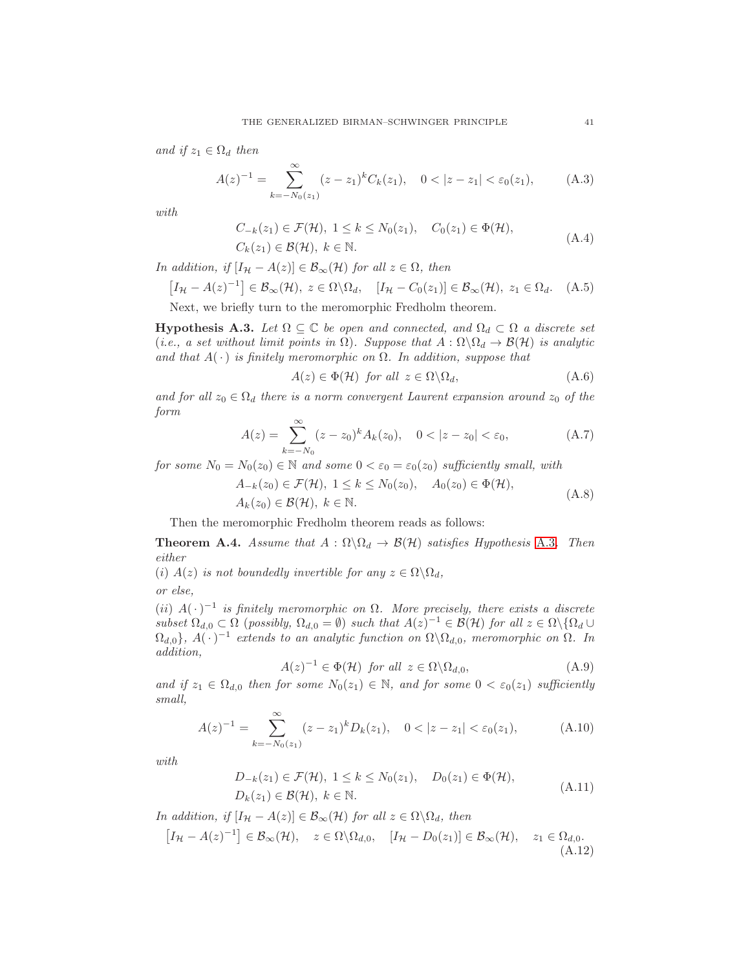and if  $z_1 \in \Omega_d$  then

$$
A(z)^{-1} = \sum_{k=-N_0(z_1)}^{\infty} (z-z_1)^k C_k(z_1), \quad 0 < |z-z_1| < \varepsilon_0(z_1), \tag{A.3}
$$

with

$$
C_{-k}(z_1) \in \mathcal{F}(\mathcal{H}), \ 1 \le k \le N_0(z_1), \quad C_0(z_1) \in \Phi(\mathcal{H}),
$$
  
\n
$$
C_k(z_1) \in \mathcal{B}(\mathcal{H}), \ k \in \mathbb{N}.
$$
\n(A.4)

In addition, if  $[I_{\mathcal{H}} - A(z)] \in \mathcal{B}_{\infty}(\mathcal{H})$  for all  $z \in \Omega$ , then

$$
[I_{\mathcal{H}} - A(z)^{-1}] \in \mathcal{B}_{\infty}(\mathcal{H}), \ z \in \Omega \backslash \Omega_d, \quad [I_{\mathcal{H}} - C_0(z_1)] \in \mathcal{B}_{\infty}(\mathcal{H}), \ z_1 \in \Omega_d. \quad (A.5)
$$

Next, we briefly turn to the meromorphic Fredholm theorem.

<span id="page-40-2"></span>**Hypothesis A.3.** Let  $\Omega \subseteq \mathbb{C}$  be open and connected, and  $\Omega_d \subset \Omega$  a discrete set (i.e., a set without limit points in  $\Omega$ ). Suppose that  $A : \Omega \backslash \Omega_d \to \mathcal{B}(\mathcal{H})$  is analytic and that  $A(\cdot)$  is finitely meromorphic on  $\Omega$ . In addition, suppose that

<span id="page-40-1"></span>
$$
A(z) \in \Phi(\mathcal{H}) \text{ for all } z \in \Omega \backslash \Omega_d,
$$
\n(A.6)

and for all  $z_0 \in \Omega_d$  there is a norm convergent Laurent expansion around  $z_0$  of the form

$$
A(z) = \sum_{k=-N_0}^{\infty} (z - z_0)^k A_k(z_0), \quad 0 < |z - z_0| < \varepsilon_0,
$$
 (A.7)

for some  $N_0 = N_0(z_0) \in \mathbb{N}$  and some  $0 < \varepsilon_0 = \varepsilon_0(z_0)$  sufficiently small, with

$$
A_{-k}(z_0) \in \mathcal{F}(\mathcal{H}), \ 1 \le k \le N_0(z_0), \quad A_0(z_0) \in \Phi(\mathcal{H}),
$$
  
\n
$$
A_k(z_0) \in \mathcal{B}(\mathcal{H}), \ k \in \mathbb{N}.
$$
\n(A.8)

Then the meromorphic Fredholm theorem reads as follows:

<span id="page-40-0"></span>**Theorem A.4.** Assume that  $A : \Omega \backslash \Omega_d \to \mathcal{B}(\mathcal{H})$  satisfies Hypothesis [A.3](#page-40-2). Then either

(i)  $A(z)$  is not boundedly invertible for any  $z \in \Omega \backslash \Omega_d$ ,

or else,

(ii)  $A(\cdot)^{-1}$  is finitely meromorphic on  $\Omega$ . More precisely, there exists a discrete subset  $\Omega_{d,0} \subset \Omega$  (possibly,  $\Omega_{d,0} = \emptyset$ ) such that  $A(z)^{-1} \in \mathcal{B}(\mathcal{H})$  for all  $z \in \Omega \setminus {\Omega_d \cup \Omega_d}$  $\Omega_{d,0}$ ,  $A(\cdot)^{-1}$  extends to an analytic function on  $\Omega \backslash \Omega_{d,0}$ , meromorphic on  $\Omega$ . In addition,

$$
A(z)^{-1} \in \Phi(\mathcal{H}) \text{ for all } z \in \Omega \backslash \Omega_{d,0}, \tag{A.9}
$$

and if  $z_1 \in \Omega_{d,0}$  then for some  $N_0(z_1) \in \mathbb{N}$ , and for some  $0 < \varepsilon_0(z_1)$  sufficiently small,

$$
A(z)^{-1} = \sum_{k=-N_0(z_1)}^{\infty} (z-z_1)^k D_k(z_1), \quad 0 < |z-z_1| < \varepsilon_0(z_1), \tag{A.10}
$$

with

$$
D_{-k}(z_1) \in \mathcal{F}(\mathcal{H}), \ 1 \le k \le N_0(z_1), \quad D_0(z_1) \in \Phi(\mathcal{H}),
$$
  
\n
$$
D_k(z_1) \in \mathcal{B}(\mathcal{H}), \ k \in \mathbb{N}.
$$
\n(A.11)

In addition, if  $[I_{\mathcal{H}} - A(z)] \in \mathcal{B}_{\infty}(\mathcal{H})$  for all  $z \in \Omega \backslash \Omega_d$ , then

$$
[I_{\mathcal{H}} - A(z)^{-1}] \in \mathcal{B}_{\infty}(\mathcal{H}), \quad z \in \Omega \setminus \Omega_{d,0}, \quad [I_{\mathcal{H}} - D_0(z_1)] \in \mathcal{B}_{\infty}(\mathcal{H}), \quad z_1 \in \Omega_{d,0}. \tag{A.12}
$$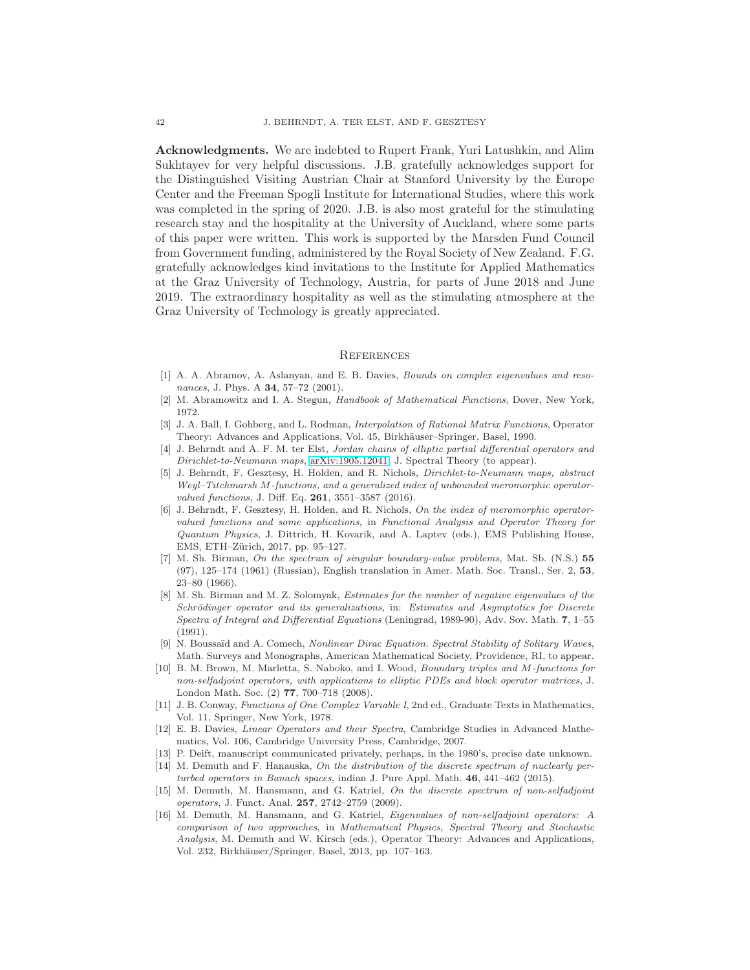Acknowledgments. We are indebted to Rupert Frank, Yuri Latushkin, and Alim Sukhtayev for very helpful discussions. J.B. gratefully acknowledges support for the Distinguished Visiting Austrian Chair at Stanford University by the Europe Center and the Freeman Spogli Institute for International Studies, where this work was completed in the spring of 2020. J.B. is also most grateful for the stimulating research stay and the hospitality at the University of Auckland, where some parts of this paper were written. This work is supported by the Marsden Fund Council from Government funding, administered by the Royal Society of New Zealand. F.G. gratefully acknowledges kind invitations to the Institute for Applied Mathematics at the Graz University of Technology, Austria, for parts of June 2018 and June 2019. The extraordinary hospitality as well as the stimulating atmosphere at the Graz University of Technology is greatly appreciated.

### <span id="page-41-0"></span>**REFERENCES**

- <span id="page-41-3"></span>[1] A. A. Abramov, A. Aslanyan, and E. B. Davies, Bounds on complex eigenvalues and resonances, J. Phys. A **34**, 57-72 (2001).
- <span id="page-41-15"></span><span id="page-41-13"></span>[2] M. Abramowitz and I. A. Stegun, Handbook of Mathematical Functions, Dover, New York, 1972.
- [3] J. A. Ball, I. Gohberg, and L. Rodman, Interpolation of Rational Matrix Functions, Operator Theory: Advances and Applications, Vol. 45, Birkhäuser–Springer, Basel, 1990.
- <span id="page-41-12"></span>[4] J. Behrndt and A. F. M. ter Elst, Jordan chains of elliptic partial differential operators and Dirichlet-to-Neumann maps, [arXiv:1905.12041,](http://arxiv.org/abs/1905.12041) J. Spectral Theory (to appear).
- <span id="page-41-4"></span>[5] J. Behrndt, F. Gesztesy, H. Holden, and R. Nichols, Dirichlet-to-Neumann maps, abstract Weyl–Titchmarsh M-functions, and a generalized index of unbounded meromorphic operatorvalued functions, J. Diff. Eq. 261, 3551-3587 (2016).
- <span id="page-41-5"></span>[6] J. Behrndt, F. Gesztesy, H. Holden, and R. Nichols, On the index of meromorphic operatorvalued functions and some applications, in Functional Analysis and Operator Theory for Quantum Physics, J. Dittrich, H. Kovarik, and A. Laptev (eds.), EMS Publishing House, EMS, ETH-Zürich, 2017, pp. 95-127.
- <span id="page-41-1"></span>[7] M. Sh. Birman, On the spectrum of singular boundary-value problems, Mat. Sb. (N.S.) 55 (97), 125–174 (1961) (Russian), English translation in Amer. Math. Soc. Transl., Ser. 2, 53, 23–80 (1966).
- <span id="page-41-2"></span>[8] M. Sh. Birman and M. Z. Solomyak, Estimates for the number of negative eigenvalues of the Schrödinger operator and its generalizations, in: Estimates and Asymptotics for Discrete Spectra of Integral and Differential Equations (Leningrad, 1989-90), Adv. Sov. Math. 7, 1–55  $(1991)$
- <span id="page-41-11"></span>[9] N. Boussaïd and A. Comech, Nonlinear Dirac Equation. Spectral Stability of Solitary Waves, Math. Surveys and Monographs, American Mathematical Society, Providence, RI, to appear.
- <span id="page-41-6"></span>[10] B. M. Brown, M. Marletta, S. Naboko, and I. Wood, Boundary triples and M-functions for non-selfadjoint operators, with applications to elliptic PDEs and block operator matrices, J. London Math. Soc. (2) 77, 700–718 (2008).
- <span id="page-41-16"></span>[11] J. B. Conway, Functions of One Complex Variable I, 2nd ed., Graduate Texts in Mathematics, Vol. 11, Springer, New York, 1978.
- <span id="page-41-7"></span>[12] E. B. Davies, Linear Operators and their Spectra, Cambridge Studies in Advanced Mathematics, Vol. 106, Cambridge University Press, Cambridge, 2007.
- <span id="page-41-14"></span><span id="page-41-8"></span>[13] P. Deift, manuscript communicated privately, perhaps, in the 1980's, precise date unknown.
- [14] M. Demuth and F. Hanauska, On the distribution of the discrete spectrum of nuclearly perturbed operators in Banach spaces, indian J. Pure Appl. Math. 46, 441–462 (2015).
- <span id="page-41-9"></span>[15] M. Demuth, M. Hansmann, and G. Katriel, On the discrete spectrum of non-selfadjoint operators, J. Funct. Anal. 257, 2742–2759 (2009).
- <span id="page-41-10"></span>[16] M. Demuth, M. Hansmann, and G. Katriel, Eigenvalues of non-selfadjoint operators: A comparison of two approaches, in Mathematical Physics, Spectral Theory and Stochastic Analysis, M. Demuth and W. Kirsch (eds.), Operator Theory: Advances and Applications, Vol. 232, Birkh¨auser/Springer, Basel, 2013, pp. 107–163.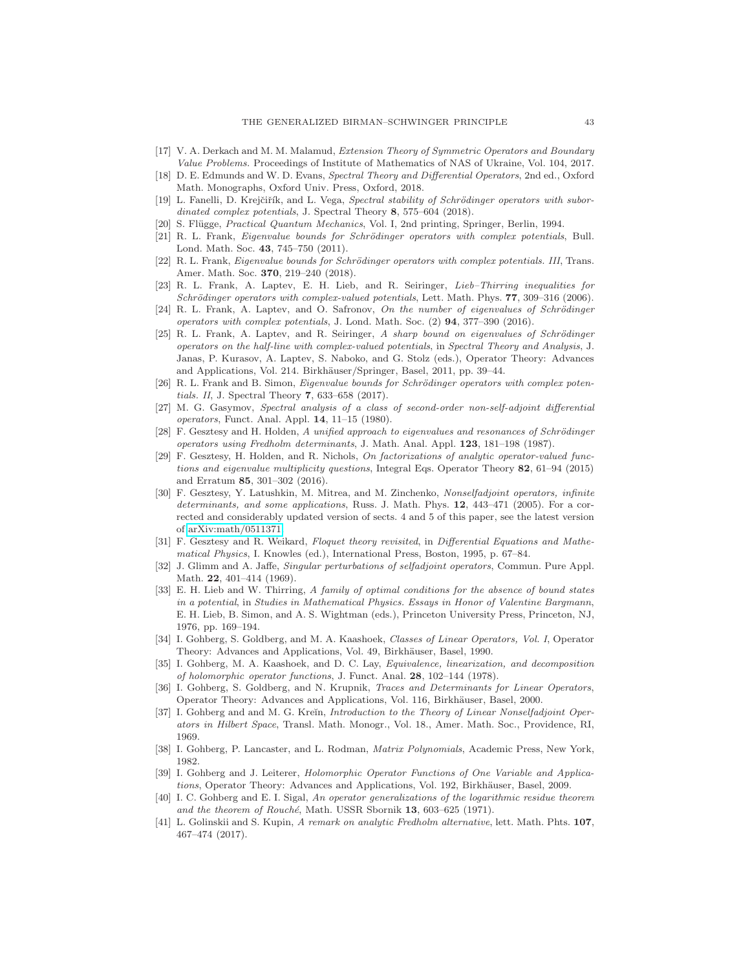- <span id="page-42-22"></span><span id="page-42-11"></span>[17] V. A. Derkach and M. M. Malamud, Extension Theory of Symmetric Operators and Boundary Value Problems. Proceedings of Institute of Mathematics of NAS of Ukraine, Vol. 104, 2017.
- [18] D. E. Edmunds and W. D. Evans, Spectral Theory and Differential Operators, 2nd ed., Oxford Math. Monographs, Oxford Univ. Press, Oxford, 2018.
- <span id="page-42-4"></span>[19] L. Fanelli, D. Krejčiřík, and L. Vega, Spectral stability of Schrödinger operators with subordinated complex potentials, J. Spectral Theory 8, 575–604 (2018).
- <span id="page-42-16"></span><span id="page-42-5"></span>[20] S. Flügge, *Practical Quantum Mechanics*, Vol. I, 2nd printing, Springer, Berlin, 1994.
- [21] R. L. Frank, Eigenvalue bounds for Schrödinger operators with complex potentials, Bull. Lond. Math. Soc. 43, 745–750 (2011).
- <span id="page-42-6"></span>[22] R. L. Frank, *Eigenvalue bounds for Schrödinger operators with complex potentials. III*, Trans. Amer. Math. Soc. 370, 219–240 (2018).
- <span id="page-42-7"></span>[23] R. L. Frank, A. Laptev, E. H. Lieb, and R. Seiringer, Lieb–Thirring inequalities for Schrödinger operators with complex-valued potentials, Lett. Math. Phys. 77, 309-316 (2006).
- <span id="page-42-8"></span>[24] R. L. Frank, A. Laptev, and O. Safronov, On the number of eigenvalues of Schrödinger operators with complex potentials, J. Lond. Math. Soc. (2) 94, 377–390 (2016).
- <span id="page-42-9"></span>[25] R. L. Frank, A. Laptev, and R. Seiringer, A sharp bound on eigenvalues of Schrödinger operators on the half-line with complex-valued potentials, in Spectral Theory and Analysis, J. Janas, P. Kurasov, A. Laptev, S. Naboko, and G. Stolz (eds.), Operator Theory: Advances and Applications, Vol. 214. Birkhäuser/Springer, Basel, 2011, pp. 39-44.
- <span id="page-42-10"></span>[26] R. L. Frank and B. Simon, Eigenvalue bounds for Schrödinger operators with complex potentials. II, J. Spectral Theory 7, 633–658 (2017).
- <span id="page-42-14"></span>[27] M. G. Gasymov, Spectral analysis of a class of second-order non-self-adjoint differential operators, Funct. Anal. Appl. 14, 11–15 (1980).
- <span id="page-42-1"></span>[28] F. Gesztesy and H. Holden, A unified approach to eigenvalues and resonances of Schrödinger operators using Fredholm determinants, J. Math. Anal. Appl. 123, 181–198 (1987).
- <span id="page-42-3"></span>[29] F. Gesztesy, H. Holden, and R. Nichols, On factorizations of analytic operator-valued functions and eigenvalue multiplicity questions, Integral Eqs. Operator Theory 82, 61–94 (2015) and Erratum 85, 301–302 (2016).
- <span id="page-42-2"></span>[30] F. Gesztesy, Y. Latushkin, M. Mitrea, and M. Zinchenko, Nonselfadjoint operators, infinite determinants, and some applications, Russ. J. Math. Phys. 12, 443-471 (2005). For a corrected and considerably updated version of sects. 4 and 5 of this paper, see the latest version of [arXiv:math/0511371.](http://arxiv.org/abs/math/0511371)
- <span id="page-42-15"></span>[31] F. Gesztesy and R. Weikard, Floquet theory revisited, in Differential Equations and Mathematical Physics, I. Knowles (ed.), International Press, Boston, 1995, p. 67–84.
- <span id="page-42-21"></span>[32] J. Glimm and A. Jaffe, Singular perturbations of selfadjoint operators, Commun. Pure Appl. Math. 22, 401–414 (1969).
- <span id="page-42-0"></span>[33] E. H. Lieb and W. Thirring, A family of optimal conditions for the absence of bound states in a potential, in Studies in Mathematical Physics. Essays in Honor of Valentine Bargmann, E. H. Lieb, B. Simon, and A. S. Wightman (eds.), Princeton University Press, Princeton, NJ, 1976, pp. 169–194.
- <span id="page-42-12"></span>[34] I. Gohberg, S. Goldberg, and M. A. Kaashoek, Classes of Linear Operators, Vol. I, Operator Theory: Advances and Applications, Vol. 49, Birkhäuser, Basel, 1990.
- <span id="page-42-17"></span>[35] I. Gohberg, M. A. Kaashoek, and D. C. Lay, *Equivalence, linearization, and decomposition* of holomorphic operator functions, J. Funct. Anal. 28, 102–144 (1978).
- <span id="page-42-23"></span>[36] I. Gohberg, S. Goldberg, and N. Krupnik, *Traces and Determinants for Linear Operators*, Operator Theory: Advances and Applications, Vol. 116, Birkhäuser, Basel, 2000.
- <span id="page-42-13"></span>[37] I. Gohberg and and M. G. Kreĭn, *Introduction to the Theory of Linear Nonselfadjoint Oper*ators in Hilbert Space, Transl. Math. Monogr., Vol. 18., Amer. Math. Soc., Providence, RI, 1969.
- <span id="page-42-18"></span>[38] I. Gohberg, P. Lancaster, and L. Rodman, Matrix Polynomials, Academic Press, New York, 1982.
- <span id="page-42-19"></span>[39] I. Gohberg and J. Leiterer, *Holomorphic Operator Functions of One Variable and Applica*tions, Operator Theory: Advances and Applications, Vol. 192, Birkhäuser, Basel, 2009.
- <span id="page-42-20"></span>[40] I. C. Gohberg and E. I. Sigal, An operator generalizations of the logarithmic residue theorem and the theorem of Rouché, Math. USSR Sbornik 13, 603–625 (1971).
- <span id="page-42-24"></span>[41] L. Golinskii and S. Kupin, A remark on analytic Fredholm alternative, lett. Math. Phts. 107, 467–474 (2017).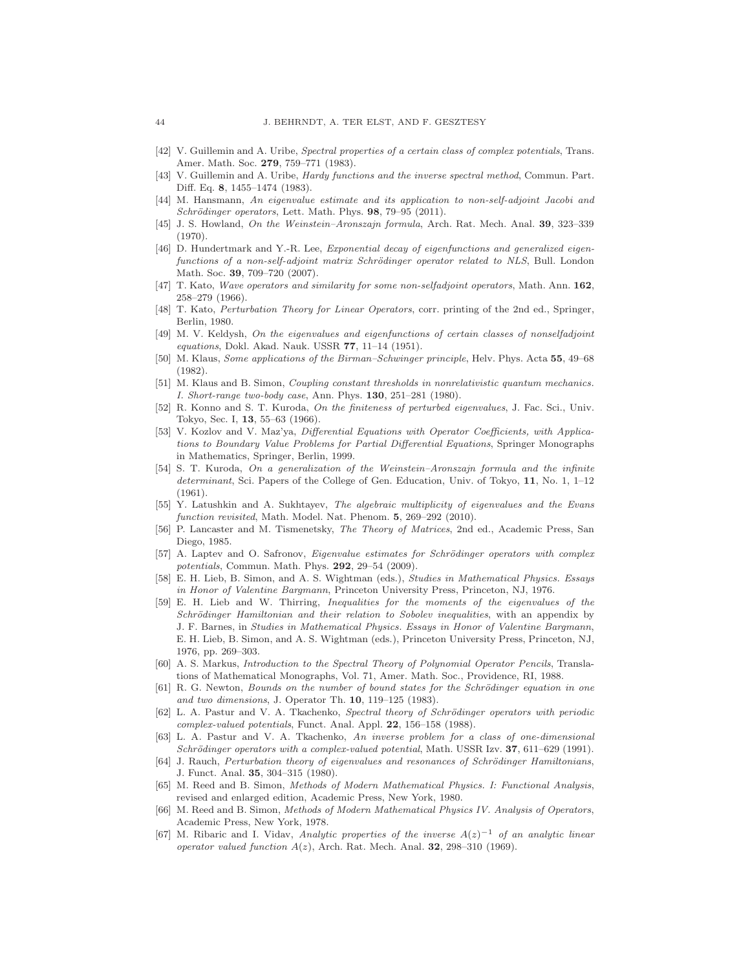- <span id="page-43-15"></span><span id="page-43-14"></span>[42] V. Guillemin and A. Uribe, Spectral properties of a certain class of complex potentials, Trans. Amer. Math. Soc. 279, 759–771 (1983).
- [43] V. Guillemin and A. Uribe, Hardy functions and the inverse spectral method, Commun. Part. Diff. Eq. 8, 1455–1474 (1983).
- <span id="page-43-10"></span>[44] M. Hansmann, An eigenvalue estimate and its application to non-self-adjoint Jacobi and Schrödinger operators, Lett. Math. Phys.  $98, 79-95$  (2011).
- <span id="page-43-3"></span>[45] J. S. Howland, On the Weinstein–Aronszajn formula, Arch. Rat. Mech. Anal. 39, 323–339 (1970).
- <span id="page-43-23"></span>[46] D. Hundertmark and Y.-R. Lee, Exponential decay of eigenfunctions and generalized eigenfunctions of a non-self-adjoint matrix Schrödinger operator related to NLS, Bull. London Math. Soc. 39, 709–720 (2007).
- <span id="page-43-9"></span>[47] T. Kato, Wave operators and similarity for some non-selfadjoint operators, Math. Ann. 162, 258–279 (1966).
- <span id="page-43-13"></span>[48] T. Kato, Perturbation Theory for Linear Operators, corr. printing of the 2nd ed., Springer, Berlin, 1980.
- <span id="page-43-18"></span>[49] M. V. Keldysh, On the eigenvalues and eigenfunctions of certain classes of nonselfadjoint equations, Dokl. Akad. Nauk. USSR 77, 11–14 (1951).
- <span id="page-43-4"></span>[50] M. Klaus, Some applications of the Birman–Schwinger principle, Helv. Phys. Acta 55, 49–68 (1982).
- <span id="page-43-5"></span>[51] M. Klaus and B. Simon, Coupling constant thresholds in nonrelativistic quantum mechanics. I. Short-range two-body case, Ann. Phys. 130, 251–281 (1980).
- <span id="page-43-6"></span>[52] R. Konno and S. T. Kuroda, On the finiteness of perturbed eigenvalues, J. Fac. Sci., Univ. Tokyo, Sec. I, 13, 55–63 (1966).
- <span id="page-43-20"></span>[53] V. Kozlov and V. Maz'ya, Differential Equations with Operator Coefficients, with Applications to Boundary Value Problems for Partial Differential Equations, Springer Monographs in Mathematics, Springer, Berlin, 1999.
- <span id="page-43-24"></span>[54] S. T. Kuroda, On a generalization of the Weinstein–Aronszajn formula and the infinite determinant, Sci. Papers of the College of Gen. Education, Univ. of Tokyo, 11, No. 1, 1–12 (1961).
- <span id="page-43-12"></span>[55] Y. Latushkin and A. Sukhtayev, The algebraic multiplicity of eigenvalues and the Evans function revisited, Math. Model. Nat. Phenom. 5, 269-292 (2010).
- <span id="page-43-21"></span>[56] P. Lancaster and M. Tismenetsky, The Theory of Matrices, 2nd ed., Academic Press, San Diego, 1985.
- <span id="page-43-11"></span>[57] A. Laptev and O. Safronov, Eigenvalue estimates for Schrödinger operators with complex potentials, Commun. Math. Phys. 292, 29–54 (2009).
- <span id="page-43-1"></span>[58] E. H. Lieb, B. Simon, and A. S. Wightman (eds.), Studies in Mathematical Physics. Essays in Honor of Valentine Bargmann, Princeton University Press, Princeton, NJ, 1976.
- <span id="page-43-0"></span>[59] E. H. Lieb and W. Thirring, Inequalities for the moments of the eigenvalues of the Schrödinger Hamiltonian and their relation to Sobolev inequalities, with an appendix by J. F. Barnes, in Studies in Mathematical Physics. Essays in Honor of Valentine Bargmann, E. H. Lieb, B. Simon, and A. S. Wightman (eds.), Princeton University Press, Princeton, NJ, 1976, pp. 269–303.
- <span id="page-43-19"></span>[60] A. S. Markus, Introduction to the Spectral Theory of Polynomial Operator Pencils, Translations of Mathematical Monographs, Vol. 71, Amer. Math. Soc., Providence, RI, 1988.
- <span id="page-43-7"></span>[61] R. G. Newton, Bounds on the number of bound states for the Schrödinger equation in one and two dimensions, J. Operator Th. 10, 119–125 (1983).
- <span id="page-43-16"></span>[62] L. A. Pastur and V. A. Tkachenko, Spectral theory of Schrödinger operators with periodic complex-valued potentials, Funct. Anal. Appl. 22, 156–158 (1988).
- <span id="page-43-17"></span>[63] L. A. Pastur and V. A. Tkachenko, An inverse problem for a class of one-dimensional Schrödinger operators with a complex-valued potential, Math. USSR Izv.  $37,611-629$  (1991).
- <span id="page-43-8"></span>[64] J. Rauch, Perturbation theory of eigenvalues and resonances of Schrödinger Hamiltonians, J. Funct. Anal. 35, 304–315 (1980).
- <span id="page-43-22"></span>[65] M. Reed and B. Simon, Methods of Modern Mathematical Physics. I: Functional Analysis, revised and enlarged edition, Academic Press, New York, 1980.
- <span id="page-43-2"></span>[66] M. Reed and B. Simon, Methods of Modern Mathematical Physics IV. Analysis of Operators, Academic Press, New York, 1978.
- <span id="page-43-25"></span>[67] M. Ribaric and I. Viday, Analytic properties of the inverse  $A(z)^{-1}$  of an analytic linear operator valued function  $A(z)$ , Arch. Rat. Mech. Anal. 32, 298-310 (1969).